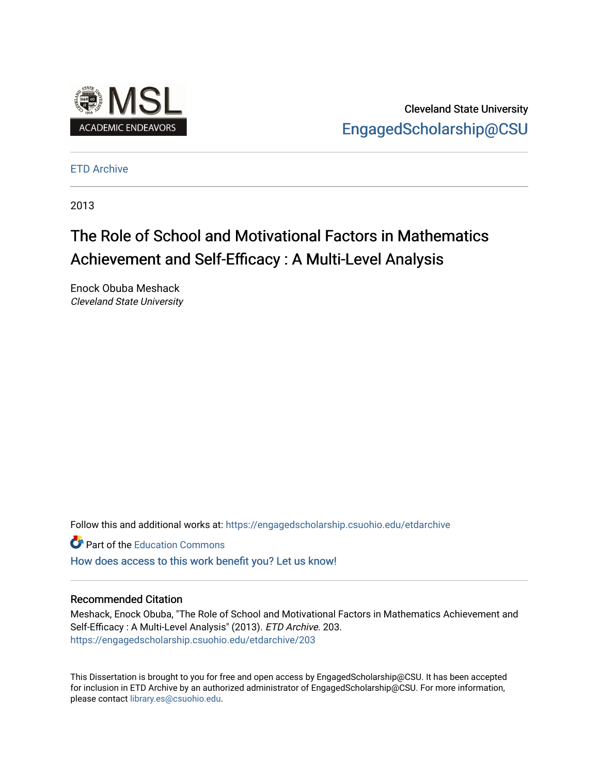

Cleveland State University [EngagedScholarship@CSU](https://engagedscholarship.csuohio.edu/) 

[ETD Archive](https://engagedscholarship.csuohio.edu/etdarchive)

2013

# The Role of School and Motivational Factors in Mathematics Achievement and Self-Efficacy : A Multi-Level Analysis

Enock Obuba Meshack Cleveland State University

Follow this and additional works at: [https://engagedscholarship.csuohio.edu/etdarchive](https://engagedscholarship.csuohio.edu/etdarchive?utm_source=engagedscholarship.csuohio.edu%2Fetdarchive%2F203&utm_medium=PDF&utm_campaign=PDFCoverPages)

**Part of the [Education Commons](https://network.bepress.com/hgg/discipline/784?utm_source=engagedscholarship.csuohio.edu%2Fetdarchive%2F203&utm_medium=PDF&utm_campaign=PDFCoverPages)** 

[How does access to this work benefit you? Let us know!](http://library.csuohio.edu/engaged/)

## Recommended Citation

Meshack, Enock Obuba, "The Role of School and Motivational Factors in Mathematics Achievement and Self-Efficacy : A Multi-Level Analysis" (2013). ETD Archive. 203. [https://engagedscholarship.csuohio.edu/etdarchive/203](https://engagedscholarship.csuohio.edu/etdarchive/203?utm_source=engagedscholarship.csuohio.edu%2Fetdarchive%2F203&utm_medium=PDF&utm_campaign=PDFCoverPages) 

This Dissertation is brought to you for free and open access by EngagedScholarship@CSU. It has been accepted for inclusion in ETD Archive by an authorized administrator of EngagedScholarship@CSU. For more information, please contact [library.es@csuohio.edu.](mailto:library.es@csuohio.edu)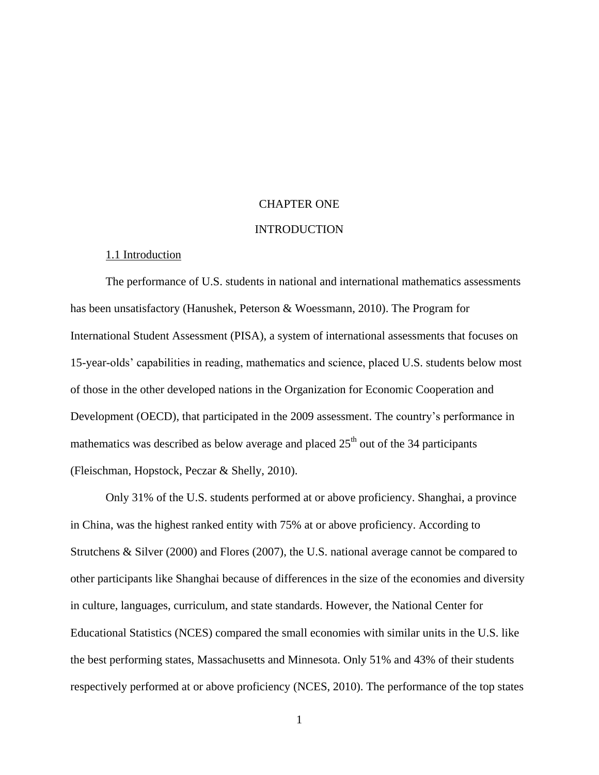## CHAPTER ONE

#### INTRODUCTION

## 1.1 Introduction

The performance of U.S. students in national and international mathematics assessments has been unsatisfactory (Hanushek, Peterson & Woessmann, 2010). The Program for International Student Assessment (PISA), a system of international assessments that focuses on 15-year-olds' capabilities in reading, mathematics and science, placed U.S. students below most of those in the other developed nations in the Organization for Economic Cooperation and Development (OECD), that participated in the 2009 assessment. The country's performance in mathematics was described as below average and placed  $25<sup>th</sup>$  out of the 34 participants (Fleischman, Hopstock, Peczar & Shelly, 2010).

Only 31% of the U.S. students performed at or above proficiency. Shanghai, a province in China, was the highest ranked entity with 75% at or above proficiency. According to Strutchens & Silver (2000) and Flores (2007), the U.S. national average cannot be compared to other participants like Shanghai because of differences in the size of the economies and diversity in culture, languages, curriculum, and state standards. However, the National Center for Educational Statistics (NCES) compared the small economies with similar units in the U.S. like the best performing states, Massachusetts and Minnesota. Only 51% and 43% of their students respectively performed at or above proficiency (NCES, 2010). The performance of the top states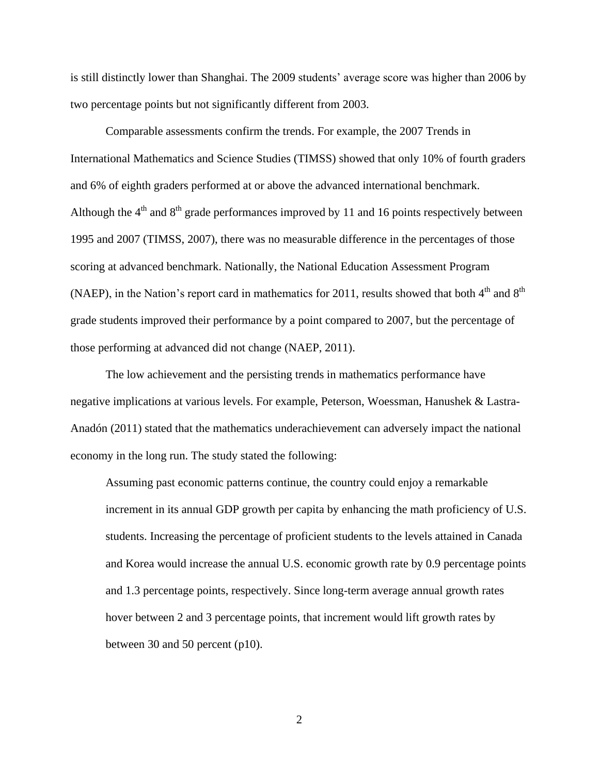is still distinctly lower than Shanghai. The 2009 students' average score was higher than 2006 by two percentage points but not significantly different from 2003.

Comparable assessments confirm the trends. For example, the 2007 Trends in International Mathematics and Science Studies (TIMSS) showed that only 10% of fourth graders and 6% of eighth graders performed at or above the advanced international benchmark. Although the  $4<sup>th</sup>$  and  $8<sup>th</sup>$  grade performances improved by 11 and 16 points respectively between 1995 and 2007 (TIMSS, 2007), there was no measurable difference in the percentages of those scoring at advanced benchmark. Nationally, the National Education Assessment Program (NAEP), in the Nation's report card in mathematics for 2011, results showed that both  $4<sup>th</sup>$  and  $8<sup>th</sup>$ grade students improved their performance by a point compared to 2007, but the percentage of those performing at advanced did not change (NAEP, 2011).

The low achievement and the persisting trends in mathematics performance have negative implications at various levels. For example, Peterson, Woessman, Hanushek & Lastra-Anadón (2011) stated that the mathematics underachievement can adversely impact the national economy in the long run. The study stated the following:

Assuming past economic patterns continue, the country could enjoy a remarkable increment in its annual GDP growth per capita by enhancing the math proficiency of U.S. students. Increasing the percentage of proficient students to the levels attained in Canada and Korea would increase the annual U.S. economic growth rate by 0.9 percentage points and 1.3 percentage points, respectively. Since long-term average annual growth rates hover between 2 and 3 percentage points, that increment would lift growth rates by between 30 and 50 percent (p10).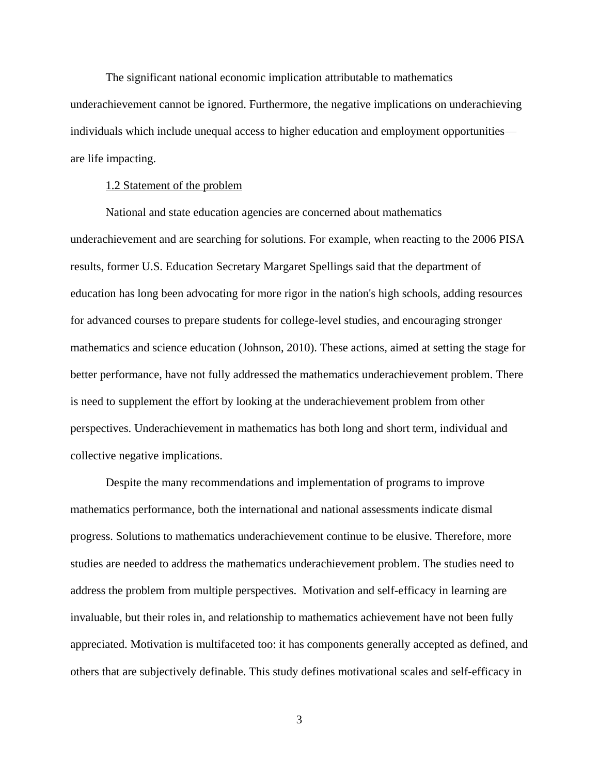The significant national economic implication attributable to mathematics underachievement cannot be ignored. Furthermore, the negative implications on underachieving individuals which include unequal access to higher education and employment opportunities are life impacting.

## 1.2 Statement of the problem

National and state education agencies are concerned about mathematics underachievement and are searching for solutions. For example, when reacting to the 2006 PISA results, former U.S. Education Secretary Margaret Spellings said that the department of education has long been advocating for more rigor in the nation's high schools, adding resources for advanced courses to prepare students for college-level studies, and encouraging stronger mathematics and science education (Johnson, 2010). These actions, aimed at setting the stage for better performance, have not fully addressed the mathematics underachievement problem. There is need to supplement the effort by looking at the underachievement problem from other perspectives. Underachievement in mathematics has both long and short term, individual and collective negative implications.

Despite the many recommendations and implementation of programs to improve mathematics performance, both the international and national assessments indicate dismal progress. Solutions to mathematics underachievement continue to be elusive. Therefore, more studies are needed to address the mathematics underachievement problem. The studies need to address the problem from multiple perspectives. Motivation and self-efficacy in learning are invaluable, but their roles in, and relationship to mathematics achievement have not been fully appreciated. Motivation is multifaceted too: it has components generally accepted as defined, and others that are subjectively definable. This study defines motivational scales and self-efficacy in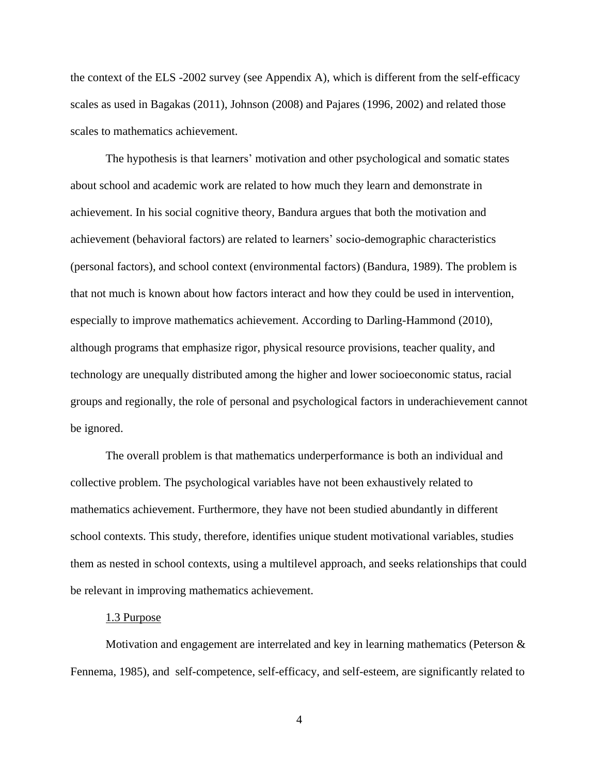the context of the ELS -2002 survey (see Appendix A), which is different from the self-efficacy scales as used in Bagakas (2011), Johnson (2008) and Pajares (1996, 2002) and related those scales to mathematics achievement.

The hypothesis is that learners' motivation and other psychological and somatic states about school and academic work are related to how much they learn and demonstrate in achievement. In his social cognitive theory, Bandura argues that both the motivation and achievement (behavioral factors) are related to learners' socio-demographic characteristics (personal factors), and school context (environmental factors) (Bandura, 1989). The problem is that not much is known about how factors interact and how they could be used in intervention, especially to improve mathematics achievement. According to Darling-Hammond (2010), although programs that emphasize rigor, physical resource provisions, teacher quality, and technology are unequally distributed among the higher and lower socioeconomic status, racial groups and regionally, the role of personal and psychological factors in underachievement cannot be ignored.

The overall problem is that mathematics underperformance is both an individual and collective problem. The psychological variables have not been exhaustively related to mathematics achievement. Furthermore, they have not been studied abundantly in different school contexts. This study, therefore, identifies unique student motivational variables, studies them as nested in school contexts, using a multilevel approach, and seeks relationships that could be relevant in improving mathematics achievement.

#### 1.3 Purpose

Motivation and engagement are interrelated and key in learning mathematics (Peterson & Fennema, 1985), and self-competence, self-efficacy, and self-esteem, are significantly related to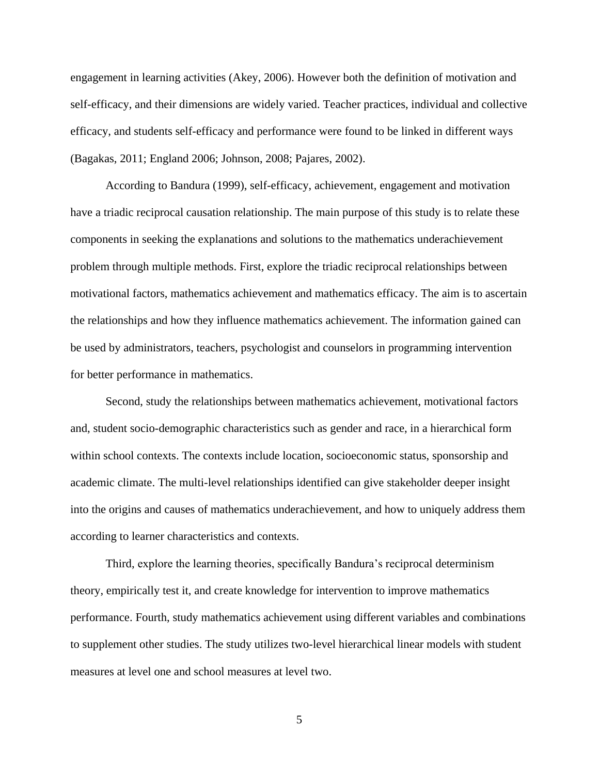engagement in learning activities (Akey, 2006). However both the definition of motivation and self-efficacy, and their dimensions are widely varied. Teacher practices, individual and collective efficacy, and students self-efficacy and performance were found to be linked in different ways (Bagakas, 2011; England 2006; Johnson, 2008; Pajares, 2002).

According to Bandura (1999), self-efficacy, achievement, engagement and motivation have a triadic reciprocal causation relationship. The main purpose of this study is to relate these components in seeking the explanations and solutions to the mathematics underachievement problem through multiple methods. First, explore the triadic reciprocal relationships between motivational factors, mathematics achievement and mathematics efficacy. The aim is to ascertain the relationships and how they influence mathematics achievement. The information gained can be used by administrators, teachers, psychologist and counselors in programming intervention for better performance in mathematics.

Second, study the relationships between mathematics achievement, motivational factors and, student socio-demographic characteristics such as gender and race, in a hierarchical form within school contexts. The contexts include location, socioeconomic status, sponsorship and academic climate. The multi-level relationships identified can give stakeholder deeper insight into the origins and causes of mathematics underachievement, and how to uniquely address them according to learner characteristics and contexts.

Third, explore the learning theories, specifically Bandura's reciprocal determinism theory, empirically test it, and create knowledge for intervention to improve mathematics performance. Fourth, study mathematics achievement using different variables and combinations to supplement other studies. The study utilizes two-level hierarchical linear models with student measures at level one and school measures at level two.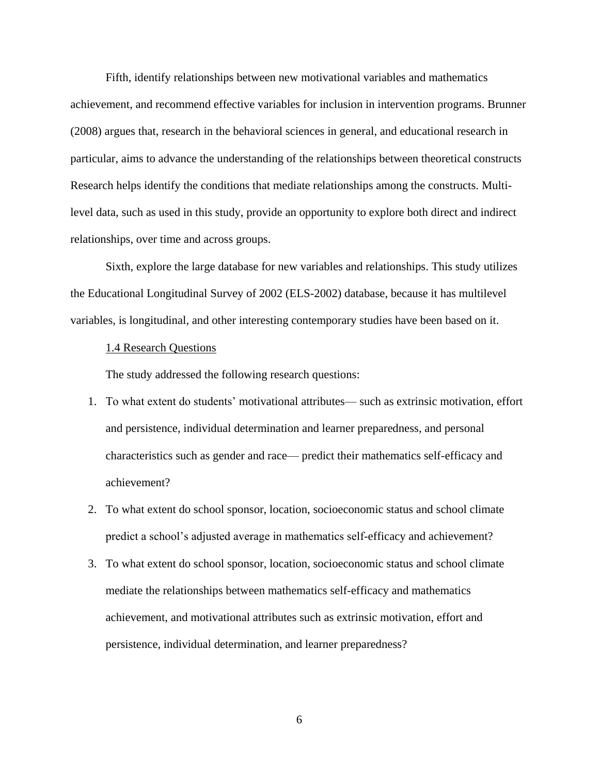Fifth, identify relationships between new motivational variables and mathematics achievement, and recommend effective variables for inclusion in intervention programs. Brunner (2008) argues that, research in the behavioral sciences in general, and educational research in particular, aims to advance the understanding of the relationships between theoretical constructs Research helps identify the conditions that mediate relationships among the constructs. Multilevel data, such as used in this study, provide an opportunity to explore both direct and indirect relationships, over time and across groups.

Sixth, explore the large database for new variables and relationships. This study utilizes the Educational Longitudinal Survey of 2002 (ELS-2002) database, because it has multilevel variables, is longitudinal, and other interesting contemporary studies have been based on it.

## 1.4 Research Questions

The study addressed the following research questions:

- 1. To what extent do students' motivational attributes— such as extrinsic motivation, effort and persistence, individual determination and learner preparedness, and personal characteristics such as gender and race— predict their mathematics self-efficacy and achievement?
- 2. To what extent do school sponsor, location, socioeconomic status and school climate predict a school's adjusted average in mathematics self-efficacy and achievement?
- 3. To what extent do school sponsor, location, socioeconomic status and school climate mediate the relationships between mathematics self-efficacy and mathematics achievement, and motivational attributes such as extrinsic motivation, effort and persistence, individual determination, and learner preparedness?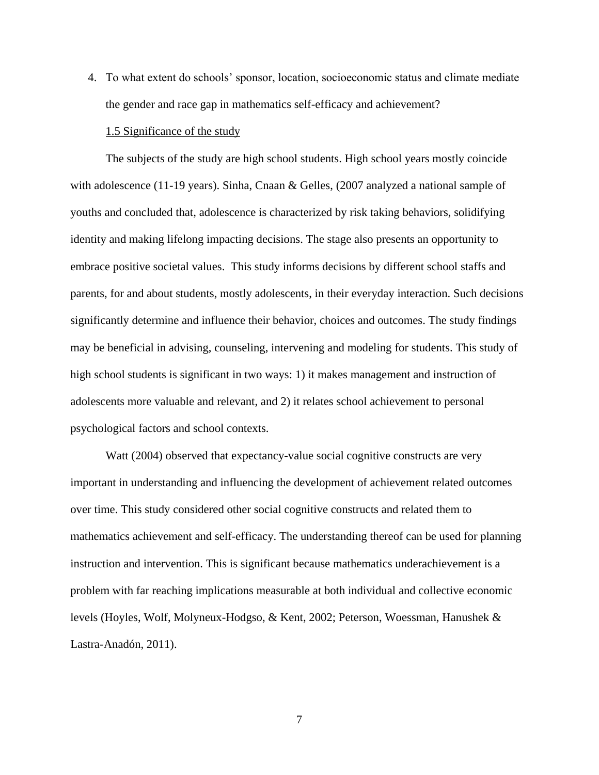4. To what extent do schools' sponsor, location, socioeconomic status and climate mediate the gender and race gap in mathematics self-efficacy and achievement?

## 1.5 Significance of the study

The subjects of the study are high school students. High school years mostly coincide with adolescence (11-19 years). Sinha, Cnaan & Gelles, (2007 analyzed a national sample of youths and concluded that, adolescence is characterized by risk taking behaviors, solidifying identity and making lifelong impacting decisions. The stage also presents an opportunity to embrace positive societal values. This study informs decisions by different school staffs and parents, for and about students, mostly adolescents, in their everyday interaction. Such decisions significantly determine and influence their behavior, choices and outcomes. The study findings may be beneficial in advising, counseling, intervening and modeling for students. This study of high school students is significant in two ways: 1) it makes management and instruction of adolescents more valuable and relevant, and 2) it relates school achievement to personal psychological factors and school contexts.

Watt (2004) observed that expectancy-value social cognitive constructs are very important in understanding and influencing the development of achievement related outcomes over time. This study considered other social cognitive constructs and related them to mathematics achievement and self-efficacy. The understanding thereof can be used for planning instruction and intervention. This is significant because mathematics underachievement is a problem with far reaching implications measurable at both individual and collective economic levels (Hoyles, Wolf, Molyneux-Hodgso, & Kent, 2002; Peterson, Woessman, Hanushek & Lastra-Anadón, 2011).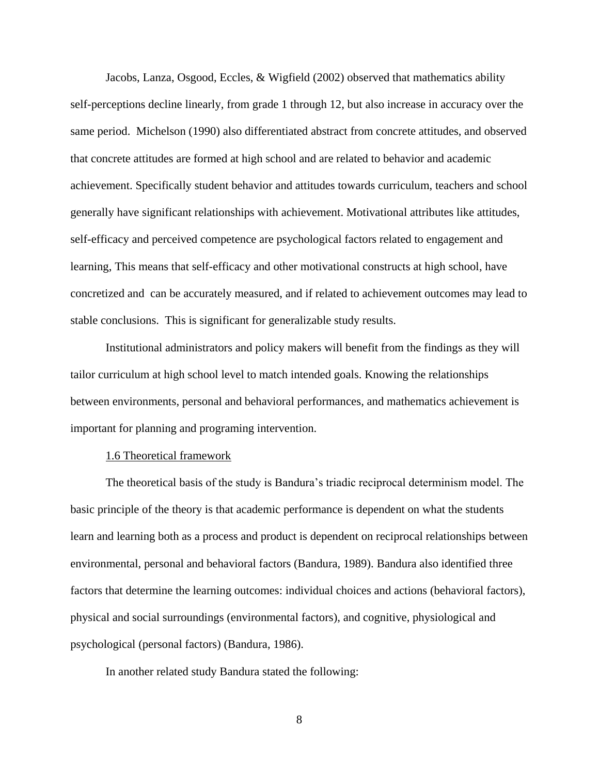Jacobs, Lanza, Osgood, Eccles, & Wigfield (2002) observed that mathematics ability self-perceptions decline linearly, from grade 1 through 12, but also increase in accuracy over the same period. Michelson (1990) also differentiated abstract from concrete attitudes, and observed that concrete attitudes are formed at high school and are related to behavior and academic achievement. Specifically student behavior and attitudes towards curriculum, teachers and school generally have significant relationships with achievement. Motivational attributes like attitudes, self-efficacy and perceived competence are psychological factors related to engagement and learning, This means that self-efficacy and other motivational constructs at high school, have concretized and can be accurately measured, and if related to achievement outcomes may lead to stable conclusions. This is significant for generalizable study results.

Institutional administrators and policy makers will benefit from the findings as they will tailor curriculum at high school level to match intended goals. Knowing the relationships between environments, personal and behavioral performances, and mathematics achievement is important for planning and programing intervention.

## 1.6 Theoretical framework

The theoretical basis of the study is Bandura's triadic reciprocal determinism model. The basic principle of the theory is that academic performance is dependent on what the students learn and learning both as a process and product is dependent on reciprocal relationships between environmental, personal and behavioral factors (Bandura, 1989). Bandura also identified three factors that determine the learning outcomes: individual choices and actions (behavioral factors), physical and social surroundings (environmental factors), and cognitive, physiological and psychological (personal factors) (Bandura, 1986).

In another related study Bandura stated the following: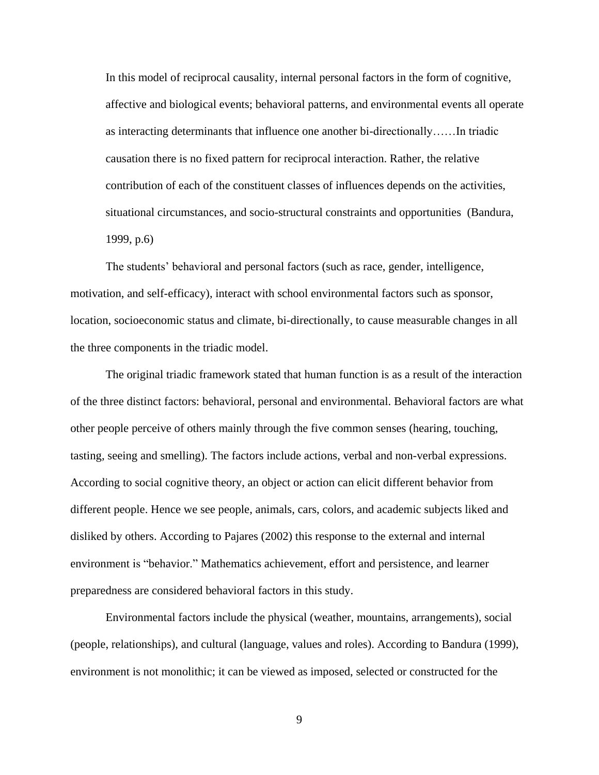In this model of reciprocal causality, internal personal factors in the form of cognitive, affective and biological events; behavioral patterns, and environmental events all operate as interacting determinants that influence one another bi-directionally……In triadic causation there is no fixed pattern for reciprocal interaction. Rather, the relative contribution of each of the constituent classes of influences depends on the activities, situational circumstances, and socio-structural constraints and opportunities (Bandura, 1999, p.6)

The students' behavioral and personal factors (such as race, gender, intelligence, motivation, and self-efficacy), interact with school environmental factors such as sponsor, location, socioeconomic status and climate, bi-directionally, to cause measurable changes in all the three components in the triadic model.

The original triadic framework stated that human function is as a result of the interaction of the three distinct factors: behavioral, personal and environmental. Behavioral factors are what other people perceive of others mainly through the five common senses (hearing, touching, tasting, seeing and smelling). The factors include actions, verbal and non-verbal expressions. According to social cognitive theory, an object or action can elicit different behavior from different people. Hence we see people, animals, cars, colors, and academic subjects liked and disliked by others. According to Pajares (2002) this response to the external and internal environment is "behavior." Mathematics achievement, effort and persistence, and learner preparedness are considered behavioral factors in this study.

Environmental factors include the physical (weather, mountains, arrangements), social (people, relationships), and cultural (language, values and roles). According to Bandura (1999), environment is not monolithic; it can be viewed as imposed, selected or constructed for the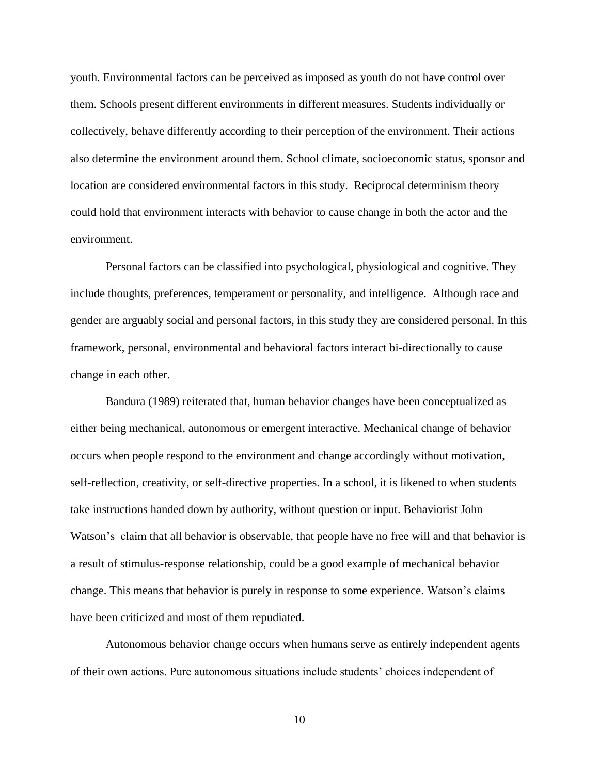youth. Environmental factors can be perceived as imposed as youth do not have control over them. Schools present different environments in different measures. Students individually or collectively, behave differently according to their perception of the environment. Their actions also determine the environment around them. School climate, socioeconomic status, sponsor and location are considered environmental factors in this study. Reciprocal determinism theory could hold that environment interacts with behavior to cause change in both the actor and the environment.

Personal factors can be classified into psychological, physiological and cognitive. They include thoughts, preferences, temperament or personality, and intelligence. Although race and gender are arguably social and personal factors, in this study they are considered personal. In this framework, personal, environmental and behavioral factors interact bi-directionally to cause change in each other.

Bandura (1989) reiterated that, human behavior changes have been conceptualized as either being mechanical, autonomous or emergent interactive. Mechanical change of behavior occurs when people respond to the environment and change accordingly without motivation, self-reflection, creativity, or self-directive properties. In a school, it is likened to when students take instructions handed down by authority, without question or input. Behaviorist John Watson's claim that all behavior is observable, that people have no free will and that behavior is a result of stimulus-response relationship, could be a good example of mechanical behavior change. This means that behavior is purely in response to some experience. Watson's claims have been criticized and most of them repudiated.

Autonomous behavior change occurs when humans serve as entirely independent agents of their own actions. Pure autonomous situations include students' choices independent of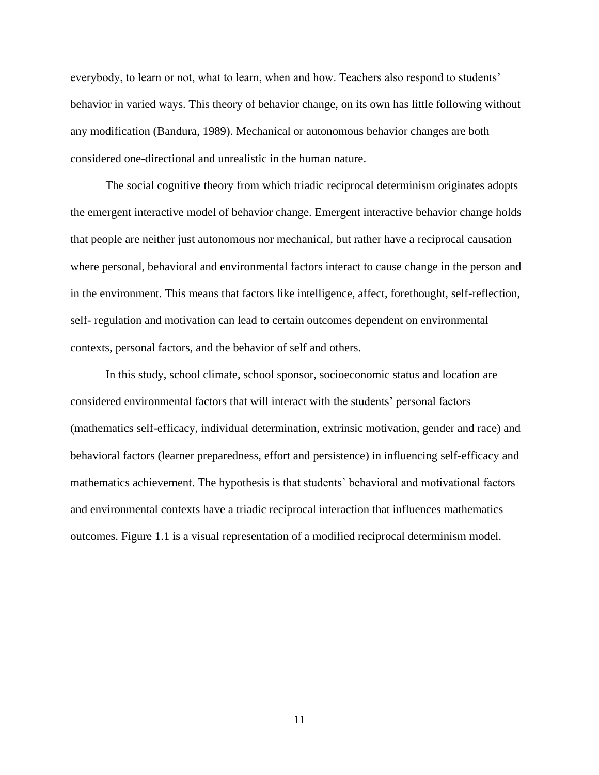everybody, to learn or not, what to learn, when and how. Teachers also respond to students' behavior in varied ways. This theory of behavior change, on its own has little following without any modification (Bandura, 1989). Mechanical or autonomous behavior changes are both considered one-directional and unrealistic in the human nature.

The social cognitive theory from which triadic reciprocal determinism originates adopts the emergent interactive model of behavior change. Emergent interactive behavior change holds that people are neither just autonomous nor mechanical, but rather have a reciprocal causation where personal, behavioral and environmental factors interact to cause change in the person and in the environment. This means that factors like intelligence, affect, forethought, self-reflection, self- regulation and motivation can lead to certain outcomes dependent on environmental contexts, personal factors, and the behavior of self and others.

In this study, school climate, school sponsor, socioeconomic status and location are considered environmental factors that will interact with the students' personal factors (mathematics self-efficacy, individual determination, extrinsic motivation, gender and race) and behavioral factors (learner preparedness, effort and persistence) in influencing self-efficacy and mathematics achievement. The hypothesis is that students' behavioral and motivational factors and environmental contexts have a triadic reciprocal interaction that influences mathematics outcomes. Figure 1.1 is a visual representation of a modified reciprocal determinism model.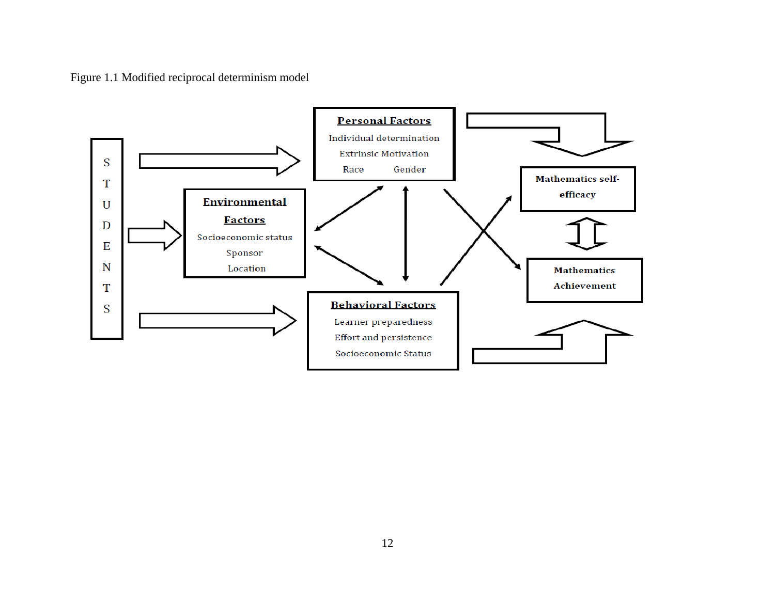Figure 1.1 Modified reciprocal determinism model

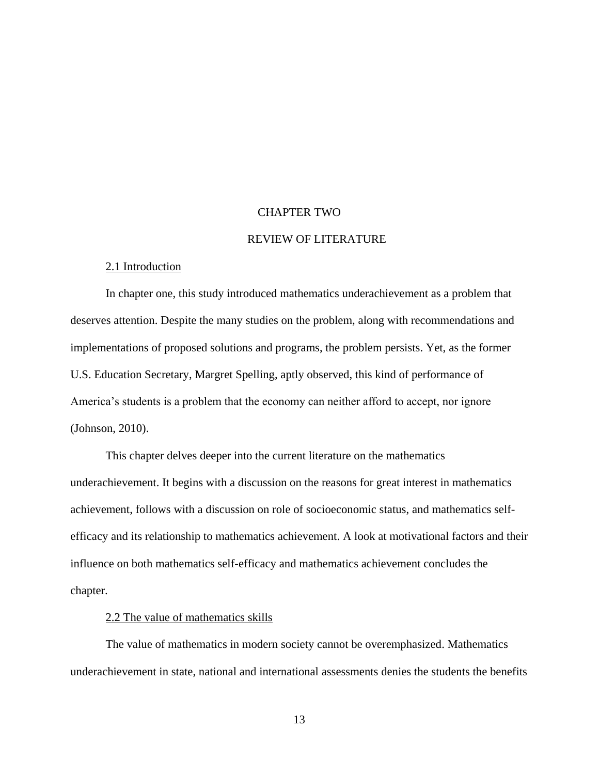#### CHAPTER TWO

### REVIEW OF LITERATURE

## 2.1 Introduction

In chapter one, this study introduced mathematics underachievement as a problem that deserves attention. Despite the many studies on the problem, along with recommendations and implementations of proposed solutions and programs, the problem persists. Yet, as the former U.S. Education Secretary, Margret Spelling, aptly observed, this kind of performance of America's students is a problem that the economy can neither afford to accept, nor ignore (Johnson, 2010).

This chapter delves deeper into the current literature on the mathematics underachievement. It begins with a discussion on the reasons for great interest in mathematics achievement, follows with a discussion on role of socioeconomic status, and mathematics selfefficacy and its relationship to mathematics achievement. A look at motivational factors and their influence on both mathematics self-efficacy and mathematics achievement concludes the chapter.

## 2.2 The value of mathematics skills

The value of mathematics in modern society cannot be overemphasized. Mathematics underachievement in state, national and international assessments denies the students the benefits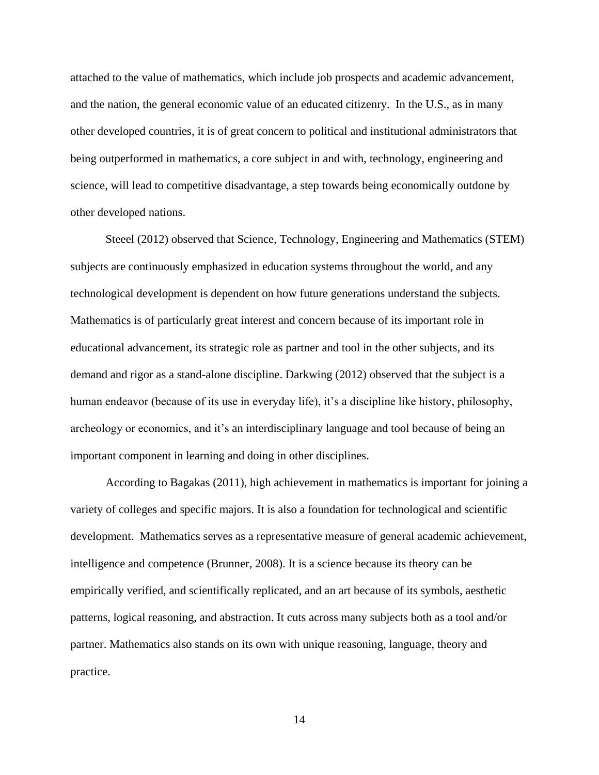attached to the value of mathematics, which include job prospects and academic advancement, and the nation, the general economic value of an educated citizenry. In the U.S., as in many other developed countries, it is of great concern to political and institutional administrators that being outperformed in mathematics, a core subject in and with, technology, engineering and science, will lead to competitive disadvantage, a step towards being economically outdone by other developed nations.

Steeel (2012) observed that Science, Technology, Engineering and Mathematics (STEM) subjects are continuously emphasized in education systems throughout the world, and any technological development is dependent on how future generations understand the subjects. Mathematics is of particularly great interest and concern because of its important role in educational advancement, its strategic role as partner and tool in the other subjects, and its demand and rigor as a stand-alone discipline. Darkwing (2012) observed that the subject is a human endeavor (because of its use in everyday life), it's a discipline like history, philosophy, archeology or economics, and it's an interdisciplinary language and tool because of being an important component in learning and doing in other disciplines.

According to Bagakas (2011), high achievement in mathematics is important for joining a variety of colleges and specific majors. It is also a foundation for technological and scientific development. Mathematics serves as a representative measure of general academic achievement, intelligence and competence (Brunner, 2008). It is a science because its theory can be empirically verified, and scientifically replicated, and an art because of its symbols, aesthetic patterns, logical reasoning, and abstraction. It cuts across many subjects both as a tool and/or partner. Mathematics also stands on its own with unique reasoning, language, theory and practice.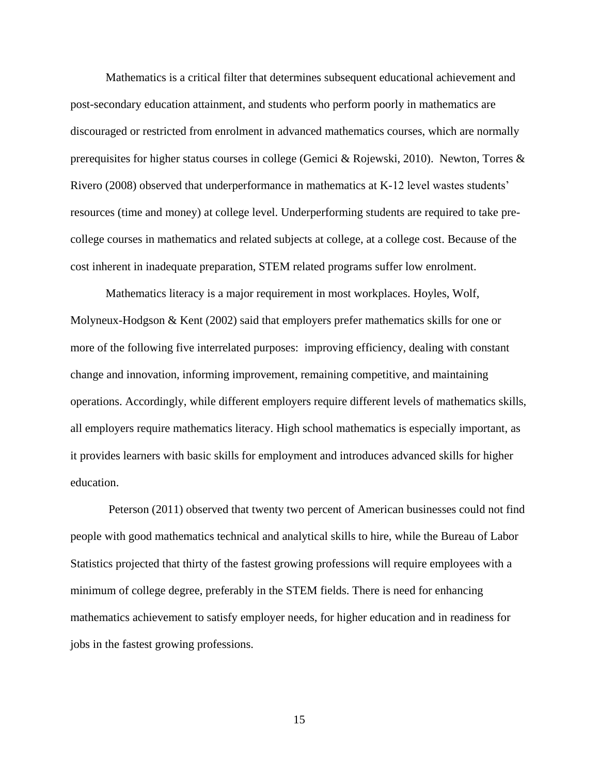Mathematics is a critical filter that determines subsequent educational achievement and post-secondary education attainment, and students who perform poorly in mathematics are discouraged or restricted from enrolment in advanced mathematics courses, which are normally prerequisites for higher status courses in college (Gemici & Rojewski, 2010). Newton, Torres & Rivero (2008) observed that underperformance in mathematics at K-12 level wastes students' resources (time and money) at college level. Underperforming students are required to take precollege courses in mathematics and related subjects at college, at a college cost. Because of the cost inherent in inadequate preparation, STEM related programs suffer low enrolment.

Mathematics literacy is a major requirement in most workplaces. Hoyles, Wolf, Molyneux-Hodgson & Kent (2002) said that employers prefer mathematics skills for one or more of the following five interrelated purposes: improving efficiency, dealing with constant change and innovation, informing improvement, remaining competitive, and maintaining operations. Accordingly, while different employers require different levels of mathematics skills, all employers require mathematics literacy. High school mathematics is especially important, as it provides learners with basic skills for employment and introduces advanced skills for higher education.

Peterson (2011) observed that twenty two percent of American businesses could not find people with good mathematics technical and analytical skills to hire, while the Bureau of Labor Statistics projected that thirty of the fastest growing professions will require employees with a minimum of college degree, preferably in the STEM fields. There is need for enhancing mathematics achievement to satisfy employer needs, for higher education and in readiness for jobs in the fastest growing professions.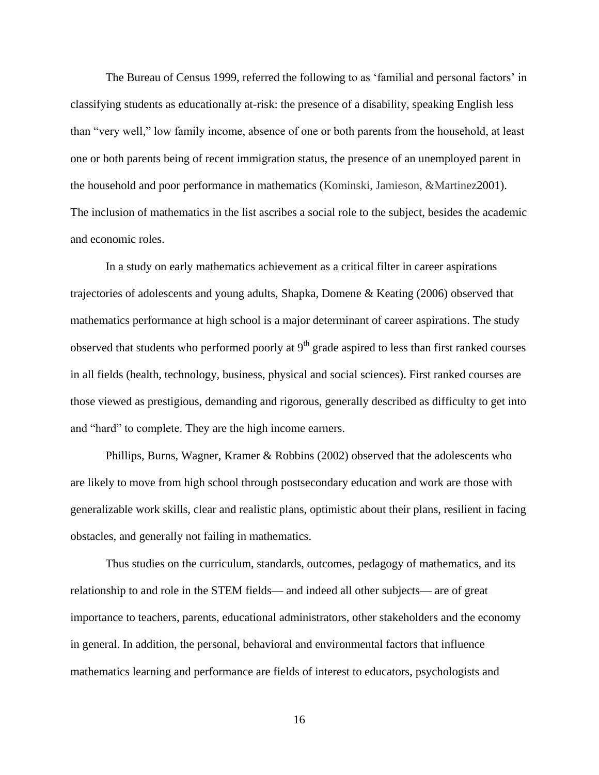The Bureau of Census 1999, referred the following to as 'familial and personal factors' in classifying students as educationally at-risk: the presence of a disability, speaking English less than "very well," low family income, absence of one or both parents from the household, at least one or both parents being of recent immigration status, the presence of an unemployed parent in the household and poor performance in mathematics (Kominski, Jamieson, &Martinez2001). The inclusion of mathematics in the list ascribes a social role to the subject, besides the academic and economic roles.

In a study on early mathematics achievement as a critical filter in career aspirations trajectories of adolescents and young adults, Shapka, Domene & Keating (2006) observed that mathematics performance at high school is a major determinant of career aspirations. The study observed that students who performed poorly at  $9<sup>th</sup>$  grade aspired to less than first ranked courses in all fields (health, technology, business, physical and social sciences). First ranked courses are those viewed as prestigious, demanding and rigorous, generally described as difficulty to get into and "hard" to complete. They are the high income earners.

[Phillips,](http://www.springerlink.com/content/?Author=Susan+D.+Phillips) [Burns,](http://www.springerlink.com/content/?Author=Barbara+J.+Burns) [Wagner,](http://www.springerlink.com/content/?Author=H.+Ryan+Wagner) [Kramer](http://www.springerlink.com/content/?Author=Teresa+L.+Kramer) & [Robbins](http://www.springerlink.com/content/?Author=James+M.+Robbins) (2002) observed that the adolescents who are likely to move from high school through postsecondary education and work are those with generalizable work skills, clear and realistic plans, optimistic about their plans, resilient in facing obstacles, and generally not failing in mathematics.

Thus studies on the curriculum, standards, outcomes, pedagogy of mathematics, and its relationship to and role in the STEM fields— and indeed all other subjects— are of great importance to teachers, parents, educational administrators, other stakeholders and the economy in general. In addition, the personal, behavioral and environmental factors that influence mathematics learning and performance are fields of interest to educators, psychologists and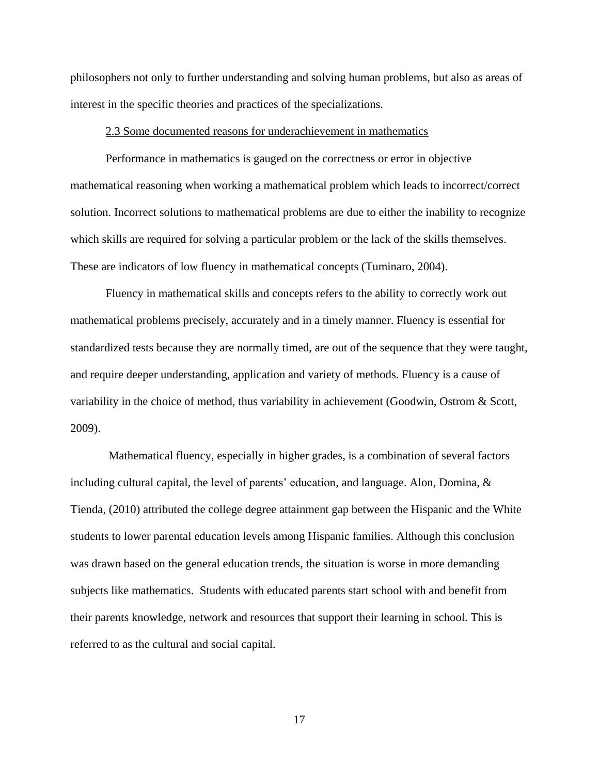philosophers not only to further understanding and solving human problems, but also as areas of interest in the specific theories and practices of the specializations.

#### 2.3 Some documented reasons for underachievement in mathematics

Performance in mathematics is gauged on the correctness or error in objective mathematical reasoning when working a mathematical problem which leads to incorrect/correct solution. Incorrect solutions to mathematical problems are due to either the inability to recognize which skills are required for solving a particular problem or the lack of the skills themselves. These are indicators of low fluency in mathematical concepts (Tuminaro, 2004).

Fluency in mathematical skills and concepts refers to the ability to correctly work out mathematical problems precisely, accurately and in a timely manner. Fluency is essential for standardized tests because they are normally timed, are out of the sequence that they were taught, and require deeper understanding, application and variety of methods. Fluency is a cause of variability in the choice of method, thus variability in achievement (Goodwin, Ostrom & Scott, 2009).

Mathematical fluency, especially in higher grades, is a combination of several factors including cultural capital, the level of parents' education, and language. Alon, Domina, & Tienda, (2010) attributed the college degree attainment gap between the Hispanic and the White students to lower parental education levels among Hispanic families. Although this conclusion was drawn based on the general education trends, the situation is worse in more demanding subjects like mathematics. Students with educated parents start school with and benefit from their parents knowledge, network and resources that support their learning in school. This is referred to as the cultural and social capital.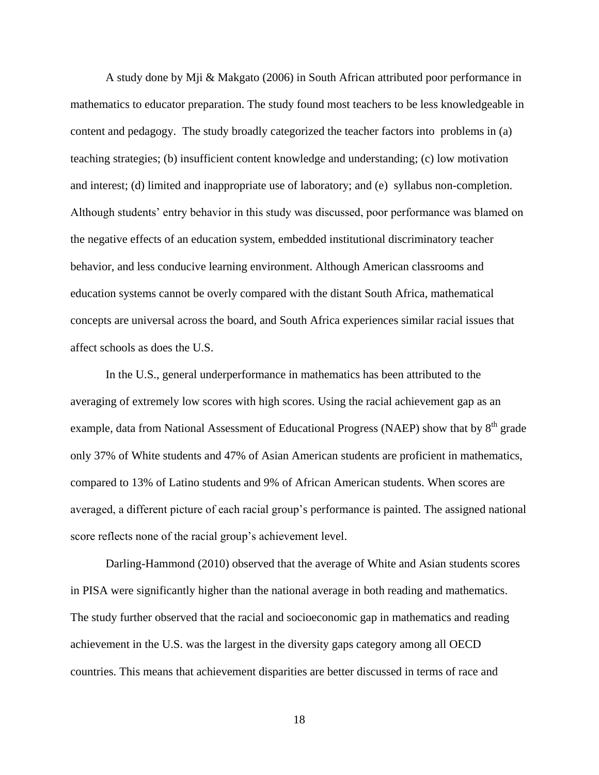A study done by Mji & Makgato (2006) in South African attributed poor performance in mathematics to educator preparation. The study found most teachers to be less knowledgeable in content and pedagogy. The study broadly categorized the teacher factors into problems in (a) teaching strategies; (b) insufficient content knowledge and understanding; (c) low motivation and interest; (d) limited and inappropriate use of laboratory; and (e) syllabus non-completion. Although students' entry behavior in this study was discussed, poor performance was blamed on the negative effects of an education system, embedded institutional discriminatory teacher behavior, and less conducive learning environment. Although American classrooms and education systems cannot be overly compared with the distant South Africa, mathematical concepts are universal across the board, and South Africa experiences similar racial issues that affect schools as does the U.S.

In the U.S., general underperformance in mathematics has been attributed to the averaging of extremely low scores with high scores. Using the racial achievement gap as an example, data from National Assessment of Educational Progress (NAEP) show that by 8<sup>th</sup> grade only 37% of White students and 47% of Asian American students are proficient in mathematics, compared to 13% of Latino students and 9% of African American students. When scores are averaged, a different picture of each racial group's performance is painted. The assigned national score reflects none of the racial group's achievement level.

Darling-Hammond (2010) observed that the average of White and Asian students scores in PISA were significantly higher than the national average in both reading and mathematics. The study further observed that the racial and socioeconomic gap in mathematics and reading achievement in the U.S. was the largest in the diversity gaps category among all OECD countries. This means that achievement disparities are better discussed in terms of race and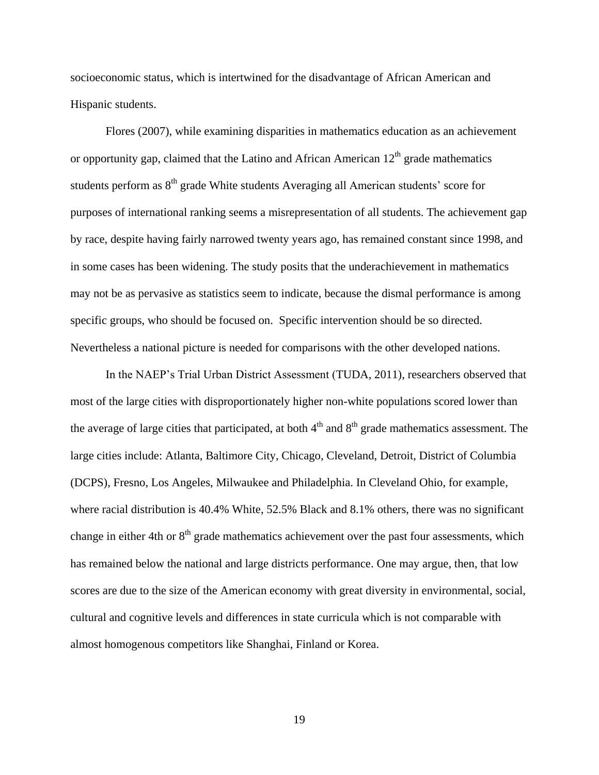socioeconomic status, which is intertwined for the disadvantage of African American and Hispanic students.

Flores (2007), while examining disparities in mathematics education as an achievement or opportunity gap, claimed that the Latino and African American  $12<sup>th</sup>$  grade mathematics students perform as 8<sup>th</sup> grade White students Averaging all American students' score for purposes of international ranking seems a misrepresentation of all students. The achievement gap by race, despite having fairly narrowed twenty years ago, has remained constant since 1998, and in some cases has been widening. The study posits that the underachievement in mathematics may not be as pervasive as statistics seem to indicate, because the dismal performance is among specific groups, who should be focused on. Specific intervention should be so directed. Nevertheless a national picture is needed for comparisons with the other developed nations.

In the NAEP's Trial Urban District Assessment (TUDA, 2011), researchers observed that most of the large cities with disproportionately higher non-white populations scored lower than the average of large cities that participated, at both  $4<sup>th</sup>$  and  $8<sup>th</sup>$  grade mathematics assessment. The large cities include: Atlanta, Baltimore City, Chicago, Cleveland, Detroit, District of Columbia (DCPS), Fresno, Los Angeles, Milwaukee and Philadelphia. In Cleveland Ohio, for example, where racial distribution is 40.4% White, 52.5% Black and 8.1% others, there was no significant change in either 4th or  $8<sup>th</sup>$  grade mathematics achievement over the past four assessments, which has remained below the national and large districts performance. One may argue, then, that low scores are due to the size of the American economy with great diversity in environmental, social, cultural and cognitive levels and differences in state curricula which is not comparable with almost homogenous competitors like Shanghai, Finland or Korea.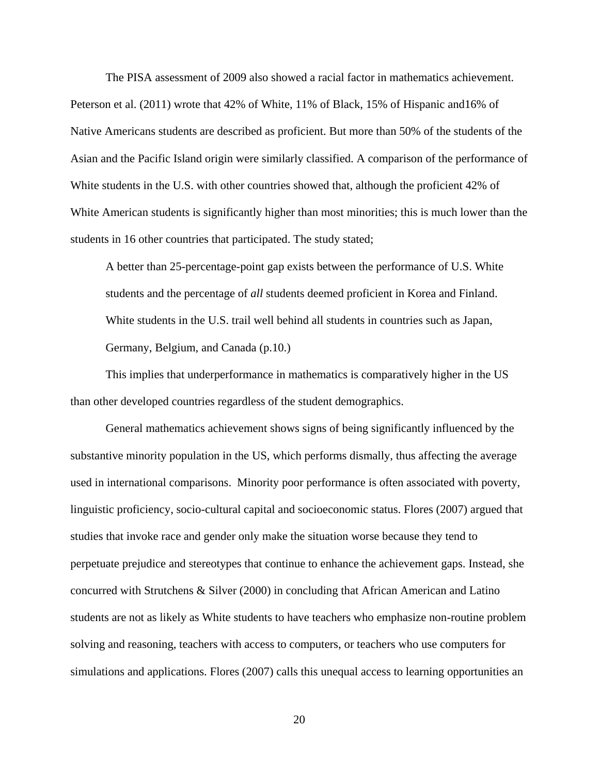The PISA assessment of 2009 also showed a racial factor in mathematics achievement. Peterson et al. (2011) wrote that 42% of White, 11% of Black, 15% of Hispanic and16% of Native Americans students are described as proficient. But more than 50% of the students of the Asian and the Pacific Island origin were similarly classified. A comparison of the performance of White students in the U.S. with other countries showed that, although the proficient 42% of White American students is significantly higher than most minorities; this is much lower than the students in 16 other countries that participated. The study stated;

A better than 25-percentage-point gap exists between the performance of U.S. White students and the percentage of *all* students deemed proficient in Korea and Finland. White students in the U.S. trail well behind all students in countries such as Japan, Germany, Belgium, and Canada (p.10.)

This implies that underperformance in mathematics is comparatively higher in the US than other developed countries regardless of the student demographics.

General mathematics achievement shows signs of being significantly influenced by the substantive minority population in the US, which performs dismally, thus affecting the average used in international comparisons. Minority poor performance is often associated with poverty, linguistic proficiency, socio-cultural capital and socioeconomic status. Flores (2007) argued that studies that invoke race and gender only make the situation worse because they tend to perpetuate prejudice and stereotypes that continue to enhance the achievement gaps. Instead, she concurred with Strutchens & Silver (2000) in concluding that African American and Latino students are not as likely as White students to have teachers who emphasize non-routine problem solving and reasoning, teachers with access to computers, or teachers who use computers for simulations and applications. Flores (2007) calls this unequal access to learning opportunities an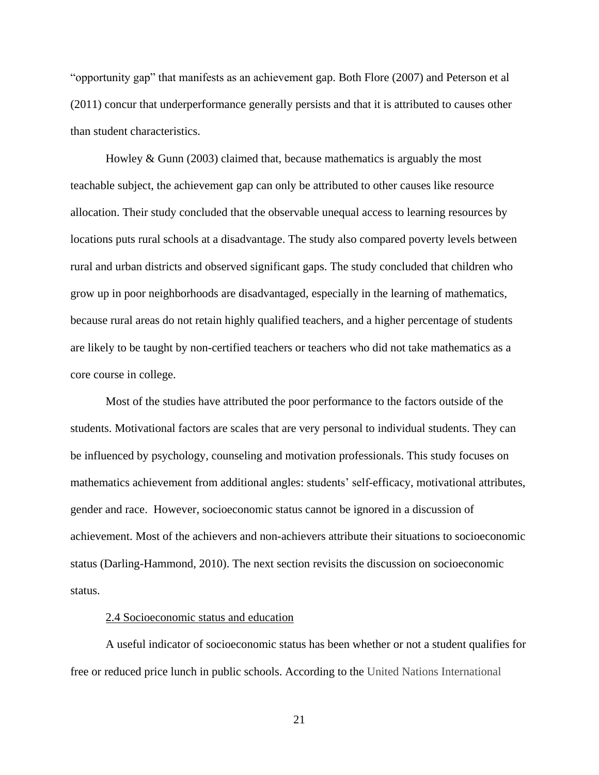"opportunity gap" that manifests as an achievement gap. Both Flore (2007) and Peterson et al (2011) concur that underperformance generally persists and that it is attributed to causes other than student characteristics.

Howley & Gunn (2003) claimed that, because mathematics is arguably the most teachable subject, the achievement gap can only be attributed to other causes like resource allocation. Their study concluded that the observable unequal access to learning resources by locations puts rural schools at a disadvantage. The study also compared poverty levels between rural and urban districts and observed significant gaps. The study concluded that children who grow up in poor neighborhoods are disadvantaged, especially in the learning of mathematics, because rural areas do not retain highly qualified teachers, and a higher percentage of students are likely to be taught by non-certified teachers or teachers who did not take mathematics as a core course in college.

Most of the studies have attributed the poor performance to the factors outside of the students. Motivational factors are scales that are very personal to individual students. They can be influenced by psychology, counseling and motivation professionals. This study focuses on mathematics achievement from additional angles: students' self-efficacy, motivational attributes, gender and race. However, socioeconomic status cannot be ignored in a discussion of achievement. Most of the achievers and non-achievers attribute their situations to socioeconomic status (Darling-Hammond, 2010). The next section revisits the discussion on socioeconomic status.

## 2.4 Socioeconomic status and education

A useful indicator of socioeconomic status has been whether or not a student qualifies for free or reduced price lunch in public schools. According to the United Nations International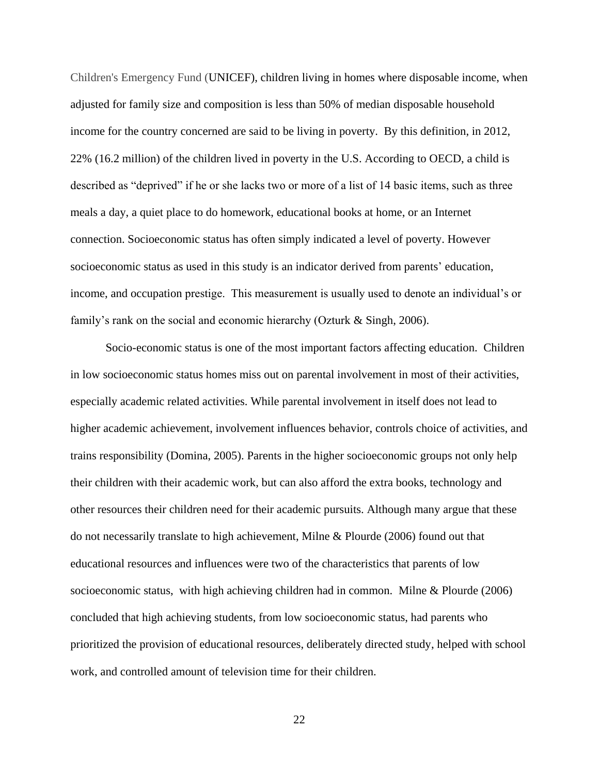Children's Emergency Fund (UNICEF), children living in homes where disposable income, when adjusted for family size and composition is less than 50% of median disposable household income for the country concerned are said to be living in poverty. By this definition, in 2012, 22% (16.2 million) of the children lived in poverty in the U.S. According to OECD, a child is described as "deprived" if he or she lacks two or more of a list of 14 basic items, such as three meals a day, a quiet place to do homework, educational books at home, or an Internet connection. Socioeconomic status has often simply indicated a level of poverty. However socioeconomic status as used in this study is an indicator derived from parents' education, income, and occupation prestige. This measurement is usually used to denote an individual's or family's rank on the social and economic hierarchy (Ozturk & Singh, 2006).

Socio-economic status is one of the most important factors affecting education. Children in low socioeconomic status homes miss out on parental involvement in most of their activities, especially academic related activities. While parental involvement in itself does not lead to higher academic achievement, involvement influences behavior, controls choice of activities, and trains responsibility (Domina, 2005). Parents in the higher socioeconomic groups not only help their children with their academic work, but can also afford the extra books, technology and other resources their children need for their academic pursuits. Although many argue that these do not necessarily translate to high achievement, Milne & Plourde (2006) found out that educational resources and influences were two of the characteristics that parents of low socioeconomic status, with high achieving children had in common. Milne & Plourde (2006) concluded that high achieving students, from low socioeconomic status, had parents who prioritized the provision of educational resources, deliberately directed study, helped with school work, and controlled amount of television time for their children.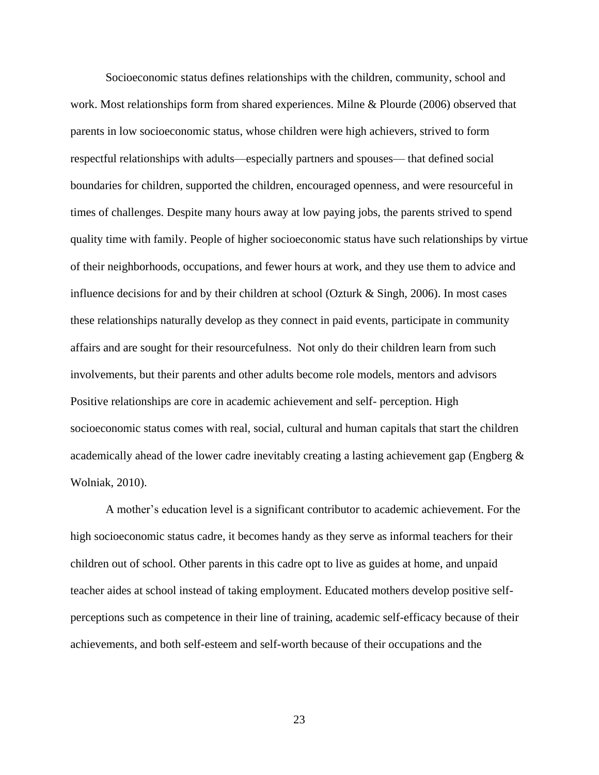Socioeconomic status defines relationships with the children, community, school and work. Most relationships form from shared experiences. Milne & Plourde (2006) observed that parents in low socioeconomic status, whose children were high achievers, strived to form respectful relationships with adults—especially partners and spouses— that defined social boundaries for children, supported the children, encouraged openness, and were resourceful in times of challenges. Despite many hours away at low paying jobs, the parents strived to spend quality time with family. People of higher socioeconomic status have such relationships by virtue of their neighborhoods, occupations, and fewer hours at work, and they use them to advice and influence decisions for and by their children at school (Ozturk & Singh, 2006). In most cases these relationships naturally develop as they connect in paid events, participate in community affairs and are sought for their resourcefulness. Not only do their children learn from such involvements, but their parents and other adults become role models, mentors and advisors Positive relationships are core in academic achievement and self- perception. High socioeconomic status comes with real, social, cultural and human capitals that start the children academically ahead of the lower cadre inevitably creating a lasting achievement gap (Engberg & Wolniak, 2010).

A mother's education level is a significant contributor to academic achievement. For the high socioeconomic status cadre, it becomes handy as they serve as informal teachers for their children out of school. Other parents in this cadre opt to live as guides at home, and unpaid teacher aides at school instead of taking employment. Educated mothers develop positive selfperceptions such as competence in their line of training, academic self-efficacy because of their achievements, and both self-esteem and self-worth because of their occupations and the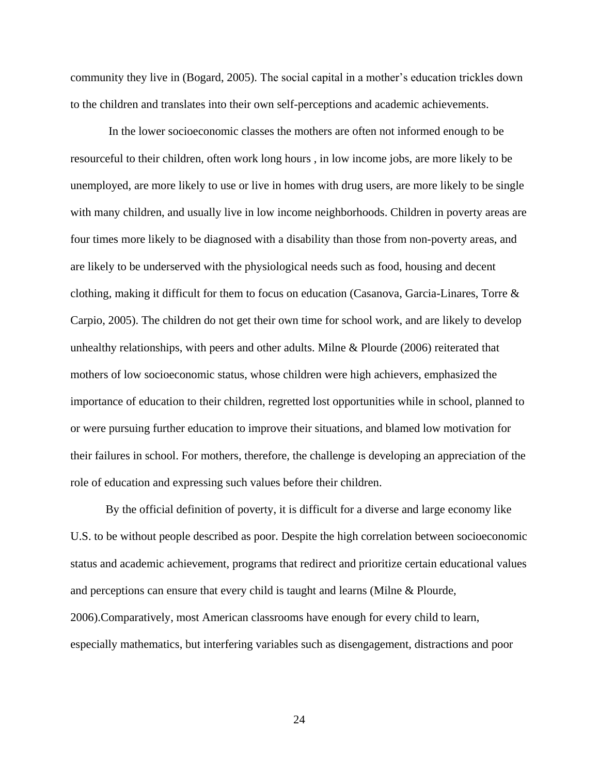community they live in (Bogard, 2005). The social capital in a mother's education trickles down to the children and translates into their own self-perceptions and academic achievements.

In the lower socioeconomic classes the mothers are often not informed enough to be resourceful to their children, often work long hours , in low income jobs, are more likely to be unemployed, are more likely to use or live in homes with drug users, are more likely to be single with many children, and usually live in low income neighborhoods. Children in poverty areas are four times more likely to be diagnosed with a disability than those from non-poverty areas, and are likely to be underserved with the physiological needs such as food, housing and decent clothing, making it difficult for them to focus on education (Casanova, Garcia-Linares, Torre & Carpio, 2005). The children do not get their own time for school work, and are likely to develop unhealthy relationships, with peers and other adults. Milne & Plourde (2006) reiterated that mothers of low socioeconomic status, whose children were high achievers, emphasized the importance of education to their children, regretted lost opportunities while in school, planned to or were pursuing further education to improve their situations, and blamed low motivation for their failures in school. For mothers, therefore, the challenge is developing an appreciation of the role of education and expressing such values before their children.

By the official definition of poverty, it is difficult for a diverse and large economy like U.S. to be without people described as poor. Despite the high correlation between socioeconomic status and academic achievement, programs that redirect and prioritize certain educational values and perceptions can ensure that every child is taught and learns (Milne & Plourde, 2006).Comparatively, most American classrooms have enough for every child to learn, especially mathematics, but interfering variables such as disengagement, distractions and poor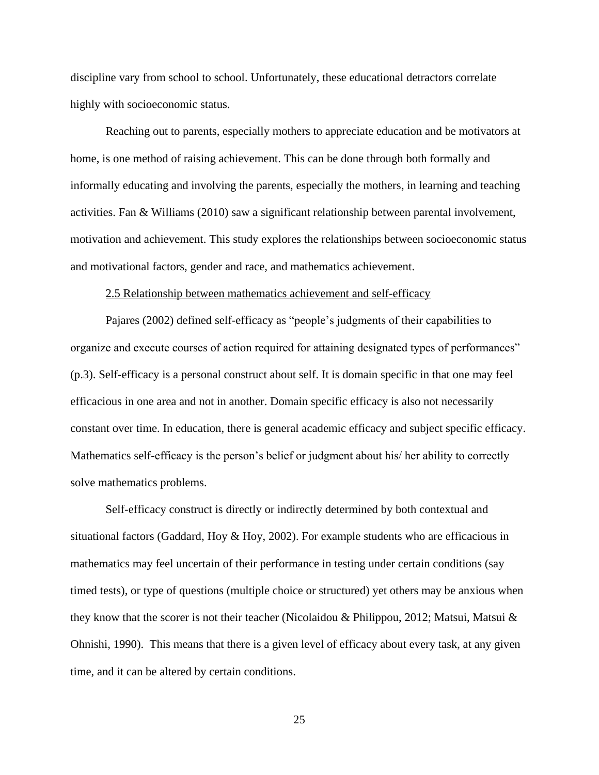discipline vary from school to school. Unfortunately, these educational detractors correlate highly with socioeconomic status.

Reaching out to parents, especially mothers to appreciate education and be motivators at home, is one method of raising achievement. This can be done through both formally and informally educating and involving the parents, especially the mothers, in learning and teaching activities. Fan & Williams (2010) saw a significant relationship between parental involvement, motivation and achievement. This study explores the relationships between socioeconomic status and motivational factors, gender and race, and mathematics achievement.

#### 2.5 Relationship between mathematics achievement and self-efficacy

Pajares (2002) defined self-efficacy as "people's judgments of their capabilities to organize and execute courses of action required for attaining designated types of performances" (p.3). Self-efficacy is a personal construct about self. It is domain specific in that one may feel efficacious in one area and not in another. Domain specific efficacy is also not necessarily constant over time. In education, there is general academic efficacy and subject specific efficacy. Mathematics self-efficacy is the person's belief or judgment about his/ her ability to correctly solve mathematics problems.

Self-efficacy construct is directly or indirectly determined by both contextual and situational factors (Gaddard, Hoy & Hoy, 2002). For example students who are efficacious in mathematics may feel uncertain of their performance in testing under certain conditions (say timed tests), or type of questions (multiple choice or structured) yet others may be anxious when they know that the scorer is not their teacher (Nicolaidou & Philippou, 2012; Matsui, Matsui & Ohnishi, 1990). This means that there is a given level of efficacy about every task, at any given time, and it can be altered by certain conditions.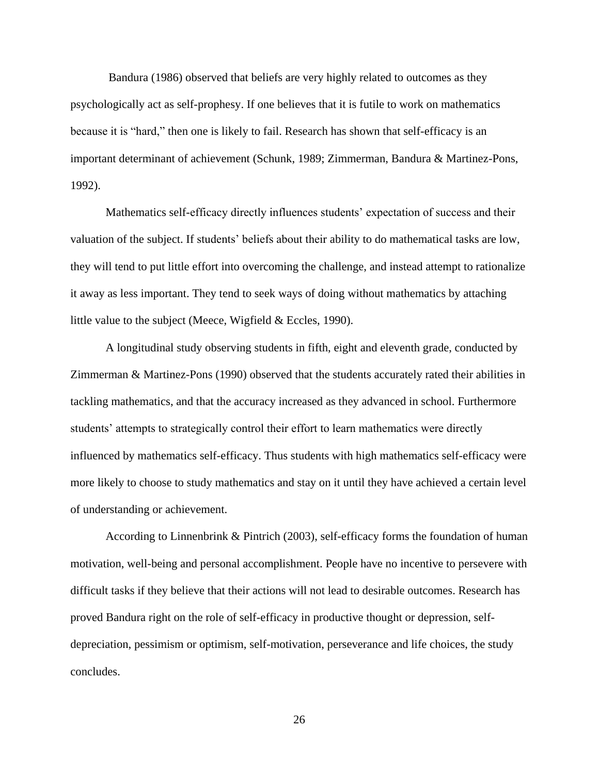Bandura (1986) observed that beliefs are very highly related to outcomes as they psychologically act as self-prophesy. If one believes that it is futile to work on mathematics because it is "hard," then one is likely to fail. Research has shown that self-efficacy is an important determinant of achievement (Schunk, 1989; Zimmerman, Bandura & Martinez-Pons, 1992).

Mathematics self-efficacy directly influences students' expectation of success and their valuation of the subject. If students' beliefs about their ability to do mathematical tasks are low, they will tend to put little effort into overcoming the challenge, and instead attempt to rationalize it away as less important. They tend to seek ways of doing without mathematics by attaching little value to the subject (Meece, Wigfield & Eccles, 1990).

A longitudinal study observing students in fifth, eight and eleventh grade, conducted by Zimmerman & Martinez-Pons (1990) observed that the students accurately rated their abilities in tackling mathematics, and that the accuracy increased as they advanced in school. Furthermore students' attempts to strategically control their effort to learn mathematics were directly influenced by mathematics self-efficacy. Thus students with high mathematics self-efficacy were more likely to choose to study mathematics and stay on it until they have achieved a certain level of understanding or achievement.

According to Linnenbrink & Pintrich (2003), self-efficacy forms the foundation of human motivation, well-being and personal accomplishment. People have no incentive to persevere with difficult tasks if they believe that their actions will not lead to desirable outcomes. Research has proved Bandura right on the role of self-efficacy in productive thought or depression, selfdepreciation, pessimism or optimism, self-motivation, perseverance and life choices, the study concludes.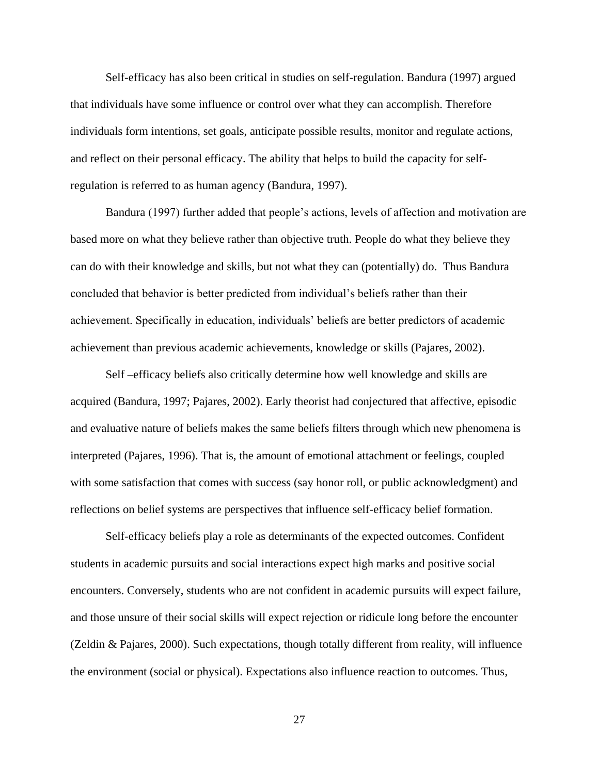Self-efficacy has also been critical in studies on self-regulation. Bandura (1997) argued that individuals have some influence or control over what they can accomplish. Therefore individuals form intentions, set goals, anticipate possible results, monitor and regulate actions, and reflect on their personal efficacy. The ability that helps to build the capacity for selfregulation is referred to as human agency (Bandura, 1997).

Bandura (1997) further added that people's actions, levels of affection and motivation are based more on what they believe rather than objective truth. People do what they believe they can do with their knowledge and skills, but not what they can (potentially) do. Thus Bandura concluded that behavior is better predicted from individual's beliefs rather than their achievement. Specifically in education, individuals' beliefs are better predictors of academic achievement than previous academic achievements, knowledge or skills (Pajares, 2002).

Self –efficacy beliefs also critically determine how well knowledge and skills are acquired (Bandura, 1997; Pajares, 2002). Early theorist had conjectured that affective, episodic and evaluative nature of beliefs makes the same beliefs filters through which new phenomena is interpreted (Pajares, 1996). That is, the amount of emotional attachment or feelings, coupled with some satisfaction that comes with success (say honor roll, or public acknowledgment) and reflections on belief systems are perspectives that influence self-efficacy belief formation.

Self-efficacy beliefs play a role as determinants of the expected outcomes. Confident students in academic pursuits and social interactions expect high marks and positive social encounters. Conversely, students who are not confident in academic pursuits will expect failure, and those unsure of their social skills will expect rejection or ridicule long before the encounter (Zeldin & Pajares, 2000). Such expectations, though totally different from reality, will influence the environment (social or physical). Expectations also influence reaction to outcomes. Thus,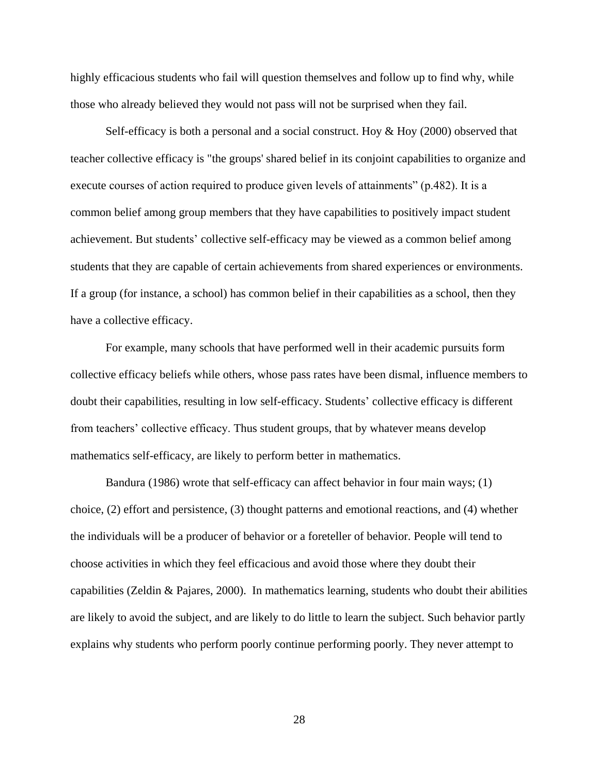highly efficacious students who fail will question themselves and follow up to find why, while those who already believed they would not pass will not be surprised when they fail.

Self-efficacy is both a personal and a social construct. Hoy  $&$  Hoy (2000) observed that teacher collective efficacy is "the groups' shared belief in its conjoint capabilities to organize and execute courses of action required to produce given levels of attainments" (p.482). It is a common belief among group members that they have capabilities to positively impact student achievement. But students' collective self-efficacy may be viewed as a common belief among students that they are capable of certain achievements from shared experiences or environments. If a group (for instance, a school) has common belief in their capabilities as a school, then they have a collective efficacy.

For example, many schools that have performed well in their academic pursuits form collective efficacy beliefs while others, whose pass rates have been dismal, influence members to doubt their capabilities, resulting in low self-efficacy. Students' collective efficacy is different from teachers' collective efficacy. Thus student groups, that by whatever means develop mathematics self-efficacy, are likely to perform better in mathematics.

Bandura (1986) wrote that self-efficacy can affect behavior in four main ways; (1) choice, (2) effort and persistence, (3) thought patterns and emotional reactions, and (4) whether the individuals will be a producer of behavior or a foreteller of behavior. People will tend to choose activities in which they feel efficacious and avoid those where they doubt their capabilities (Zeldin & Pajares, 2000). In mathematics learning, students who doubt their abilities are likely to avoid the subject, and are likely to do little to learn the subject. Such behavior partly explains why students who perform poorly continue performing poorly. They never attempt to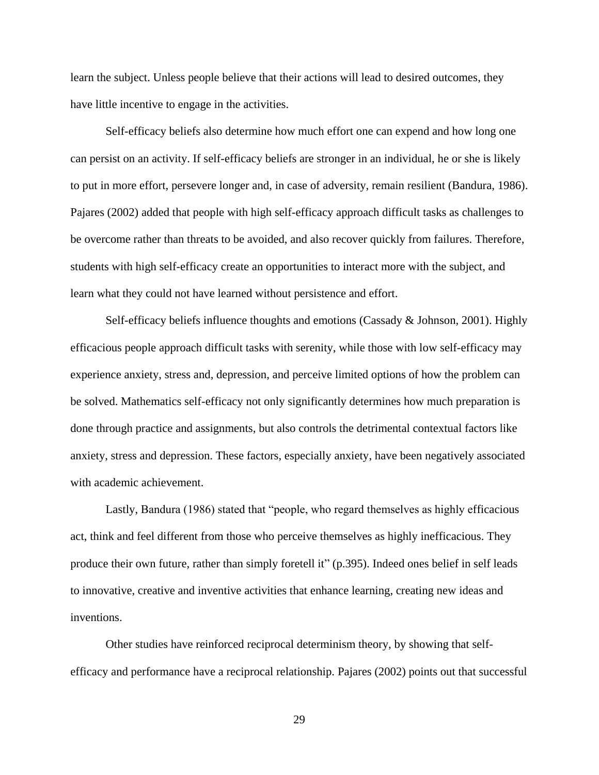learn the subject. Unless people believe that their actions will lead to desired outcomes, they have little incentive to engage in the activities.

Self-efficacy beliefs also determine how much effort one can expend and how long one can persist on an activity. If self-efficacy beliefs are stronger in an individual, he or she is likely to put in more effort, persevere longer and, in case of adversity, remain resilient (Bandura, 1986). Pajares (2002) added that people with high self-efficacy approach difficult tasks as challenges to be overcome rather than threats to be avoided, and also recover quickly from failures. Therefore, students with high self-efficacy create an opportunities to interact more with the subject, and learn what they could not have learned without persistence and effort.

Self-efficacy beliefs influence thoughts and emotions (Cassady & Johnson, 2001). Highly efficacious people approach difficult tasks with serenity, while those with low self-efficacy may experience anxiety, stress and, depression, and perceive limited options of how the problem can be solved. Mathematics self-efficacy not only significantly determines how much preparation is done through practice and assignments, but also controls the detrimental contextual factors like anxiety, stress and depression. These factors, especially anxiety, have been negatively associated with academic achievement.

Lastly, Bandura (1986) stated that "people, who regard themselves as highly efficacious act, think and feel different from those who perceive themselves as highly inefficacious. They produce their own future, rather than simply foretell it" (p.395). Indeed ones belief in self leads to innovative, creative and inventive activities that enhance learning, creating new ideas and inventions.

Other studies have reinforced reciprocal determinism theory, by showing that selfefficacy and performance have a reciprocal relationship. Pajares (2002) points out that successful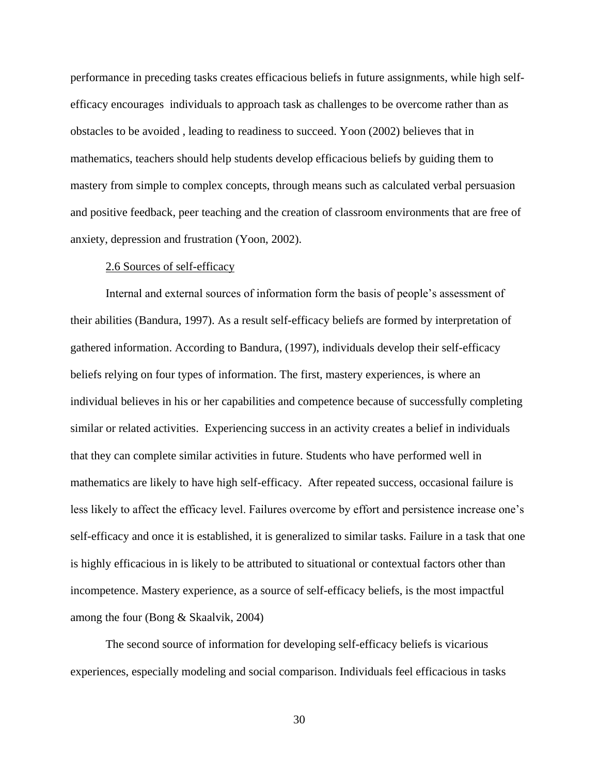performance in preceding tasks creates efficacious beliefs in future assignments, while high selfefficacy encourages individuals to approach task as challenges to be overcome rather than as obstacles to be avoided , leading to readiness to succeed. Yoon (2002) believes that in mathematics, teachers should help students develop efficacious beliefs by guiding them to mastery from simple to complex concepts, through means such as calculated verbal persuasion and positive feedback, peer teaching and the creation of classroom environments that are free of anxiety, depression and frustration (Yoon, 2002).

## 2.6 Sources of self-efficacy

Internal and external sources of information form the basis of people's assessment of their abilities (Bandura, 1997). As a result self-efficacy beliefs are formed by interpretation of gathered information. According to Bandura, (1997), individuals develop their self-efficacy beliefs relying on four types of information. The first, mastery experiences, is where an individual believes in his or her capabilities and competence because of successfully completing similar or related activities. Experiencing success in an activity creates a belief in individuals that they can complete similar activities in future. Students who have performed well in mathematics are likely to have high self-efficacy. After repeated success, occasional failure is less likely to affect the efficacy level. Failures overcome by effort and persistence increase one's self-efficacy and once it is established, it is generalized to similar tasks. Failure in a task that one is highly efficacious in is likely to be attributed to situational or contextual factors other than incompetence. Mastery experience, as a source of self-efficacy beliefs, is the most impactful among the four (Bong & Skaalvik, 2004)

The second source of information for developing self-efficacy beliefs is vicarious experiences, especially modeling and social comparison. Individuals feel efficacious in tasks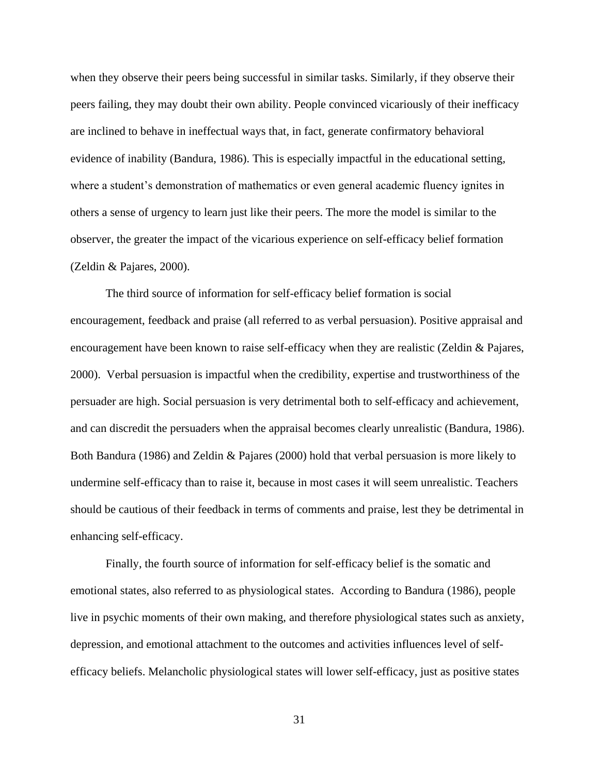when they observe their peers being successful in similar tasks. Similarly, if they observe their peers failing, they may doubt their own ability. People convinced vicariously of their inefficacy are inclined to behave in ineffectual ways that, in fact, generate confirmatory behavioral evidence of inability (Bandura, 1986). This is especially impactful in the educational setting, where a student's demonstration of mathematics or even general academic fluency ignites in others a sense of urgency to learn just like their peers. The more the model is similar to the observer, the greater the impact of the vicarious experience on self-efficacy belief formation (Zeldin & Pajares, 2000).

The third source of information for self-efficacy belief formation is social encouragement, feedback and praise (all referred to as verbal persuasion). Positive appraisal and encouragement have been known to raise self-efficacy when they are realistic (Zeldin & Pajares, 2000). Verbal persuasion is impactful when the credibility, expertise and trustworthiness of the persuader are high. Social persuasion is very detrimental both to self-efficacy and achievement, and can discredit the persuaders when the appraisal becomes clearly unrealistic (Bandura, 1986). Both Bandura (1986) and Zeldin & Pajares (2000) hold that verbal persuasion is more likely to undermine self-efficacy than to raise it, because in most cases it will seem unrealistic. Teachers should be cautious of their feedback in terms of comments and praise, lest they be detrimental in enhancing self-efficacy.

Finally, the fourth source of information for self-efficacy belief is the somatic and emotional states, also referred to as physiological states. According to Bandura (1986), people live in psychic moments of their own making, and therefore physiological states such as anxiety, depression, and emotional attachment to the outcomes and activities influences level of selfefficacy beliefs. Melancholic physiological states will lower self-efficacy, just as positive states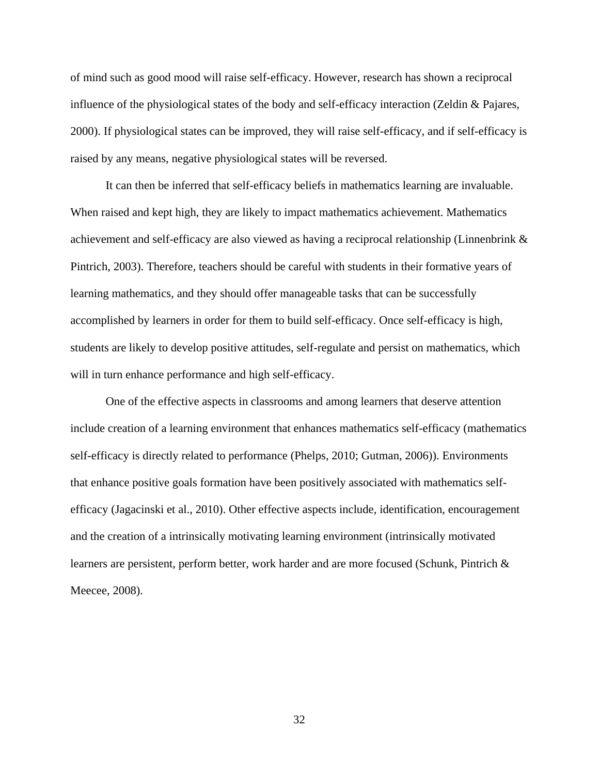of mind such as good mood will raise self-efficacy. However, research has shown a reciprocal influence of the physiological states of the body and self-efficacy interaction (Zeldin & Pajares, 2000). If physiological states can be improved, they will raise self-efficacy, and if self-efficacy is raised by any means, negative physiological states will be reversed.

It can then be inferred that self-efficacy beliefs in mathematics learning are invaluable. When raised and kept high, they are likely to impact mathematics achievement. Mathematics achievement and self-efficacy are also viewed as having a reciprocal relationship (Linnenbrink & Pintrich, 2003). Therefore, teachers should be careful with students in their formative years of learning mathematics, and they should offer manageable tasks that can be successfully accomplished by learners in order for them to build self-efficacy. Once self-efficacy is high, students are likely to develop positive attitudes, self-regulate and persist on mathematics, which will in turn enhance performance and high self-efficacy.

One of the effective aspects in classrooms and among learners that deserve attention include creation of a learning environment that enhances mathematics self-efficacy (mathematics self-efficacy is directly related to performance (Phelps, 2010; Gutman, 2006)). Environments that enhance positive goals formation have been positively associated with mathematics selfefficacy (Jagacinski et al., 2010). Other effective aspects include, identification, encouragement and the creation of a intrinsically motivating learning environment (intrinsically motivated learners are persistent, perform better, work harder and are more focused (Schunk, Pintrich & Meecee, 2008).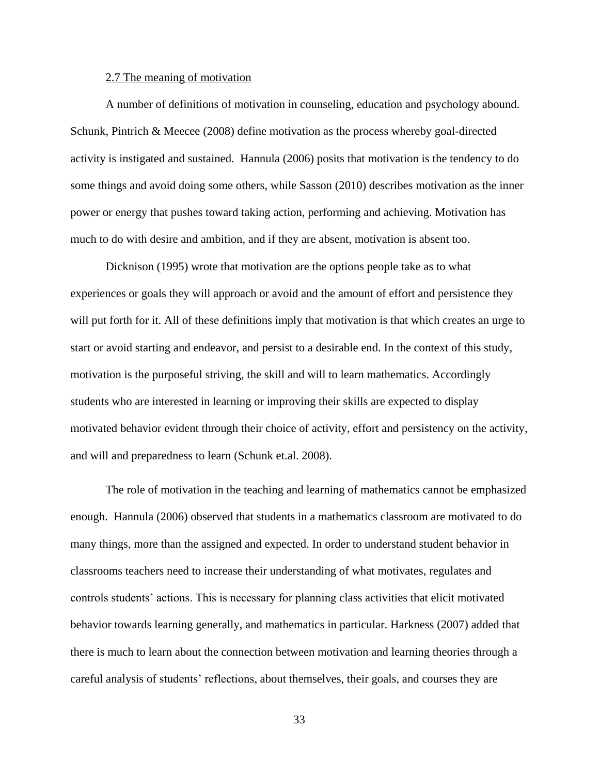## 2.7 The meaning of motivation

A number of definitions of motivation in counseling, education and psychology abound. Schunk, Pintrich & Meecee (2008) define motivation as the process whereby goal-directed activity is instigated and sustained. Hannula (2006) posits that motivation is the tendency to do some things and avoid doing some others, while Sasson (2010) describes motivation as the inner power or energy that pushes toward taking action, performing and achieving. Motivation has much to do with desire and ambition, and if they are absent, motivation is absent too.

Dicknison (1995) wrote that motivation are the options people take as to what experiences or goals they will approach or avoid and the amount of effort and persistence they will put forth for it. All of these definitions imply that motivation is that which creates an urge to start or avoid starting and endeavor, and persist to a desirable end. In the context of this study, motivation is the purposeful striving, the skill and will to learn mathematics. Accordingly students who are interested in learning or improving their skills are expected to display motivated behavior evident through their choice of activity, effort and persistency on the activity, and will and preparedness to learn (Schunk et.al. 2008).

The role of motivation in the teaching and learning of mathematics cannot be emphasized enough. Hannula (2006) observed that students in a mathematics classroom are motivated to do many things, more than the assigned and expected. In order to understand student behavior in classrooms teachers need to increase their understanding of what motivates, regulates and controls students' actions. This is necessary for planning class activities that elicit motivated behavior towards learning generally, and mathematics in particular. Harkness (2007) added that there is much to learn about the connection between motivation and learning theories through a careful analysis of students' reflections, about themselves, their goals, and courses they are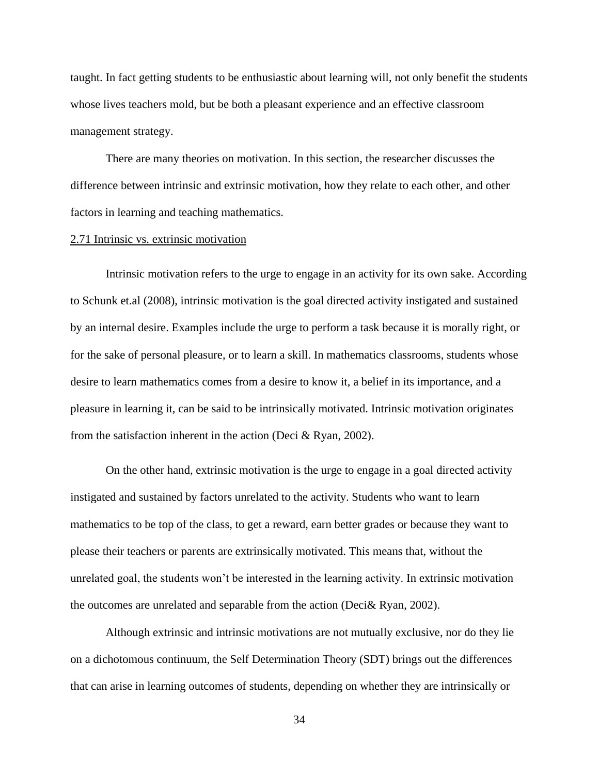taught. In fact getting students to be enthusiastic about learning will, not only benefit the students whose lives teachers mold, but be both a pleasant experience and an effective classroom management strategy.

There are many theories on motivation. In this section, the researcher discusses the difference between intrinsic and extrinsic motivation, how they relate to each other, and other factors in learning and teaching mathematics.

#### 2.71 Intrinsic vs. extrinsic motivation

Intrinsic motivation refers to the urge to engage in an activity for its own sake. According to Schunk et.al (2008), intrinsic motivation is the goal directed activity instigated and sustained by an internal desire. Examples include the urge to perform a task because it is morally right, or for the sake of personal pleasure, or to learn a skill. In mathematics classrooms, students whose desire to learn mathematics comes from a desire to know it, a belief in its importance, and a pleasure in learning it, can be said to be intrinsically motivated. Intrinsic motivation originates from the satisfaction inherent in the action (Deci & Ryan, 2002).

On the other hand, extrinsic motivation is the urge to engage in a goal directed activity instigated and sustained by factors unrelated to the activity. Students who want to learn mathematics to be top of the class, to get a reward, earn better grades or because they want to please their teachers or parents are extrinsically motivated. This means that, without the unrelated goal, the students won't be interested in the learning activity. In extrinsic motivation the outcomes are unrelated and separable from the action (Deci& Ryan, 2002).

Although extrinsic and intrinsic motivations are not mutually exclusive, nor do they lie on a dichotomous continuum, the Self Determination Theory (SDT) brings out the differences that can arise in learning outcomes of students, depending on whether they are intrinsically or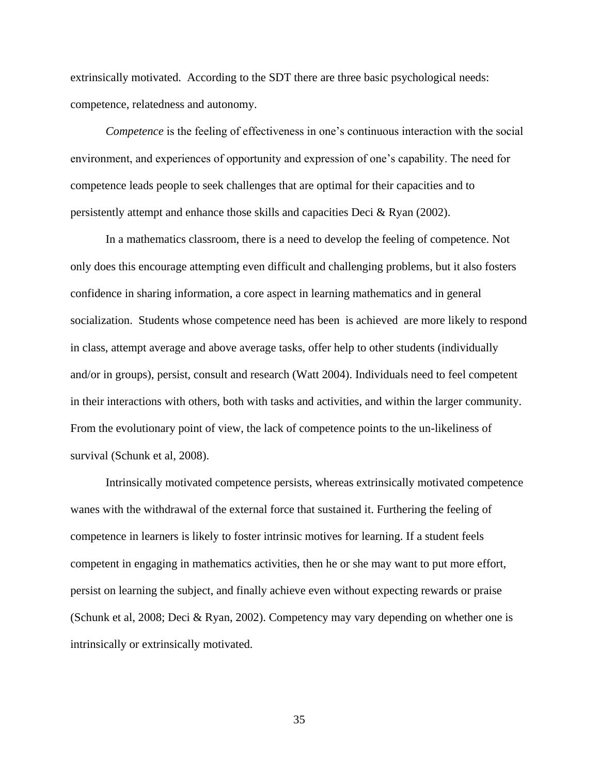extrinsically motivated. According to the SDT there are three basic psychological needs: competence, relatedness and autonomy.

*Competence* is the feeling of effectiveness in one's continuous interaction with the social environment, and experiences of opportunity and expression of one's capability. The need for competence leads people to seek challenges that are optimal for their capacities and to persistently attempt and enhance those skills and capacities Deci & Ryan (2002).

In a mathematics classroom, there is a need to develop the feeling of competence. Not only does this encourage attempting even difficult and challenging problems, but it also fosters confidence in sharing information, a core aspect in learning mathematics and in general socialization. Students whose competence need has been is achieved are more likely to respond in class, attempt average and above average tasks, offer help to other students (individually and/or in groups), persist, consult and research (Watt 2004). Individuals need to feel competent in their interactions with others, both with tasks and activities, and within the larger community. From the evolutionary point of view, the lack of competence points to the un-likeliness of survival (Schunk et al, 2008).

Intrinsically motivated competence persists, whereas extrinsically motivated competence wanes with the withdrawal of the external force that sustained it. Furthering the feeling of competence in learners is likely to foster intrinsic motives for learning. If a student feels competent in engaging in mathematics activities, then he or she may want to put more effort, persist on learning the subject, and finally achieve even without expecting rewards or praise (Schunk et al, 2008; Deci & Ryan, 2002). Competency may vary depending on whether one is intrinsically or extrinsically motivated.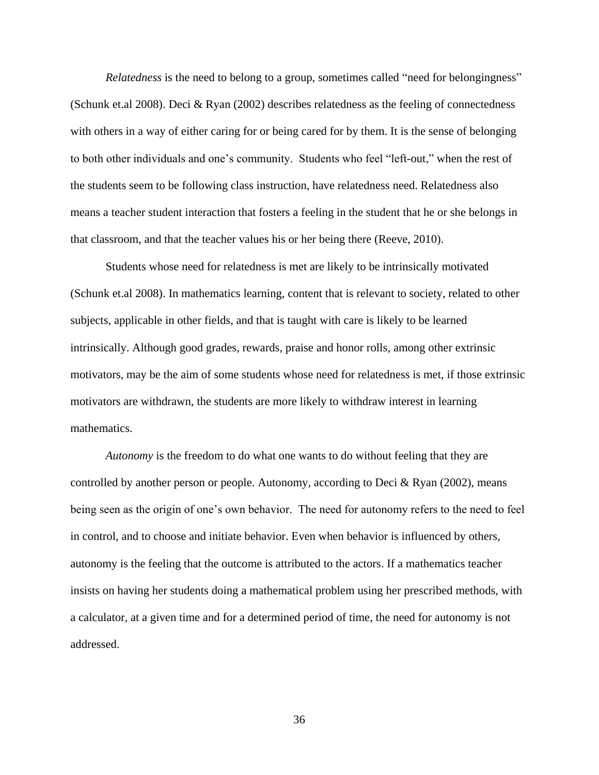*Relatedness* is the need to belong to a group, sometimes called "need for belongingness" (Schunk et.al 2008). Deci & Ryan (2002) describes relatedness as the feeling of connectedness with others in a way of either caring for or being cared for by them. It is the sense of belonging to both other individuals and one's community. Students who feel "left-out," when the rest of the students seem to be following class instruction, have relatedness need. Relatedness also means a teacher student interaction that fosters a feeling in the student that he or she belongs in that classroom, and that the teacher values his or her being there (Reeve, 2010).

Students whose need for relatedness is met are likely to be intrinsically motivated (Schunk et.al 2008). In mathematics learning, content that is relevant to society, related to other subjects, applicable in other fields, and that is taught with care is likely to be learned intrinsically. Although good grades, rewards, praise and honor rolls, among other extrinsic motivators, may be the aim of some students whose need for relatedness is met, if those extrinsic motivators are withdrawn, the students are more likely to withdraw interest in learning mathematics.

*Autonomy* is the freedom to do what one wants to do without feeling that they are controlled by another person or people. Autonomy, according to Deci  $\&$  Ryan (2002), means being seen as the origin of one's own behavior. The need for autonomy refers to the need to feel in control, and to choose and initiate behavior. Even when behavior is influenced by others, autonomy is the feeling that the outcome is attributed to the actors. If a mathematics teacher insists on having her students doing a mathematical problem using her prescribed methods, with a calculator, at a given time and for a determined period of time, the need for autonomy is not addressed.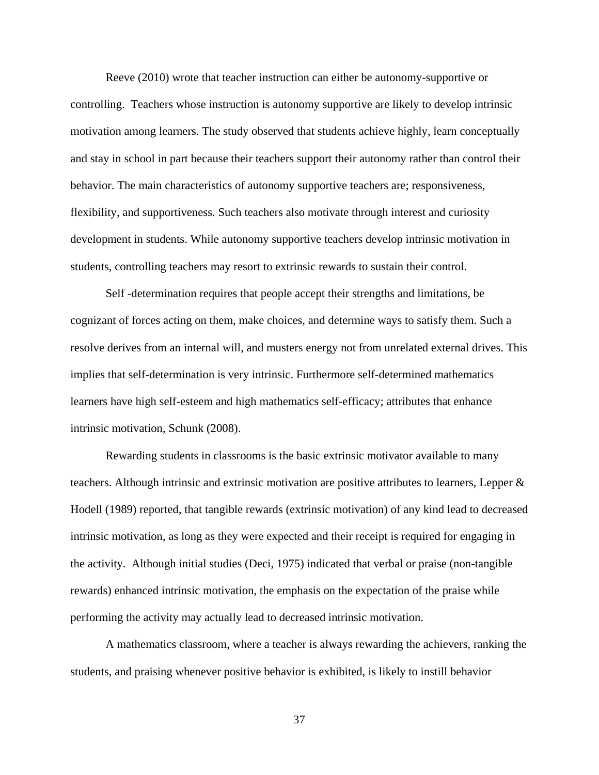Reeve (2010) wrote that teacher instruction can either be autonomy-supportive or controlling. Teachers whose instruction is autonomy supportive are likely to develop intrinsic motivation among learners. The study observed that students achieve highly, learn conceptually and stay in school in part because their teachers support their autonomy rather than control their behavior. The main characteristics of autonomy supportive teachers are; responsiveness, flexibility, and supportiveness. Such teachers also motivate through interest and curiosity development in students. While autonomy supportive teachers develop intrinsic motivation in students, controlling teachers may resort to extrinsic rewards to sustain their control.

Self -determination requires that people accept their strengths and limitations, be cognizant of forces acting on them, make choices, and determine ways to satisfy them. Such a resolve derives from an internal will, and musters energy not from unrelated external drives. This implies that self-determination is very intrinsic. Furthermore self-determined mathematics learners have high self-esteem and high mathematics self-efficacy; attributes that enhance intrinsic motivation, Schunk (2008).

Rewarding students in classrooms is the basic extrinsic motivator available to many teachers. Although intrinsic and extrinsic motivation are positive attributes to learners, Lepper & Hodell (1989) reported, that tangible rewards (extrinsic motivation) of any kind lead to decreased intrinsic motivation, as long as they were expected and their receipt is required for engaging in the activity. Although initial studies (Deci, 1975) indicated that verbal or praise (non-tangible rewards) enhanced intrinsic motivation, the emphasis on the expectation of the praise while performing the activity may actually lead to decreased intrinsic motivation.

A mathematics classroom, where a teacher is always rewarding the achievers, ranking the students, and praising whenever positive behavior is exhibited, is likely to instill behavior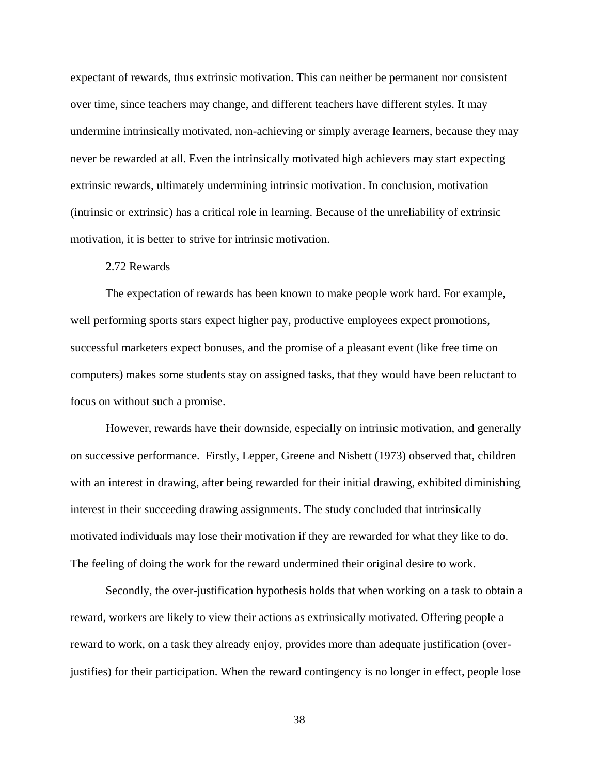expectant of rewards, thus extrinsic motivation. This can neither be permanent nor consistent over time, since teachers may change, and different teachers have different styles. It may undermine intrinsically motivated, non-achieving or simply average learners, because they may never be rewarded at all. Even the intrinsically motivated high achievers may start expecting extrinsic rewards, ultimately undermining intrinsic motivation. In conclusion, motivation (intrinsic or extrinsic) has a critical role in learning. Because of the unreliability of extrinsic motivation, it is better to strive for intrinsic motivation.

#### 2.72 Rewards

The expectation of rewards has been known to make people work hard. For example, well performing sports stars expect higher pay, productive employees expect promotions, successful marketers expect bonuses, and the promise of a pleasant event (like free time on computers) makes some students stay on assigned tasks, that they would have been reluctant to focus on without such a promise.

However, rewards have their downside, especially on intrinsic motivation, and generally on successive performance. Firstly, Lepper, Greene and Nisbett (1973) observed that, children with an interest in drawing, after being rewarded for their initial drawing, exhibited diminishing interest in their succeeding drawing assignments. The study concluded that intrinsically motivated individuals may lose their motivation if they are rewarded for what they like to do. The feeling of doing the work for the reward undermined their original desire to work.

Secondly, the over-justification hypothesis holds that when working on a task to obtain a reward, workers are likely to view their actions as extrinsically motivated. Offering people a reward to work, on a task they already enjoy, provides more than adequate justification (overjustifies) for their participation. When the reward contingency is no longer in effect, people lose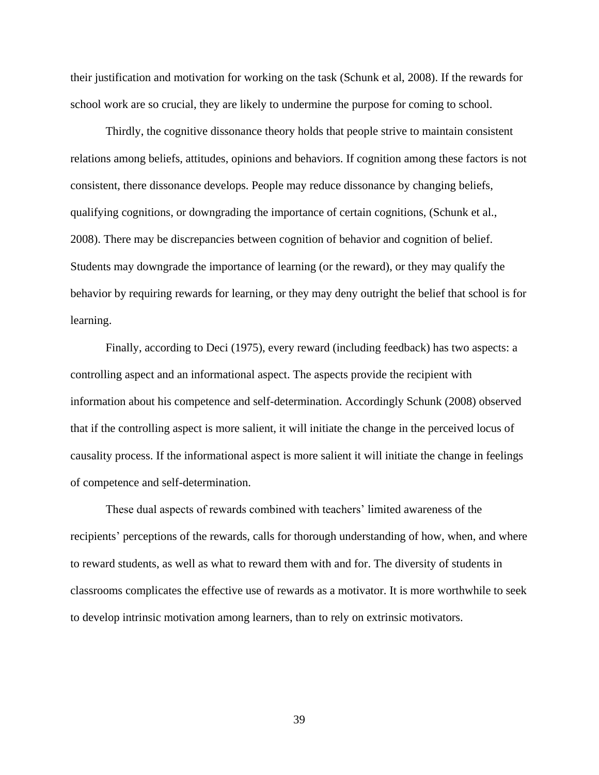their justification and motivation for working on the task (Schunk et al, 2008). If the rewards for school work are so crucial, they are likely to undermine the purpose for coming to school.

Thirdly, the cognitive dissonance theory holds that people strive to maintain consistent relations among beliefs, attitudes, opinions and behaviors. If cognition among these factors is not consistent, there dissonance develops. People may reduce dissonance by changing beliefs, qualifying cognitions, or downgrading the importance of certain cognitions, (Schunk et al., 2008). There may be discrepancies between cognition of behavior and cognition of belief. Students may downgrade the importance of learning (or the reward), or they may qualify the behavior by requiring rewards for learning, or they may deny outright the belief that school is for learning.

Finally, according to Deci (1975), every reward (including feedback) has two aspects: a controlling aspect and an informational aspect. The aspects provide the recipient with information about his competence and self-determination. Accordingly Schunk (2008) observed that if the controlling aspect is more salient, it will initiate the change in the perceived locus of causality process. If the informational aspect is more salient it will initiate the change in feelings of competence and self-determination.

These dual aspects of rewards combined with teachers' limited awareness of the recipients' perceptions of the rewards, calls for thorough understanding of how, when, and where to reward students, as well as what to reward them with and for. The diversity of students in classrooms complicates the effective use of rewards as a motivator. It is more worthwhile to seek to develop intrinsic motivation among learners, than to rely on extrinsic motivators.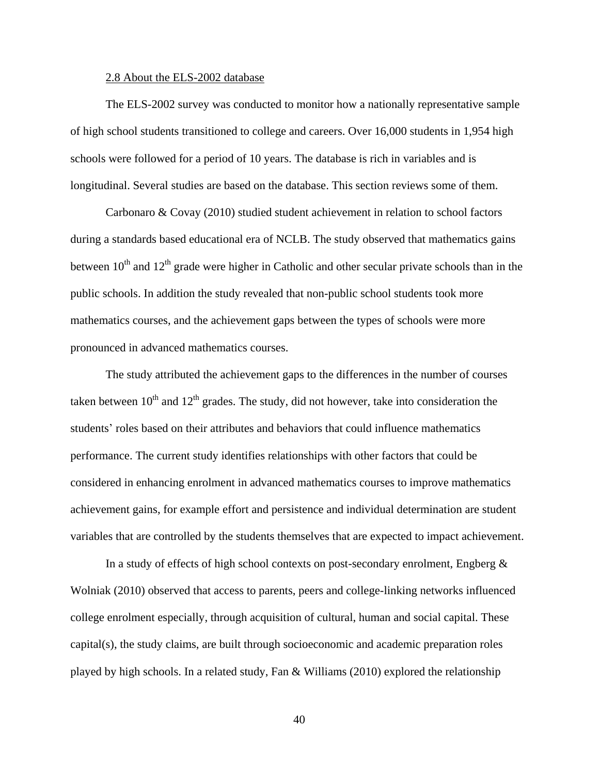#### 2.8 About the ELS-2002 database

The ELS-2002 survey was conducted to monitor how a nationally representative sample of high school students transitioned to college and careers. Over 16,000 students in 1,954 high schools were followed for a period of 10 years. The database is rich in variables and is longitudinal. Several studies are based on the database. This section reviews some of them.

Carbonaro & Covay (2010) studied student achievement in relation to school factors during a standards based educational era of NCLB. The study observed that mathematics gains between  $10^{th}$  and  $12^{th}$  grade were higher in Catholic and other secular private schools than in the public schools. In addition the study revealed that non-public school students took more mathematics courses, and the achievement gaps between the types of schools were more pronounced in advanced mathematics courses.

The study attributed the achievement gaps to the differences in the number of courses taken between  $10^{th}$  and  $12^{th}$  grades. The study, did not however, take into consideration the students' roles based on their attributes and behaviors that could influence mathematics performance. The current study identifies relationships with other factors that could be considered in enhancing enrolment in advanced mathematics courses to improve mathematics achievement gains, for example effort and persistence and individual determination are student variables that are controlled by the students themselves that are expected to impact achievement.

In a study of effects of high school contexts on post-secondary enrolment, Engberg & Wolniak (2010) observed that access to parents, peers and college-linking networks influenced college enrolment especially, through acquisition of cultural, human and social capital. These capital(s), the study claims, are built through socioeconomic and academic preparation roles played by high schools. In a related study, Fan & Williams (2010) explored the relationship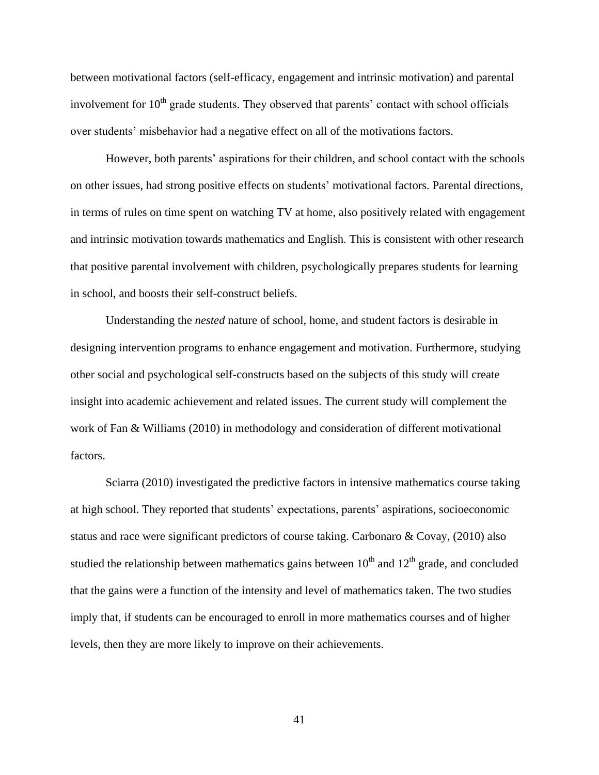between motivational factors (self-efficacy, engagement and intrinsic motivation) and parental involvement for  $10<sup>th</sup>$  grade students. They observed that parents' contact with school officials over students' misbehavior had a negative effect on all of the motivations factors.

However, both parents' aspirations for their children, and school contact with the schools on other issues, had strong positive effects on students' motivational factors. Parental directions, in terms of rules on time spent on watching TV at home, also positively related with engagement and intrinsic motivation towards mathematics and English. This is consistent with other research that positive parental involvement with children, psychologically prepares students for learning in school, and boosts their self-construct beliefs.

Understanding the *nested* nature of school, home, and student factors is desirable in designing intervention programs to enhance engagement and motivation. Furthermore, studying other social and psychological self-constructs based on the subjects of this study will create insight into academic achievement and related issues. The current study will complement the work of Fan & Williams (2010) in methodology and consideration of different motivational factors.

Sciarra (2010) investigated the predictive factors in intensive mathematics course taking at high school. They reported that students' expectations, parents' aspirations, socioeconomic status and race were significant predictors of course taking. Carbonaro & Covay, (2010) also studied the relationship between mathematics gains between  $10<sup>th</sup>$  and  $12<sup>th</sup>$  grade, and concluded that the gains were a function of the intensity and level of mathematics taken. The two studies imply that, if students can be encouraged to enroll in more mathematics courses and of higher levels, then they are more likely to improve on their achievements.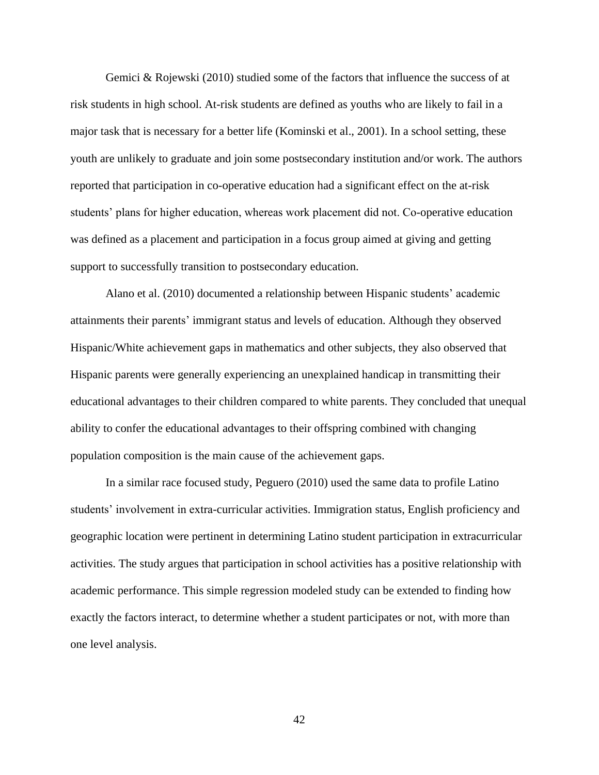Gemici & Rojewski (2010) studied some of the factors that influence the success of at risk students in high school. At-risk students are defined as youths who are likely to fail in a major task that is necessary for a better life (Kominski et al., 2001). In a school setting, these youth are unlikely to graduate and join some postsecondary institution and/or work. The authors reported that participation in co-operative education had a significant effect on the at-risk students' plans for higher education, whereas work placement did not. Co-operative education was defined as a placement and participation in a focus group aimed at giving and getting support to successfully transition to postsecondary education.

Alano et al. (2010) documented a relationship between Hispanic students' academic attainments their parents' immigrant status and levels of education. Although they observed Hispanic/White achievement gaps in mathematics and other subjects, they also observed that Hispanic parents were generally experiencing an unexplained handicap in transmitting their educational advantages to their children compared to white parents. They concluded that unequal ability to confer the educational advantages to their offspring combined with changing population composition is the main cause of the achievement gaps.

In a similar race focused study, Peguero (2010) used the same data to profile Latino students' involvement in extra-curricular activities. Immigration status, English proficiency and geographic location were pertinent in determining Latino student participation in extracurricular activities. The study argues that participation in school activities has a positive relationship with academic performance. This simple regression modeled study can be extended to finding how exactly the factors interact, to determine whether a student participates or not, with more than one level analysis.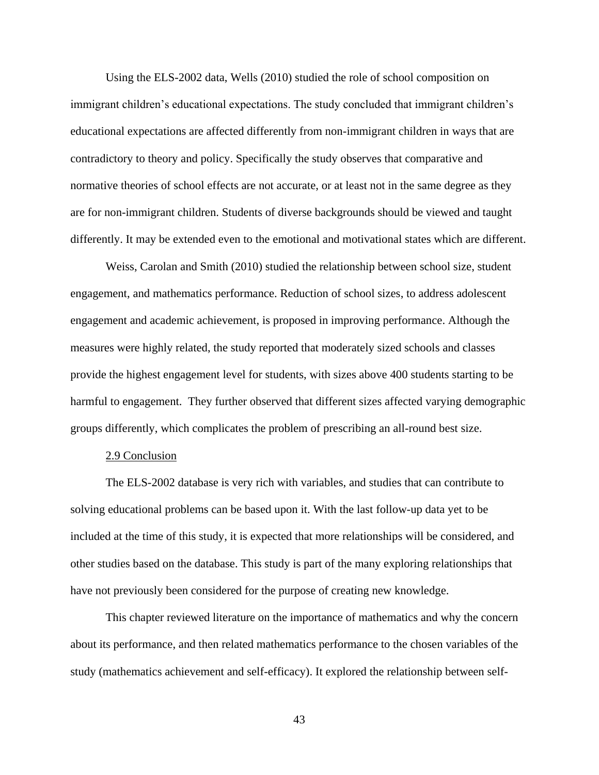Using the ELS-2002 data, Wells (2010) studied the role of school composition on immigrant children's educational expectations. The study concluded that immigrant children's educational expectations are affected differently from non-immigrant children in ways that are contradictory to theory and policy. Specifically the study observes that comparative and normative theories of school effects are not accurate, or at least not in the same degree as they are for non-immigrant children. Students of diverse backgrounds should be viewed and taught differently. It may be extended even to the emotional and motivational states which are different.

Weiss, Carolan and Smith (2010) studied the relationship between school size, student engagement, and mathematics performance. Reduction of school sizes, to address adolescent engagement and academic achievement, is proposed in improving performance. Although the measures were highly related, the study reported that moderately sized schools and classes provide the highest engagement level for students, with sizes above 400 students starting to be harmful to engagement. They further observed that different sizes affected varying demographic groups differently, which complicates the problem of prescribing an all-round best size.

## 2.9 Conclusion

The ELS-2002 database is very rich with variables, and studies that can contribute to solving educational problems can be based upon it. With the last follow-up data yet to be included at the time of this study, it is expected that more relationships will be considered, and other studies based on the database. This study is part of the many exploring relationships that have not previously been considered for the purpose of creating new knowledge.

This chapter reviewed literature on the importance of mathematics and why the concern about its performance, and then related mathematics performance to the chosen variables of the study (mathematics achievement and self-efficacy). It explored the relationship between self-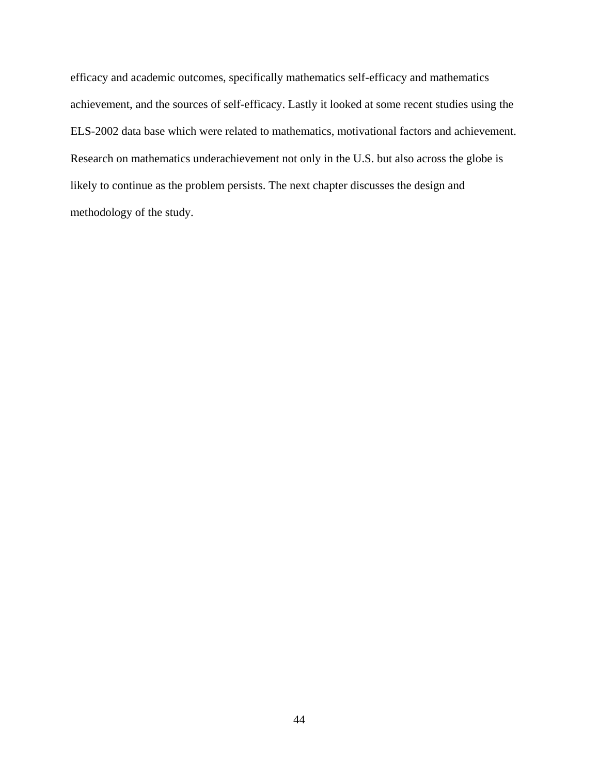efficacy and academic outcomes, specifically mathematics self-efficacy and mathematics achievement, and the sources of self-efficacy. Lastly it looked at some recent studies using the ELS-2002 data base which were related to mathematics, motivational factors and achievement. Research on mathematics underachievement not only in the U.S. but also across the globe is likely to continue as the problem persists. The next chapter discusses the design and methodology of the study.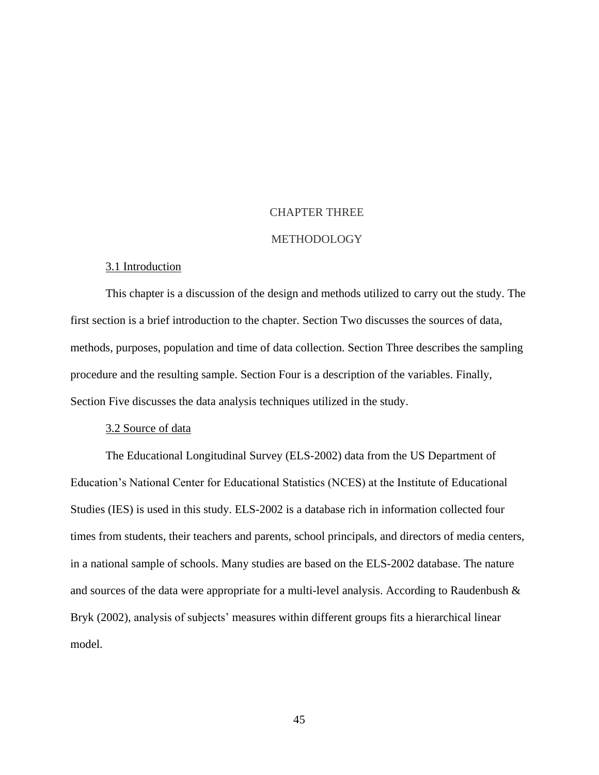# CHAPTER THREE

# METHODOLOGY

#### 3.1 Introduction

This chapter is a discussion of the design and methods utilized to carry out the study. The first section is a brief introduction to the chapter. Section Two discusses the sources of data, methods, purposes, population and time of data collection. Section Three describes the sampling procedure and the resulting sample. Section Four is a description of the variables. Finally, Section Five discusses the data analysis techniques utilized in the study.

#### 3.2 Source of data

The Educational Longitudinal Survey (ELS-2002) data from the US Department of Education's National Center for Educational Statistics (NCES) at the Institute of Educational Studies (IES) is used in this study. ELS-2002 is a database rich in information collected four times from students, their teachers and parents, school principals, and directors of media centers, in a national sample of schools. Many studies are based on the ELS-2002 database. The nature and sources of the data were appropriate for a multi-level analysis. According to Raudenbush & Bryk (2002), analysis of subjects' measures within different groups fits a hierarchical linear model.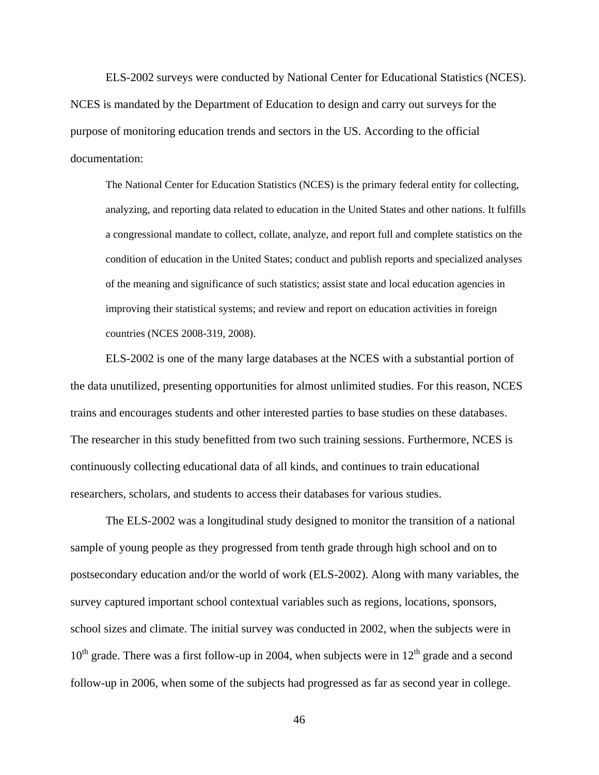ELS-2002 surveys were conducted by National Center for Educational Statistics (NCES). NCES is mandated by the Department of Education to design and carry out surveys for the purpose of monitoring education trends and sectors in the US. According to the official documentation:

The National Center for Education Statistics (NCES) is the primary federal entity for collecting, analyzing, and reporting data related to education in the United States and other nations. It fulfills a congressional mandate to collect, collate, analyze, and report full and complete statistics on the condition of education in the United States; conduct and publish reports and specialized analyses of the meaning and significance of such statistics; assist state and local education agencies in improving their statistical systems; and review and report on education activities in foreign countries (NCES 2008-319, 2008).

ELS-2002 is one of the many large databases at the NCES with a substantial portion of the data unutilized, presenting opportunities for almost unlimited studies. For this reason, NCES trains and encourages students and other interested parties to base studies on these databases. The researcher in this study benefitted from two such training sessions. Furthermore, NCES is continuously collecting educational data of all kinds, and continues to train educational researchers, scholars, and students to access their databases for various studies.

The ELS-2002 was a longitudinal study designed to monitor the transition of a national sample of young people as they progressed from tenth grade through high school and on to postsecondary education and/or the world of work (ELS-2002). Along with many variables, the survey captured important school contextual variables such as regions, locations, sponsors, school sizes and climate. The initial survey was conducted in 2002, when the subjects were in  $10<sup>th</sup>$  grade. There was a first follow-up in 2004, when subjects were in  $12<sup>th</sup>$  grade and a second follow-up in 2006, when some of the subjects had progressed as far as second year in college.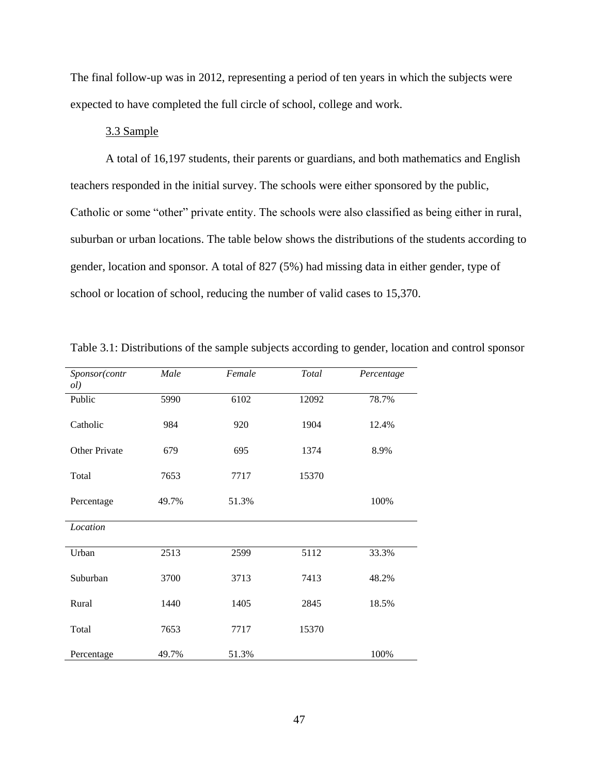The final follow-up was in 2012, representing a period of ten years in which the subjects were expected to have completed the full circle of school, college and work.

# 3.3 Sample

A total of 16,197 students, their parents or guardians, and both mathematics and English teachers responded in the initial survey. The schools were either sponsored by the public, Catholic or some "other" private entity. The schools were also classified as being either in rural, suburban or urban locations. The table below shows the distributions of the students according to gender, location and sponsor. A total of 827 (5%) had missing data in either gender, type of school or location of school, reducing the number of valid cases to 15,370.

| Sponsor(contr<br>ol) | Male  | Female | Total | Percentage |
|----------------------|-------|--------|-------|------------|
| Public               | 5990  | 6102   | 12092 | 78.7%      |
| Catholic             | 984   | 920    | 1904  | 12.4%      |
| Other Private        | 679   | 695    | 1374  | 8.9%       |
| Total                | 7653  | 7717   | 15370 |            |
| Percentage           | 49.7% | 51.3%  |       | 100%       |
| Location             |       |        |       |            |
| Urban                | 2513  | 2599   | 5112  | 33.3%      |
| Suburban             | 3700  | 3713   | 7413  | 48.2%      |
| Rural                | 1440  | 1405   | 2845  | 18.5%      |
| Total                | 7653  | 7717   | 15370 |            |
| Percentage           | 49.7% | 51.3%  |       | 100%       |

Table 3.1: Distributions of the sample subjects according to gender, location and control sponsor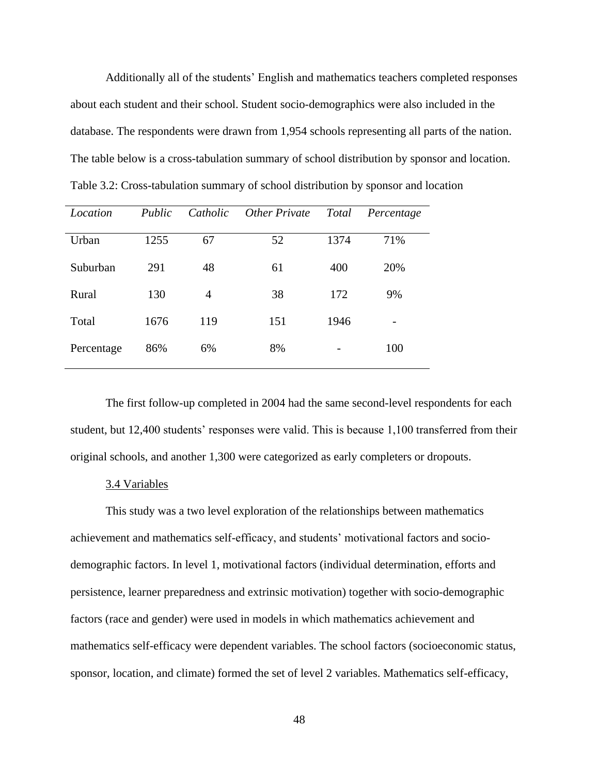Additionally all of the students' English and mathematics teachers completed responses about each student and their school. Student socio-demographics were also included in the database. The respondents were drawn from 1,954 schools representing all parts of the nation. The table below is a cross-tabulation summary of school distribution by sponsor and location. Table 3.2: Cross-tabulation summary of school distribution by sponsor and location

| Location   | Public | Catholic | Other Private | <b>Total</b> | Percentage |
|------------|--------|----------|---------------|--------------|------------|
| Urban      | 1255   | 67       | 52            | 1374         | 71%        |
| Suburban   | 291    | 48       | 61            | 400          | 20%        |
| Rural      | 130    | 4        | 38            | 172          | 9%         |
| Total      | 1676   | 119      | 151           | 1946         |            |
| Percentage | 86%    | 6%       | 8%            |              | 100        |

The first follow-up completed in 2004 had the same second-level respondents for each student, but 12,400 students' responses were valid. This is because 1,100 transferred from their original schools, and another 1,300 were categorized as early completers or dropouts.

# 3.4 Variables

This study was a two level exploration of the relationships between mathematics achievement and mathematics self-efficacy, and students' motivational factors and sociodemographic factors. In level 1, motivational factors (individual determination, efforts and persistence, learner preparedness and extrinsic motivation) together with socio-demographic factors (race and gender) were used in models in which mathematics achievement and mathematics self-efficacy were dependent variables. The school factors (socioeconomic status, sponsor, location, and climate) formed the set of level 2 variables. Mathematics self-efficacy,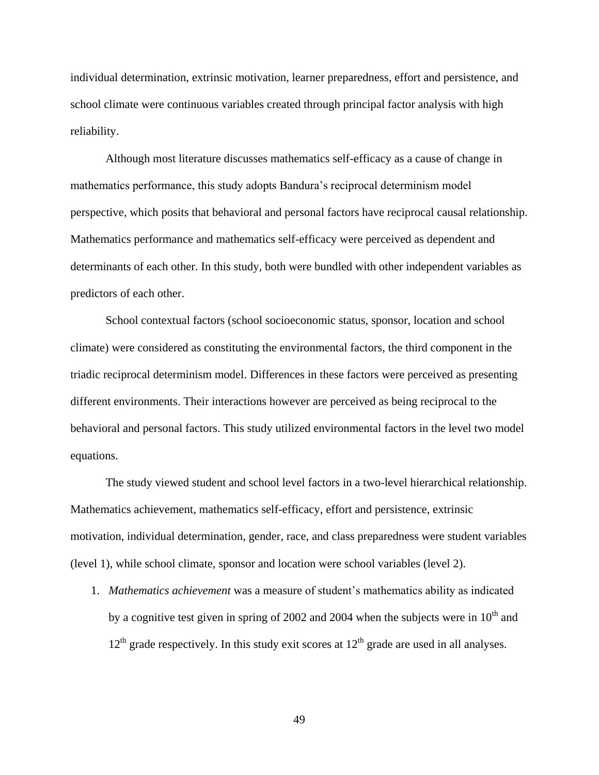individual determination, extrinsic motivation, learner preparedness, effort and persistence, and school climate were continuous variables created through principal factor analysis with high reliability.

Although most literature discusses mathematics self-efficacy as a cause of change in mathematics performance, this study adopts Bandura's reciprocal determinism model perspective, which posits that behavioral and personal factors have reciprocal causal relationship. Mathematics performance and mathematics self-efficacy were perceived as dependent and determinants of each other. In this study, both were bundled with other independent variables as predictors of each other.

School contextual factors (school socioeconomic status, sponsor, location and school climate) were considered as constituting the environmental factors, the third component in the triadic reciprocal determinism model. Differences in these factors were perceived as presenting different environments. Their interactions however are perceived as being reciprocal to the behavioral and personal factors. This study utilized environmental factors in the level two model equations.

The study viewed student and school level factors in a two-level hierarchical relationship. Mathematics achievement, mathematics self-efficacy, effort and persistence, extrinsic motivation, individual determination, gender, race, and class preparedness were student variables (level 1), while school climate, sponsor and location were school variables (level 2).

1. *Mathematics achievement* was a measure of student's mathematics ability as indicated by a cognitive test given in spring of 2002 and 2004 when the subjects were in  $10<sup>th</sup>$  and  $12<sup>th</sup>$  grade respectively. In this study exit scores at  $12<sup>th</sup>$  grade are used in all analyses.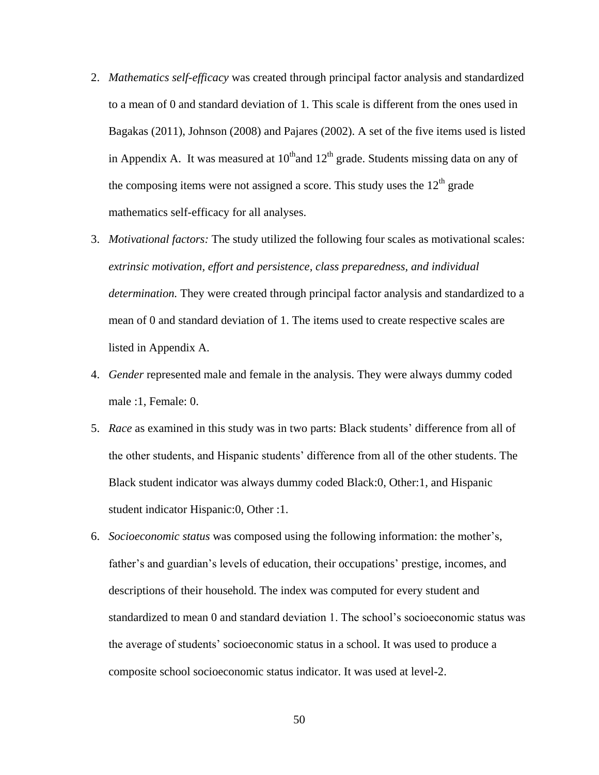- 2. *Mathematics self-efficacy* was created through principal factor analysis and standardized to a mean of 0 and standard deviation of 1. This scale is different from the ones used in Bagakas (2011), Johnson (2008) and Pajares (2002). A set of the five items used is listed in Appendix A. It was measured at  $10^{th}$  and  $12^{th}$  grade. Students missing data on any of the composing items were not assigned a score. This study uses the  $12<sup>th</sup>$  grade mathematics self-efficacy for all analyses.
- 3. *Motivational factors:* The study utilized the following four scales as motivational scales: *extrinsic motivation, effort and persistence, class preparedness, and individual determination.* They were created through principal factor analysis and standardized to a mean of 0 and standard deviation of 1. The items used to create respective scales are listed in Appendix A.
- 4. *Gender* represented male and female in the analysis. They were always dummy coded male :1, Female: 0.
- 5. *Race* as examined in this study was in two parts: Black students' difference from all of the other students, and Hispanic students' difference from all of the other students. The Black student indicator was always dummy coded Black:0, Other:1, and Hispanic student indicator Hispanic:0, Other :1.
- 6. *Socioeconomic status* was composed using the following information: the mother's, father's and guardian's levels of education, their occupations' prestige, incomes, and descriptions of their household. The index was computed for every student and standardized to mean 0 and standard deviation 1. The school's socioeconomic status was the average of students' socioeconomic status in a school. It was used to produce a composite school socioeconomic status indicator. It was used at level-2.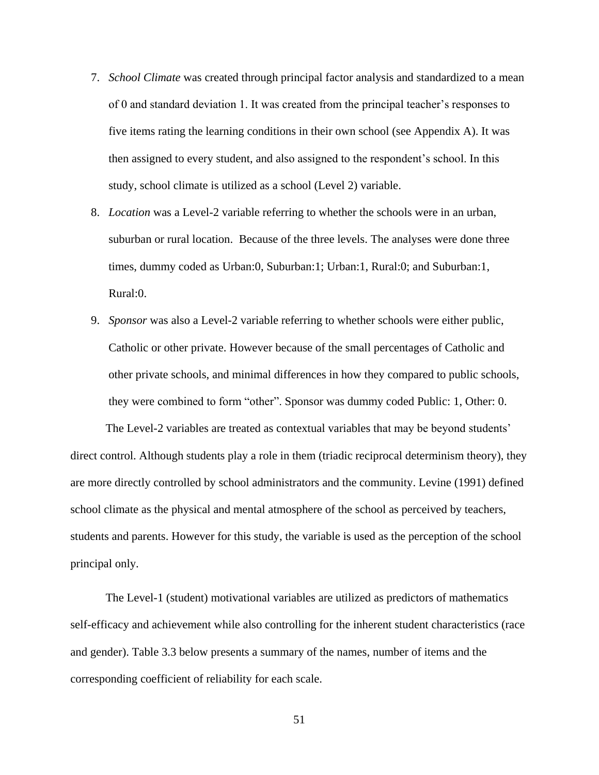- 7. *School Climate* was created through principal factor analysis and standardized to a mean of 0 and standard deviation 1. It was created from the principal teacher's responses to five items rating the learning conditions in their own school (see Appendix A). It was then assigned to every student, and also assigned to the respondent's school. In this study, school climate is utilized as a school (Level 2) variable.
- 8. *Location* was a Level-2 variable referring to whether the schools were in an urban, suburban or rural location. Because of the three levels. The analyses were done three times, dummy coded as Urban:0, Suburban:1; Urban:1, Rural:0; and Suburban:1, Rural:0.
- 9. *Sponsor* was also a Level-2 variable referring to whether schools were either public, Catholic or other private. However because of the small percentages of Catholic and other private schools, and minimal differences in how they compared to public schools, they were combined to form "other". Sponsor was dummy coded Public: 1, Other: 0.

The Level-2 variables are treated as contextual variables that may be beyond students' direct control. Although students play a role in them (triadic reciprocal determinism theory), they are more directly controlled by school administrators and the community. Levine (1991) defined school climate as the physical and mental atmosphere of the school as perceived by teachers, students and parents. However for this study, the variable is used as the perception of the school principal only.

The Level-1 (student) motivational variables are utilized as predictors of mathematics self-efficacy and achievement while also controlling for the inherent student characteristics (race and gender). Table 3.3 below presents a summary of the names, number of items and the corresponding coefficient of reliability for each scale.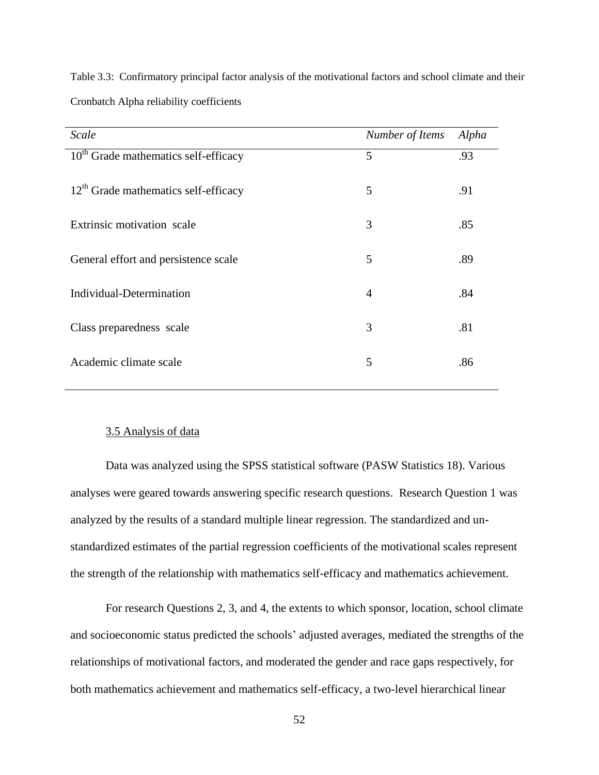| Scale                                  | Number of Items | Alpha |
|----------------------------------------|-----------------|-------|
| $10th$ Grade mathematics self-efficacy | 5               | .93   |
| $12th$ Grade mathematics self-efficacy | 5               | .91   |
| Extrinsic motivation scale             | 3               | .85   |
| General effort and persistence scale   | 5               | .89   |
| Individual-Determination               | $\overline{4}$  | .84   |
| Class preparedness scale               | 3               | .81   |
| Academic climate scale                 | 5               | .86   |

Table 3.3: Confirmatory principal factor analysis of the motivational factors and school climate and their Cronbatch Alpha reliability coefficients

#### 3.5 Analysis of data

Data was analyzed using the SPSS statistical software (PASW Statistics 18). Various analyses were geared towards answering specific research questions. Research Question 1 was analyzed by the results of a standard multiple linear regression. The standardized and unstandardized estimates of the partial regression coefficients of the motivational scales represent the strength of the relationship with mathematics self-efficacy and mathematics achievement.

For research Questions 2, 3, and 4, the extents to which sponsor, location, school climate and socioeconomic status predicted the schools' adjusted averages, mediated the strengths of the relationships of motivational factors, and moderated the gender and race gaps respectively, for both mathematics achievement and mathematics self-efficacy, a two-level hierarchical linear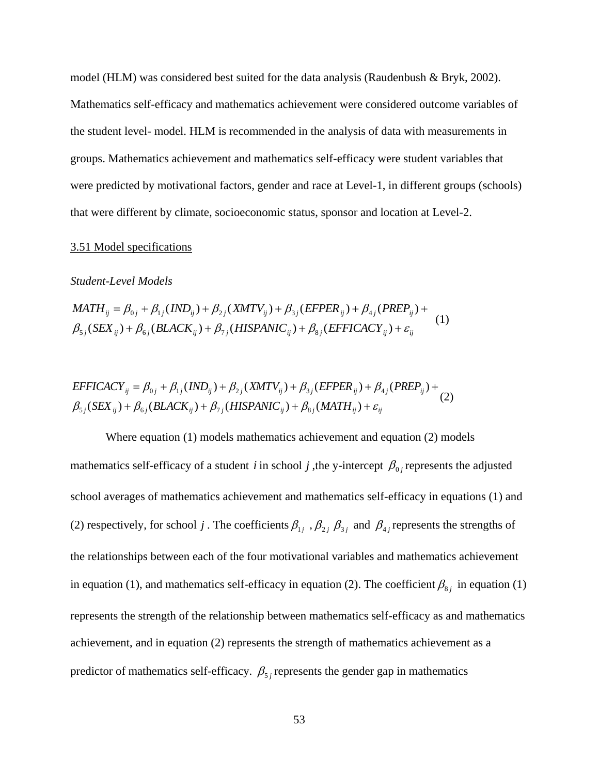model (HLM) was considered best suited for the data analysis (Raudenbush & Bryk, 2002). Mathematics self-efficacy and mathematics achievement were considered outcome variables of the student level- model. HLM is recommended in the analysis of data with measurements in groups. Mathematics achievement and mathematics self-efficacy were student variables that were predicted by motivational factors, gender and race at Level-1, in different groups (schools) that were different by climate, socioeconomic status, sponsor and location at Level-2.

# 3.51 Model specifications

# *Student-Level Models*

$$
MATH_{ij} = \beta_{0j} + \beta_{1j}(IND_{ij}) + \beta_{2j}(XMTV_{ij}) + \beta_{3j}(EFPER_{ij}) + \beta_{4j}(PREF_{ij}) + \n\beta_{5j}(SEX_{ij}) + \beta_{6j}(BLACK_{ij}) + \beta_{7j}(HISPANIC_{ij}) + \beta_{8j}(EFFICACY_{ij}) + \varepsilon_{ij}
$$
\n(1)

$$
EFFICACY_{ij} = \beta_{0j} + \beta_{1j}(IND_{ij}) + \beta_{2j}(XMTV_{ij}) + \beta_{3j}(EFPER_{ij}) + \beta_{4j}(PREF_{ij}) + \n\beta_{5j}(SEX_{ij}) + \beta_{6j}(BLACK_{ij}) + \beta_{7j}(HISPANIC_{ij}) + \beta_{8j}(MATH_{ij}) + \varepsilon_{ij}
$$
\n(2)

Where equation (1) models mathematics achievement and equation (2) models mathematics self-efficacy of a student *i* in school *j*, the y-intercept  $\beta_{0j}$  represents the adjusted school averages of mathematics achievement and mathematics self-efficacy in equations (1) and (2) respectively, for school *j*. The coefficients  $\beta_{1j}$ ,  $\beta_{2j}$ ,  $\beta_{3j}$  and  $\beta_{4j}$  represents the strengths of the relationships between each of the four motivational variables and mathematics achievement in equation (1), and mathematics self-efficacy in equation (2). The coefficient  $\beta_{8j}$  in equation (1) represents the strength of the relationship between mathematics self-efficacy as and mathematics achievement, and in equation (2) represents the strength of mathematics achievement as a predictor of mathematics self-efficacy.  $\beta_{5j}$  represents the gender gap in mathematics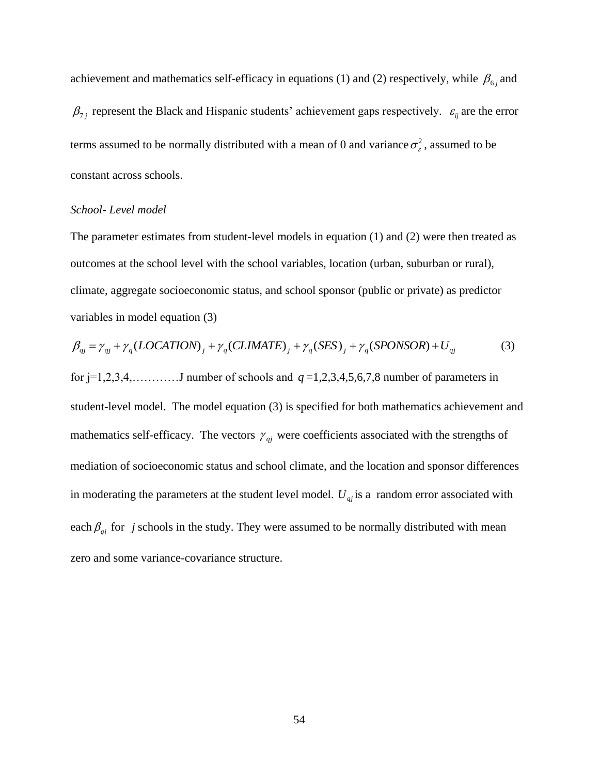achievement and mathematics self-efficacy in equations (1) and (2) respectively, while  $\beta_{6j}$  and  $\beta_{7j}$  represent the Black and Hispanic students' achievement gaps respectively.  $\varepsilon_{ij}$  are the error terms assumed to be normally distributed with a mean of 0 and variance  $\sigma_{\varepsilon}^2$ , assumed to be constant across schools.

#### *School- Level model*

The parameter estimates from student-level models in equation (1) and (2) were then treated as outcomes at the school level with the school variables, location (urban, suburban or rural), climate, aggregate socioeconomic status, and school sponsor (public or private) as predictor variables in model equation (3)

$$
\beta_{qj} = \gamma_{qj} + \gamma_q (LOCALION)_j + \gamma_q (CLIMATE)_j + \gamma_q (SES)_j + \gamma_q (SPONSOR) + U_{qj}
$$
(3)

for  $j=1,2,3,4,...$  J number of schools and  $q=1,2,3,4,5,6,7,8$  number of parameters in student-level model. The model equation (3) is specified for both mathematics achievement and mathematics self-efficacy. The vectors  $\gamma_{qj}$  were coefficients associated with the strengths of mediation of socioeconomic status and school climate, and the location and sponsor differences in moderating the parameters at the student level model.  $U_{qj}$  is a random error associated with each  $\beta_{qj}$  for *j* schools in the study. They were assumed to be normally distributed with mean zero and some variance-covariance structure.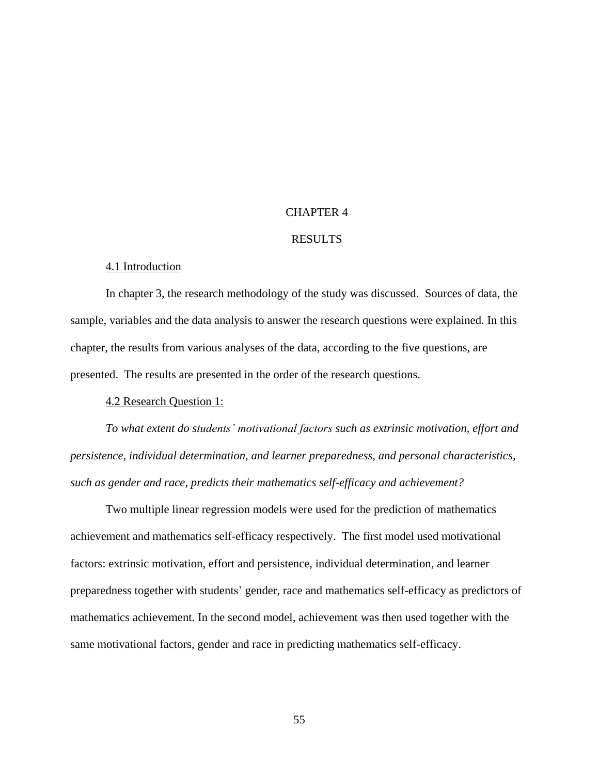# CHAPTER 4

### RESULTS

#### 4.1 Introduction

In chapter 3, the research methodology of the study was discussed. Sources of data, the sample, variables and the data analysis to answer the research questions were explained. In this chapter, the results from various analyses of the data, according to the five questions, are presented. The results are presented in the order of the research questions.

4.2 Research Question 1:

*To what extent do students' motivational factors such as extrinsic motivation, effort and persistence, individual determination, and learner preparedness, and personal characteristics, such as gender and race, predicts their mathematics self-efficacy and achievement?* 

Two multiple linear regression models were used for the prediction of mathematics achievement and mathematics self-efficacy respectively. The first model used motivational factors: extrinsic motivation, effort and persistence, individual determination, and learner preparedness together with students' gender, race and mathematics self-efficacy as predictors of mathematics achievement. In the second model, achievement was then used together with the same motivational factors, gender and race in predicting mathematics self-efficacy.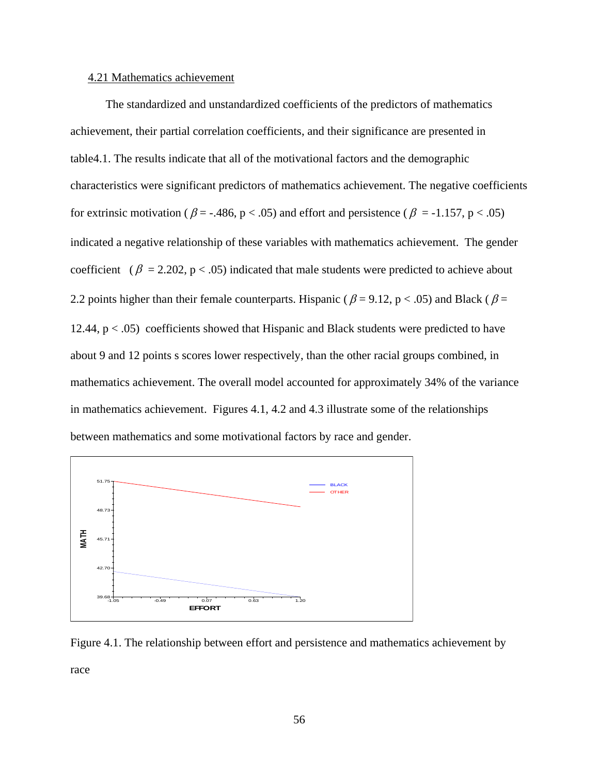# 4.21 Mathematics achievement

The standardized and unstandardized coefficients of the predictors of mathematics achievement, their partial correlation coefficients, and their significance are presented in table4.1. The results indicate that all of the motivational factors and the demographic characteristics were significant predictors of mathematics achievement. The negative coefficients for extrinsic motivation ( $\beta$  = -.486, p < .05) and effort and persistence ( $\beta$  = -1.157, p < .05) indicated a negative relationship of these variables with mathematics achievement. The gender coefficient ( $\beta = 2.202$ ,  $p < .05$ ) indicated that male students were predicted to achieve about 2.2 points higher than their female counterparts. Hispanic ( $\beta$  = 9.12, p < .05) and Black ( $\beta$  = 12.44,  $p < .05$ ) coefficients showed that Hispanic and Black students were predicted to have about 9 and 12 points s scores lower respectively, than the other racial groups combined, in mathematics achievement. The overall model accounted for approximately 34% of the variance in mathematics achievement. Figures 4.1, 4.2 and 4.3 illustrate some of the relationships between mathematics and some motivational factors by race and gender.



Figure 4.1. The relationship between effort and persistence and mathematics achievement by race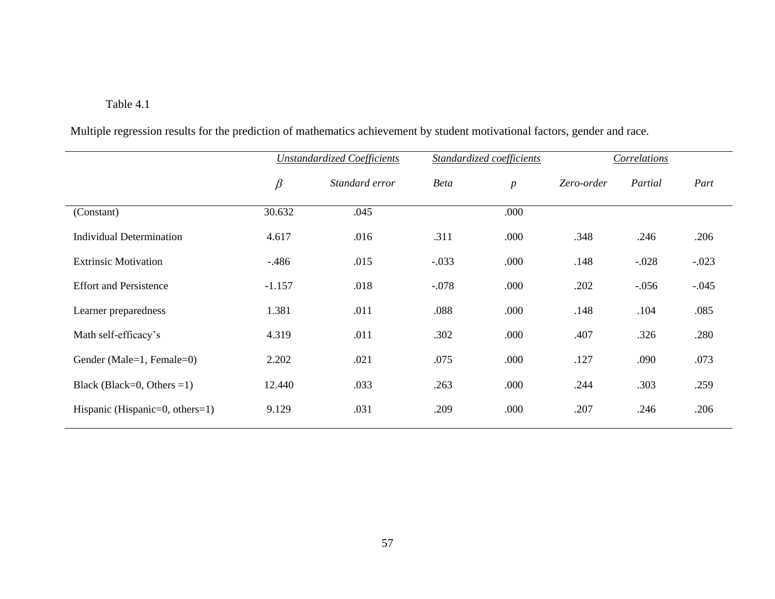# Table 4.1

Multiple regression results for the prediction of mathematics achievement by student motivational factors, gender and race.

|                                 | <b>Unstandardized Coefficients</b> |                |             | Standardized coefficients | Correlations |         |         |
|---------------------------------|------------------------------------|----------------|-------------|---------------------------|--------------|---------|---------|
|                                 | $\beta$                            | Standard error | <b>Beta</b> | $\boldsymbol{p}$          | Zero-order   | Partial | Part    |
| (Constant)                      | 30.632                             | .045           |             | .000                      |              |         |         |
| Individual Determination        | 4.617                              | .016           | .311        | .000                      | .348         | .246    | .206    |
| <b>Extrinsic Motivation</b>     | $-.486$                            | .015           | $-.033$     | .000                      | .148         | $-.028$ | $-.023$ |
| <b>Effort and Persistence</b>   | $-1.157$                           | .018           | $-.078$     | .000                      | .202         | $-.056$ | $-.045$ |
| Learner preparedness            | 1.381                              | .011           | .088        | .000                      | .148         | .104    | .085    |
| Math self-efficacy's            | 4.319                              | .011           | .302        | .000                      | .407         | .326    | .280    |
| Gender (Male=1, Female=0)       | 2.202                              | .021           | .075        | .000                      | .127         | .090    | .073    |
| Black (Black=0, Others =1)      | 12.440                             | .033           | .263        | .000                      | .244         | .303    | .259    |
| Hispanic (Hispanic=0, others=1) | 9.129                              | .031           | .209        | .000                      | .207         | .246    | .206    |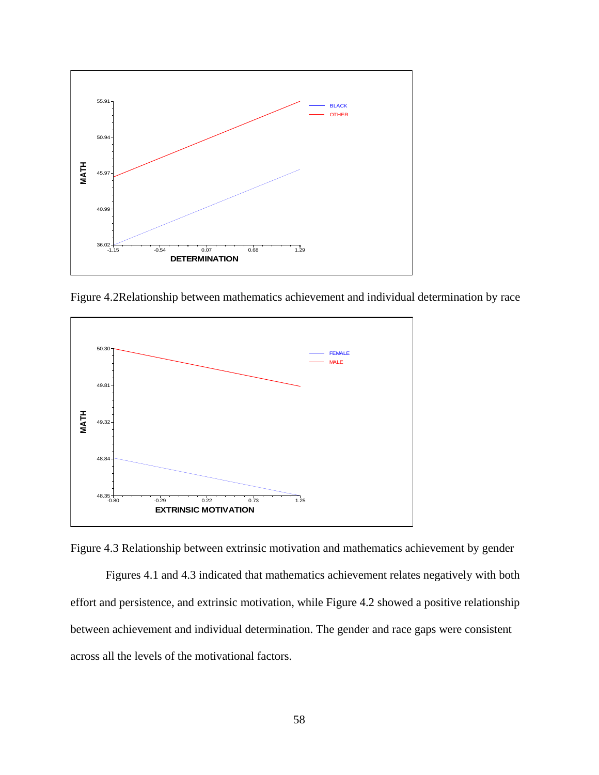

Figure 4.2Relationship between mathematics achievement and individual determination by race



Figure 4.3 Relationship between extrinsic motivation and mathematics achievement by gender

Figures 4.1 and 4.3 indicated that mathematics achievement relates negatively with both effort and persistence, and extrinsic motivation, while Figure 4.2 showed a positive relationship between achievement and individual determination. The gender and race gaps were consistent across all the levels of the motivational factors.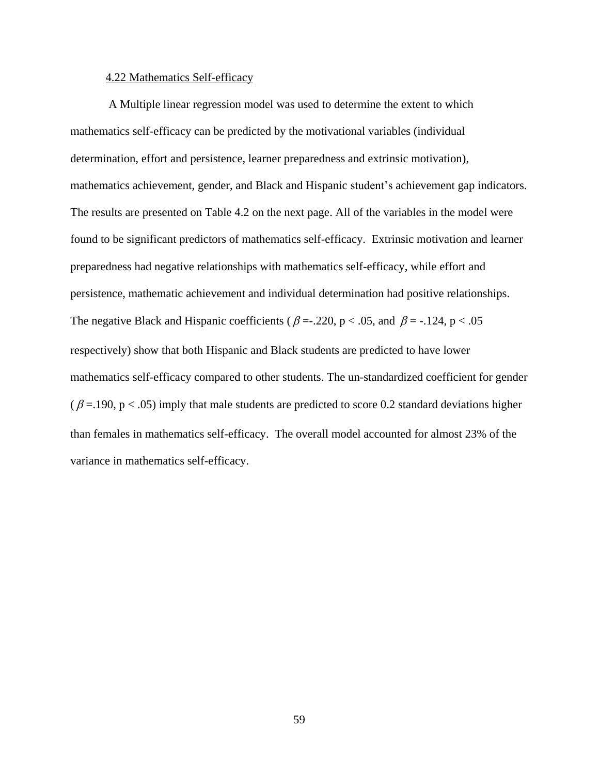# 4.22 Mathematics Self-efficacy

A Multiple linear regression model was used to determine the extent to which mathematics self-efficacy can be predicted by the motivational variables (individual determination, effort and persistence, learner preparedness and extrinsic motivation), mathematics achievement, gender, and Black and Hispanic student's achievement gap indicators. The results are presented on Table 4.2 on the next page. All of the variables in the model were found to be significant predictors of mathematics self-efficacy. Extrinsic motivation and learner preparedness had negative relationships with mathematics self-efficacy, while effort and persistence, mathematic achievement and individual determination had positive relationships. The negative Black and Hispanic coefficients ( $\beta = -220$ , p < .05, and  $\beta = -124$ , p < .05 respectively) show that both Hispanic and Black students are predicted to have lower mathematics self-efficacy compared to other students. The un-standardized coefficient for gender  $(\beta = 190, p < .05)$  imply that male students are predicted to score 0.2 standard deviations higher than females in mathematics self-efficacy. The overall model accounted for almost 23% of the variance in mathematics self-efficacy.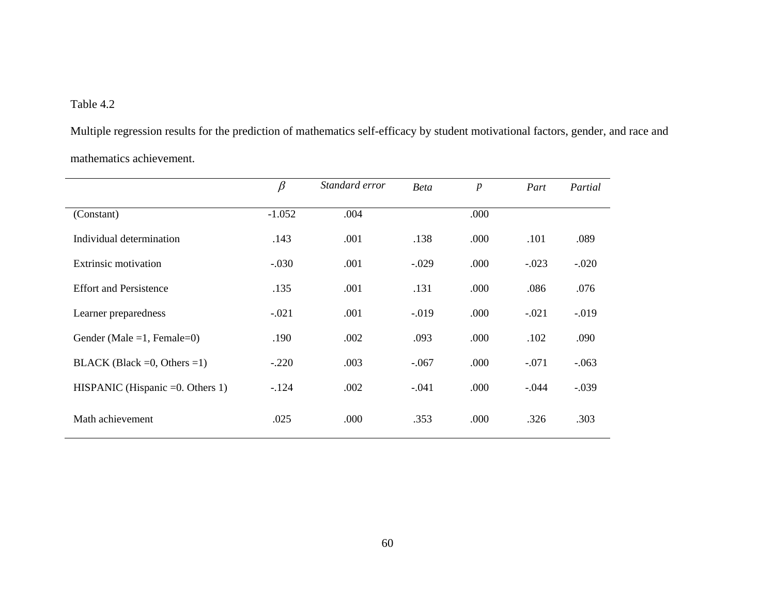# Table 4.2

Multiple regression results for the prediction of mathematics self-efficacy by student motivational factors, gender, and race and mathematics achievement.

|                                     | $\beta$  | Standard error | <b>Beta</b> | $\boldsymbol{p}$ | Part    | Partial  |
|-------------------------------------|----------|----------------|-------------|------------------|---------|----------|
| (Constant)                          | $-1.052$ | .004           |             | .000             |         |          |
| Individual determination            | .143     | .001           | .138        | .000             | .101    | .089     |
| <b>Extrinsic motivation</b>         | $-.030$  | .001           | $-.029$     | .000             | $-.023$ | $-.020$  |
| <b>Effort and Persistence</b>       | .135     | .001           | .131        | .000             | .086    | .076     |
| Learner preparedness                | $-.021$  | .001           | $-.019$     | .000             | $-.021$ | $-0.019$ |
| Gender (Male = 1, Female = 0)       | .190     | .002           | .093        | .000             | .102    | .090     |
| BLACK (Black = 0, Others = 1)       | $-.220$  | .003           | $-.067$     | .000             | $-.071$ | $-.063$  |
| HISPANIC (Hispanic $=0$ . Others 1) | $-124$   | .002           | $-.041$     | .000             | $-.044$ | $-.039$  |
| Math achievement                    | .025     | .000           | .353        | .000             | .326    | .303     |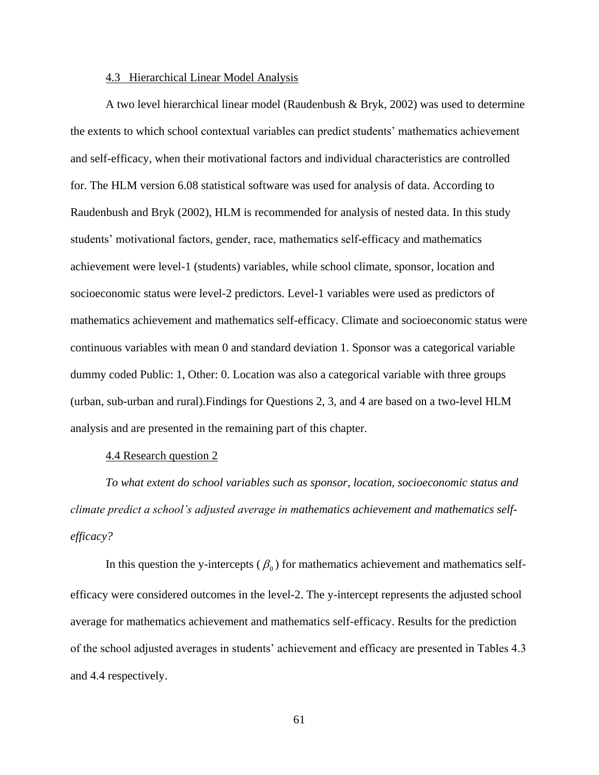# 4.3 Hierarchical Linear Model Analysis

A two level hierarchical linear model (Raudenbush & Bryk, 2002) was used to determine the extents to which school contextual variables can predict students' mathematics achievement and self-efficacy, when their motivational factors and individual characteristics are controlled for. The HLM version 6.08 statistical software was used for analysis of data. According to Raudenbush and Bryk (2002), HLM is recommended for analysis of nested data. In this study students' motivational factors, gender, race, mathematics self-efficacy and mathematics achievement were level-1 (students) variables, while school climate, sponsor, location and socioeconomic status were level-2 predictors. Level-1 variables were used as predictors of mathematics achievement and mathematics self-efficacy. Climate and socioeconomic status were continuous variables with mean 0 and standard deviation 1. Sponsor was a categorical variable dummy coded Public: 1, Other: 0. Location was also a categorical variable with three groups (urban, sub-urban and rural).Findings for Questions 2, 3, and 4 are based on a two-level HLM analysis and are presented in the remaining part of this chapter.

# 4.4 Research question 2

*To what extent do school variables such as sponsor, location, socioeconomic status and climate predict a school's adjusted average in mathematics achievement and mathematics selfefficacy?*

In this question the y-intercepts ( $\beta_0$ ) for mathematics achievement and mathematics selfefficacy were considered outcomes in the level-2. The y-intercept represents the adjusted school average for mathematics achievement and mathematics self-efficacy. Results for the prediction of the school adjusted averages in students' achievement and efficacy are presented in Tables 4.3 and 4.4 respectively.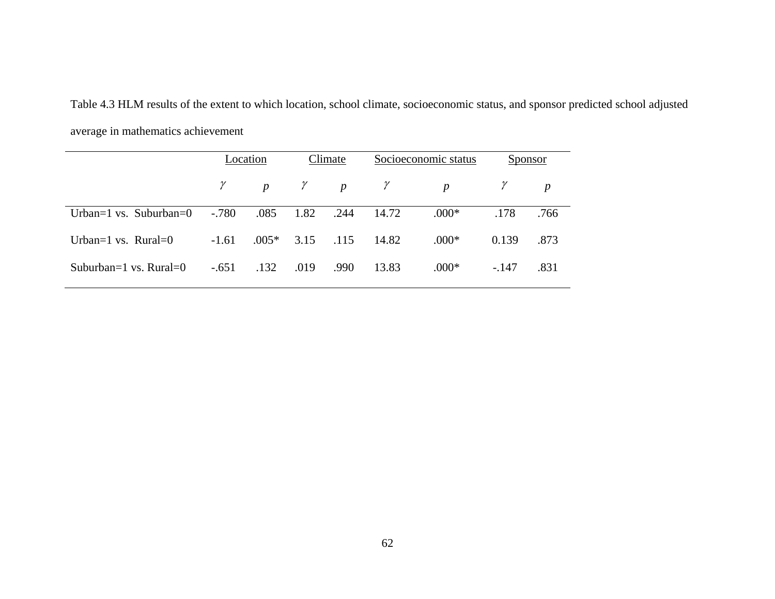Table 4.3 HLM results of the extent to which location, school climate, socioeconomic status, and sponsor predicted school adjusted average in mathematics achievement

|                                           | Location |         | Climate |                                          | Socioeconomic status |                  | Sponsor |                  |
|-------------------------------------------|----------|---------|---------|------------------------------------------|----------------------|------------------|---------|------------------|
|                                           |          |         |         | $p \qquad \gamma \qquad p \qquad \gamma$ |                      | $\boldsymbol{p}$ |         | $\boldsymbol{p}$ |
| Urban=1 vs. Suburban=0                    | $-.780$  | .085    | 1.82    | .244                                     | 14.72                | $.000*$          | .178    | .766             |
| Urban= $1 \text{ vs. } \text{Rural}=0$    | $-1.61$  | $.005*$ |         | 3.15 .115                                | 14.82                | $.000*$          | 0.139   | .873             |
| Suburban= $1 \text{ vs. } \text{Rural}=0$ | $-.651$  | .132    | .019    | .990                                     | 13.83                | $.000*$          | $-.147$ | .831             |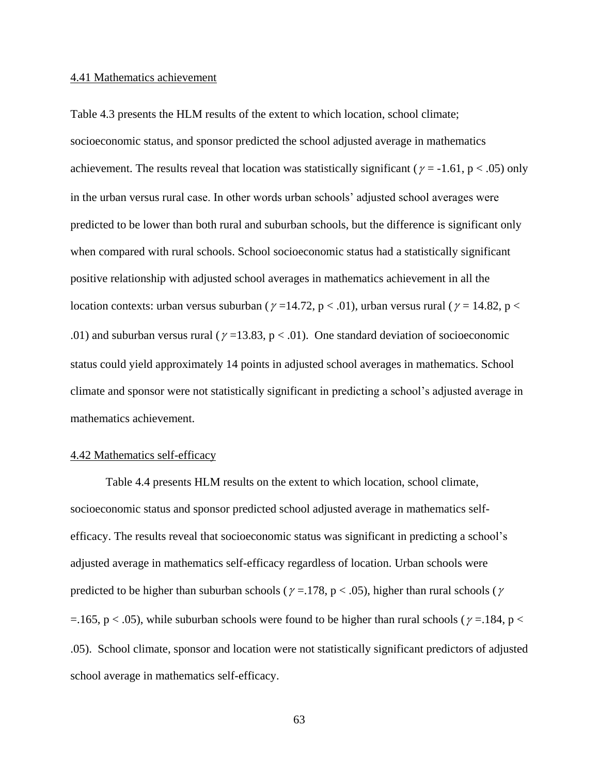#### 4.41 Mathematics achievement

Table 4.3 presents the HLM results of the extent to which location, school climate; socioeconomic status, and sponsor predicted the school adjusted average in mathematics achievement. The results reveal that location was statistically significant ( $\gamma$  = -1.61, p < .05) only in the urban versus rural case. In other words urban schools' adjusted school averages were predicted to be lower than both rural and suburban schools, but the difference is significant only when compared with rural schools. School socioeconomic status had a statistically significant positive relationship with adjusted school averages in mathematics achievement in all the location contexts: urban versus suburban ( $\gamma$  =14.72, p < .01), urban versus rural ( $\gamma$  = 14.82, p < .01) and suburban versus rural ( $\gamma$  =13.83, p < .01). One standard deviation of socioeconomic status could yield approximately 14 points in adjusted school averages in mathematics. School climate and sponsor were not statistically significant in predicting a school's adjusted average in mathematics achievement.

#### 4.42 Mathematics self-efficacy

Table 4.4 presents HLM results on the extent to which location, school climate, socioeconomic status and sponsor predicted school adjusted average in mathematics selfefficacy. The results reveal that socioeconomic status was significant in predicting a school's adjusted average in mathematics self-efficacy regardless of location. Urban schools were predicted to be higher than suburban schools ( $\gamma$  = 178, p < .05), higher than rural schools ( $\gamma$  $=$  165, p < .05), while suburban schools were found to be higher than rural schools ( $\gamma$  = 184, p < .05). School climate, sponsor and location were not statistically significant predictors of adjusted school average in mathematics self-efficacy.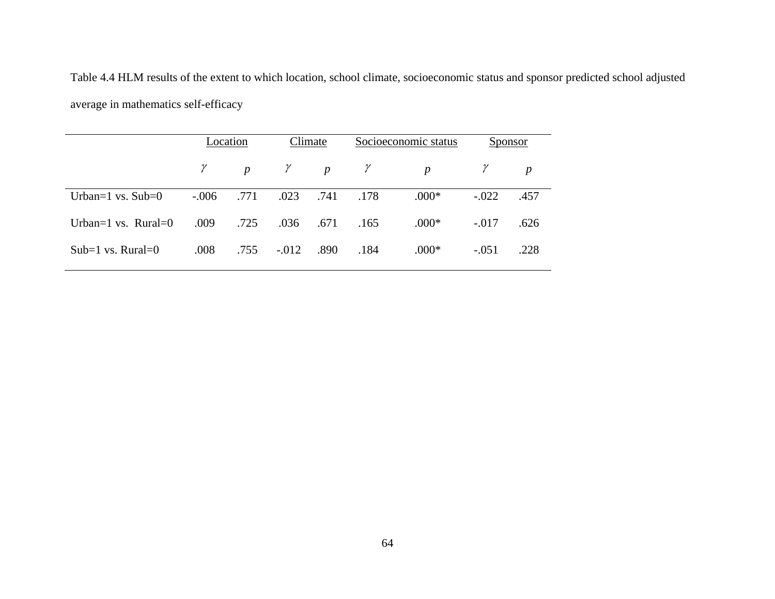Table 4.4 HLM results of the extent to which location, school climate, socioeconomic status and sponsor predicted school adjusted average in mathematics self-efficacy

|                              | Location |                  |          | Climate    |      | Socioeconomic status |         | Sponsor          |  |
|------------------------------|----------|------------------|----------|------------|------|----------------------|---------|------------------|--|
|                              | $\gamma$ | $\boldsymbol{p}$ | $\gamma$ | p $\gamma$ |      | $\boldsymbol{p}$     |         | $\boldsymbol{p}$ |  |
| Urban= $1 \text{ vs. Sub}=0$ | $-.006$  | .771             | .023     | .741       | .178 | $.000*$              | $-.022$ | .457             |  |
| Urban=1 vs. $Runal=0$        | .009     | .725             | .036     | .671       | .165 | $.000*$              | $-.017$ | .626             |  |
| Sub=1 vs. Rural=0            | .008     | .755             | $-.012$  | .890       | .184 | $.000*$              | $-.051$ | .228             |  |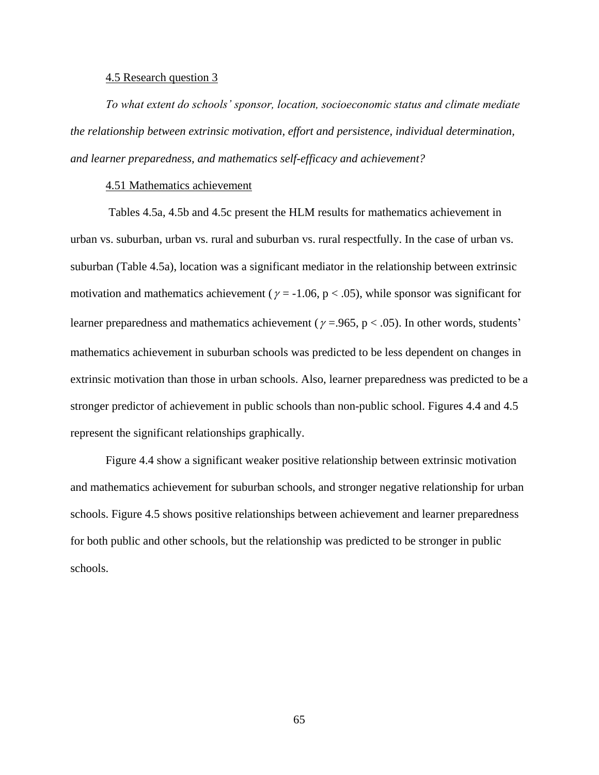### 4.5 Research question 3

*To what extent do schools' sponsor, location, socioeconomic status and climate mediate the relationship between extrinsic motivation, effort and persistence, individual determination, and learner preparedness, and mathematics self-efficacy and achievement?*

# 4.51 Mathematics achievement

Tables 4.5a, 4.5b and 4.5c present the HLM results for mathematics achievement in urban vs. suburban, urban vs. rural and suburban vs. rural respectfully. In the case of urban vs. suburban (Table 4.5a), location was a significant mediator in the relationship between extrinsic motivation and mathematics achievement ( $\gamma$  = -1.06, p < .05), while sponsor was significant for learner preparedness and mathematics achievement ( $\gamma$  = .965, p < .05). In other words, students' mathematics achievement in suburban schools was predicted to be less dependent on changes in extrinsic motivation than those in urban schools. Also, learner preparedness was predicted to be a stronger predictor of achievement in public schools than non-public school. Figures 4.4 and 4.5 represent the significant relationships graphically.

Figure 4.4 show a significant weaker positive relationship between extrinsic motivation and mathematics achievement for suburban schools, and stronger negative relationship for urban schools. Figure 4.5 shows positive relationships between achievement and learner preparedness for both public and other schools, but the relationship was predicted to be stronger in public schools.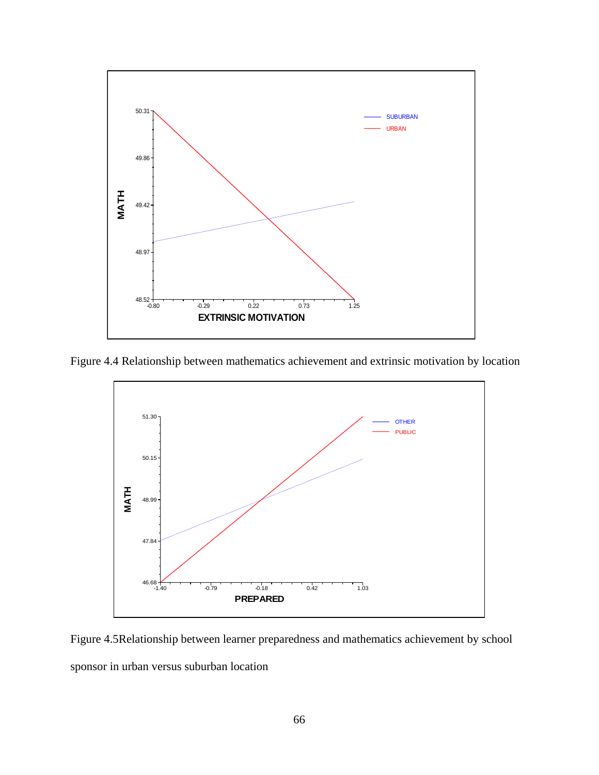

Figure 4.4 Relationship between mathematics achievement and extrinsic motivation by location



Figure 4.5Relationship between learner preparedness and mathematics achievement by school sponsor in urban versus suburban location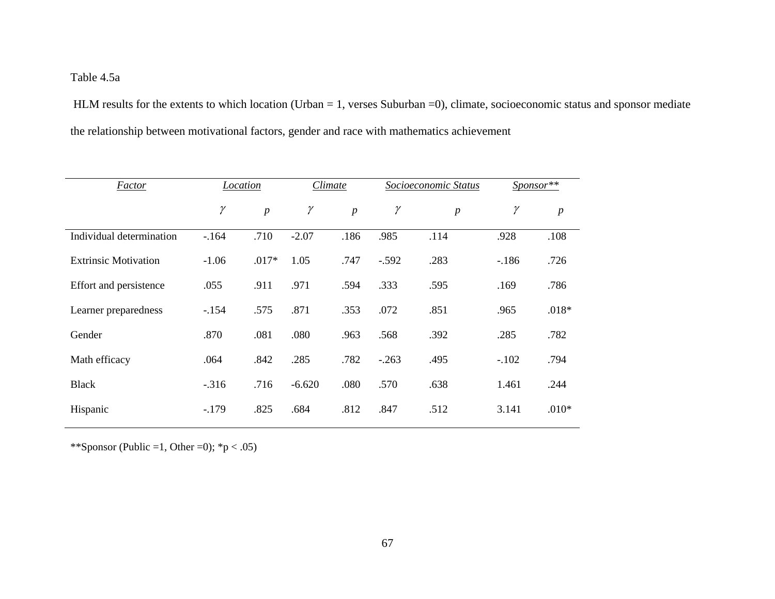# Table 4.5a

HLM results for the extents to which location (Urban = 1, verses Suburban = 0), climate, socioeconomic status and sponsor mediate the relationship between motivational factors, gender and race with mathematics achievement

| <b>Factor</b>               | Location |                  | Climate  |                |          | Socioeconomic Status | $S_{Ponsor}$ ** |                  |
|-----------------------------|----------|------------------|----------|----------------|----------|----------------------|-----------------|------------------|
|                             | $\gamma$ | $\boldsymbol{p}$ | $\gamma$ | $\overline{p}$ | $\gamma$ | $\boldsymbol{p}$     | $\gamma$        | $\boldsymbol{p}$ |
| Individual determination    | $-164$   | .710             | $-2.07$  | .186           | .985     | .114                 | .928            | .108             |
| <b>Extrinsic Motivation</b> | $-1.06$  | $.017*$          | 1.05     | .747           | $-.592$  | .283                 | $-186$          | .726             |
| Effort and persistence      | .055     | .911             | .971     | .594           | .333     | .595                 | .169            | .786             |
| Learner preparedness        | $-154$   | .575             | .871     | .353           | .072     | .851                 | .965            | $.018*$          |
| Gender                      | .870     | .081             | .080     | .963           | .568     | .392                 | .285            | .782             |
| Math efficacy               | .064     | .842             | .285     | .782           | $-.263$  | .495                 | $-.102$         | .794             |
| <b>Black</b>                | $-.316$  | .716             | $-6.620$ | .080           | .570     | .638                 | 1.461           | .244             |
| Hispanic                    | $-179$   | .825             | .684     | .812           | .847     | .512                 | 3.141           | $.010*$          |

\*\*Sponsor (Public =1, Other =0);  ${}^*p$  < .05)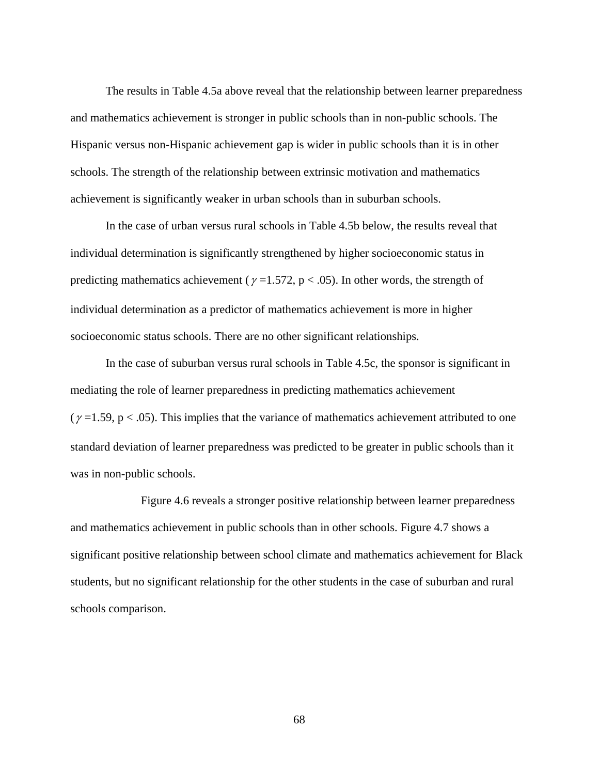The results in Table 4.5a above reveal that the relationship between learner preparedness and mathematics achievement is stronger in public schools than in non-public schools. The Hispanic versus non-Hispanic achievement gap is wider in public schools than it is in other schools. The strength of the relationship between extrinsic motivation and mathematics achievement is significantly weaker in urban schools than in suburban schools.

In the case of urban versus rural schools in Table 4.5b below, the results reveal that individual determination is significantly strengthened by higher socioeconomic status in predicting mathematics achievement ( $\gamma$  =1.572, p < .05). In other words, the strength of individual determination as a predictor of mathematics achievement is more in higher socioeconomic status schools. There are no other significant relationships.

In the case of suburban versus rural schools in Table 4.5c, the sponsor is significant in mediating the role of learner preparedness in predicting mathematics achievement ( $\gamma$  =1.59, p < .05). This implies that the variance of mathematics achievement attributed to one standard deviation of learner preparedness was predicted to be greater in public schools than it was in non-public schools.

Figure 4.6 reveals a stronger positive relationship between learner preparedness and mathematics achievement in public schools than in other schools. Figure 4.7 shows a significant positive relationship between school climate and mathematics achievement for Black students, but no significant relationship for the other students in the case of suburban and rural schools comparison.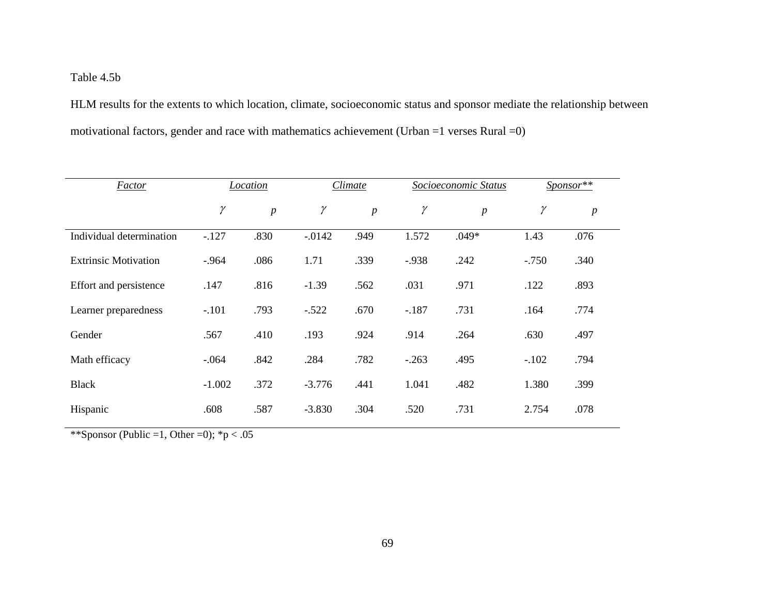Table 4.5b

HLM results for the extents to which location, climate, socioeconomic status and sponsor mediate the relationship between motivational factors, gender and race with mathematics achievement (Urban =1 verses Rural =0)

| Factor                      |          | Location         | Climate   |                  |          | Socioeconomic Status | $S_{\text{PON} \text{S} \text{P}}$ ** |                  |
|-----------------------------|----------|------------------|-----------|------------------|----------|----------------------|---------------------------------------|------------------|
|                             | $\gamma$ | $\boldsymbol{p}$ | $\gamma$  | $\boldsymbol{p}$ | $\gamma$ | $\boldsymbol{p}$     | $\gamma$                              | $\boldsymbol{p}$ |
| Individual determination    | $-127$   | .830             | $-0.0142$ | .949             | 1.572    | $.049*$              | 1.43                                  | .076             |
| <b>Extrinsic Motivation</b> | $-.964$  | .086             | 1.71      | .339             | $-0.938$ | .242                 | $-.750$                               | .340             |
| Effort and persistence      | .147     | .816             | $-1.39$   | .562             | .031     | .971                 | .122                                  | .893             |
| Learner preparedness        | $-.101$  | .793             | $-.522$   | .670             | $-.187$  | .731                 | .164                                  | .774             |
| Gender                      | .567     | .410             | .193      | .924             | .914     | .264                 | .630                                  | .497             |
| Math efficacy               | $-.064$  | .842             | .284      | .782             | $-.263$  | .495                 | $-.102$                               | .794             |
| <b>Black</b>                | $-1.002$ | .372             | $-3.776$  | .441             | 1.041    | .482                 | 1.380                                 | .399             |
| Hispanic                    | .608     | .587             | $-3.830$  | .304             | .520     | .731                 | 2.754                                 | .078             |

\*\*Sponsor (Public =1, Other =0);  ${}^*p < .05$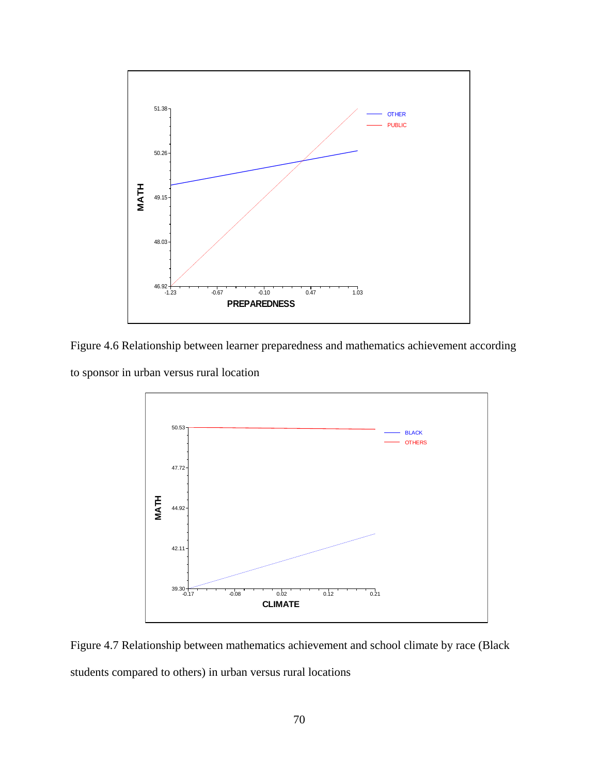

Figure 4.6 Relationship between learner preparedness and mathematics achievement according

to sponsor in urban versus rural location



Figure 4.7 Relationship between mathematics achievement and school climate by race (Black students compared to others) in urban versus rural locations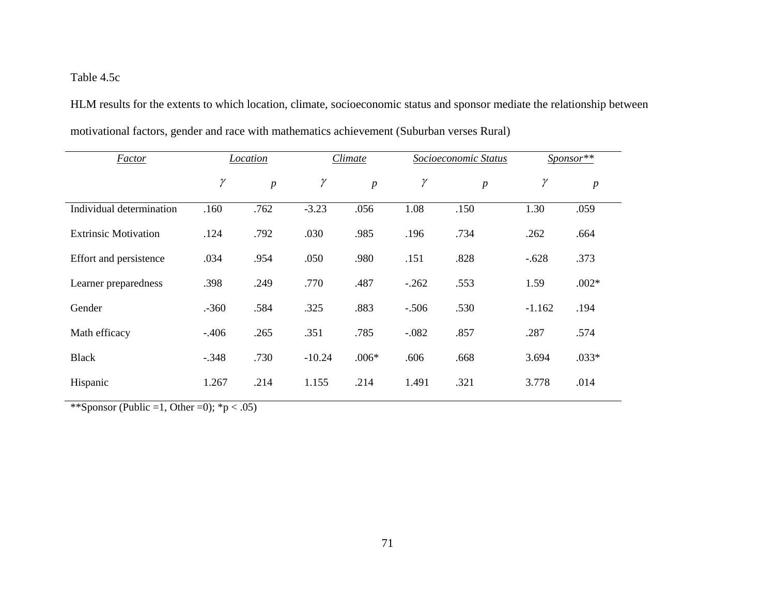# Table 4.5c

HLM results for the extents to which location, climate, socioeconomic status and sponsor mediate the relationship between motivational factors, gender and race with mathematics achievement (Suburban verses Rural)

| <b>Factor</b>               | Location |                  |          | Climate          |          | Socioeconomic Status |          | Sponsor**        |
|-----------------------------|----------|------------------|----------|------------------|----------|----------------------|----------|------------------|
|                             | $\gamma$ | $\boldsymbol{p}$ | $\gamma$ | $\boldsymbol{p}$ | $\gamma$ | $\boldsymbol{p}$     | $\gamma$ | $\boldsymbol{p}$ |
| Individual determination    | .160     | .762             | $-3.23$  | .056             | 1.08     | .150                 | 1.30     | .059             |
| <b>Extrinsic Motivation</b> | .124     | .792             | .030     | .985             | .196     | .734                 | .262     | .664             |
| Effort and persistence      | .034     | .954             | .050     | .980             | .151     | .828                 | $-.628$  | .373             |
| Learner preparedness        | .398     | .249             | .770     | .487             | $-.262$  | .553                 | 1.59     | $.002*$          |
| Gender                      | $-360$   | .584             | .325     | .883             | $-.506$  | .530                 | $-1.162$ | .194             |
| Math efficacy               | $-.406$  | .265             | .351     | .785             | $-.082$  | .857                 | .287     | .574             |
| <b>Black</b>                | $-.348$  | .730             | $-10.24$ | $.006*$          | .606     | .668                 | 3.694    | $.033*$          |
| Hispanic                    | 1.267    | .214             | 1.155    | .214             | 1.491    | .321                 | 3.778    | .014             |

\*\*Sponsor (Public =1, Other =0);  ${}^*p$  < .05)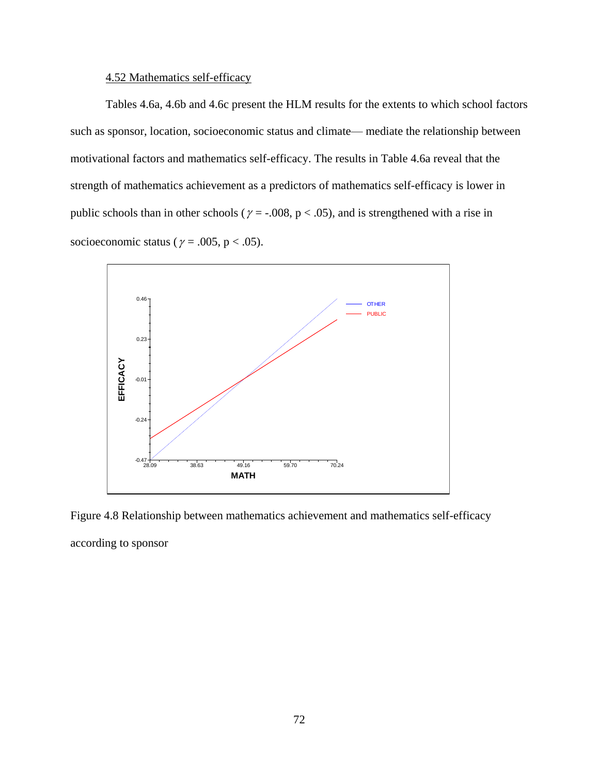# 4.52 Mathematics self-efficacy

Tables 4.6a, 4.6b and 4.6c present the HLM results for the extents to which school factors such as sponsor, location, socioeconomic status and climate— mediate the relationship between motivational factors and mathematics self-efficacy. The results in Table 4.6a reveal that the strength of mathematics achievement as a predictors of mathematics self-efficacy is lower in public schools than in other schools ( $\gamma = -0.008$ , p < .05), and is strengthened with a rise in socioeconomic status ( $\gamma = .005$ , p < .05).



Figure 4.8 Relationship between mathematics achievement and mathematics self-efficacy according to sponsor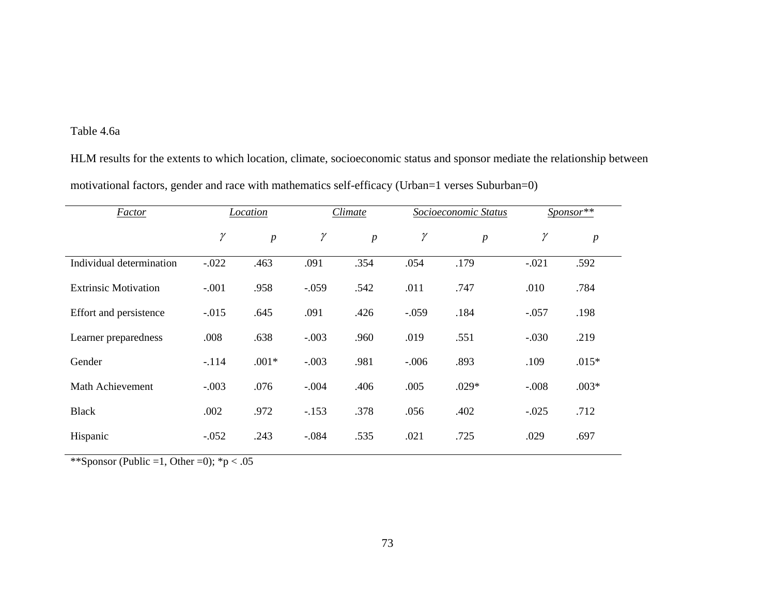# Table 4.6a

HLM results for the extents to which location, climate, socioeconomic status and sponsor mediate the relationship between motivational factors, gender and race with mathematics self-efficacy (Urban=1 verses Suburban=0)

| <b>Factor</b>               | <b>Location</b> |                | Climate  |                  | Socioeconomic Status |                  | $S_{\text{PON} \text{S} \text{P}}$ ** |                  |
|-----------------------------|-----------------|----------------|----------|------------------|----------------------|------------------|---------------------------------------|------------------|
|                             | γ               | $\overline{p}$ | $\gamma$ | $\boldsymbol{p}$ | $\gamma$             | $\boldsymbol{p}$ | $\gamma$                              | $\boldsymbol{p}$ |
| Individual determination    | $-.022$         | .463           | .091     | .354             | .054                 | .179             | $-.021$                               | .592             |
| <b>Extrinsic Motivation</b> | $-.001$         | .958           | $-.059$  | .542             | .011                 | .747             | .010                                  | .784             |
| Effort and persistence      | $-.015$         | .645           | .091     | .426             | $-.059$              | .184             | $-.057$                               | .198             |
| Learner preparedness        | .008            | .638           | $-.003$  | .960             | .019                 | .551             | $-.030$                               | .219             |
| Gender                      | $-.114$         | $.001*$        | $-.003$  | .981             | $-.006$              | .893             | .109                                  | $.015*$          |
| Math Achievement            | $-.003$         | .076           | $-.004$  | .406             | .005                 | $.029*$          | $-.008$                               | $.003*$          |
| <b>Black</b>                | .002            | .972           | $-.153$  | .378             | .056                 | .402             | $-.025$                               | .712             |
| Hispanic                    | $-.052$         | .243           | $-.084$  | .535             | .021                 | .725             | .029                                  | .697             |

\*\*Sponsor (Public =1, Other =0);  ${}^*p < .05$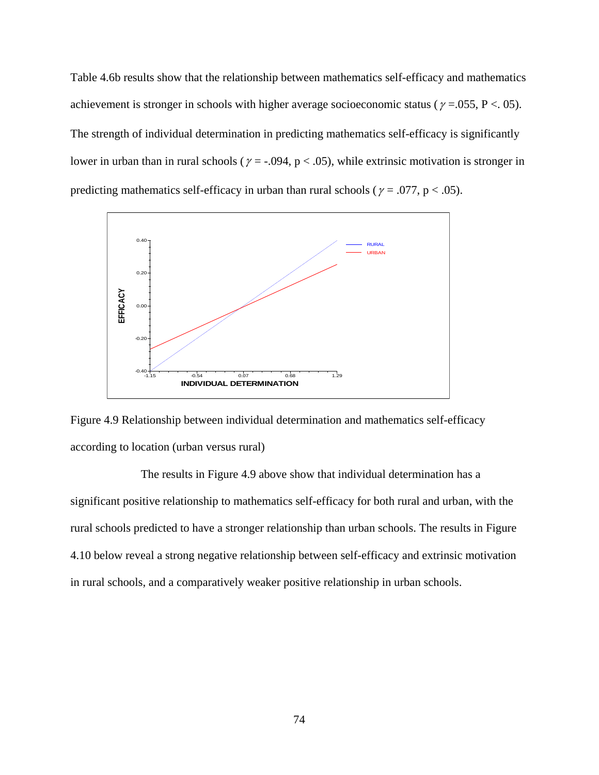Table 4.6b results show that the relationship between mathematics self-efficacy and mathematics achievement is stronger in schools with higher average socioeconomic status ( $\gamma = 0.055$ , P < . 05). The strength of individual determination in predicting mathematics self-efficacy is significantly lower in urban than in rural schools ( $\gamma = -0.094$ , p < .05), while extrinsic motivation is stronger in predicting mathematics self-efficacy in urban than rural schools ( $\gamma = .077$ , p < .05).



Figure 4.9 Relationship between individual determination and mathematics self-efficacy according to location (urban versus rural)

The results in Figure 4.9 above show that individual determination has a significant positive relationship to mathematics self-efficacy for both rural and urban, with the rural schools predicted to have a stronger relationship than urban schools. The results in Figure 4.10 below reveal a strong negative relationship between self-efficacy and extrinsic motivation in rural schools, and a comparatively weaker positive relationship in urban schools.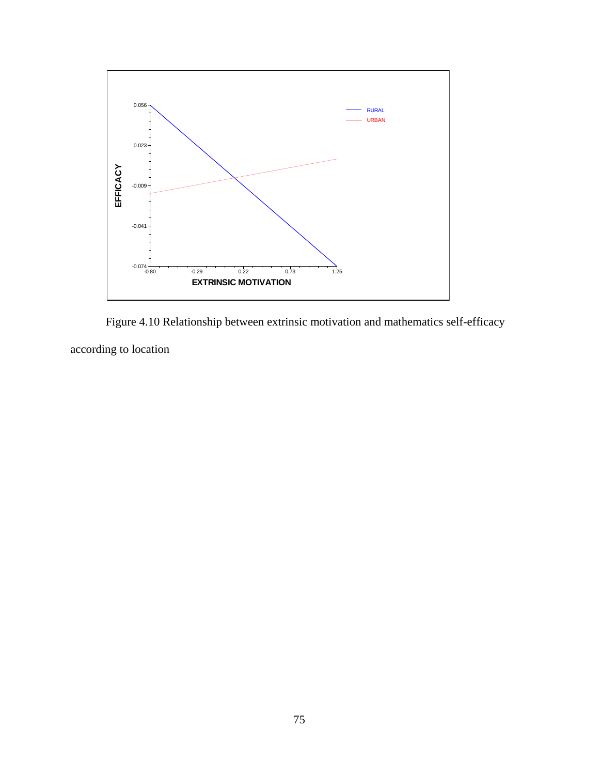

Figure 4.10 Relationship between extrinsic motivation and mathematics self-efficacy according to location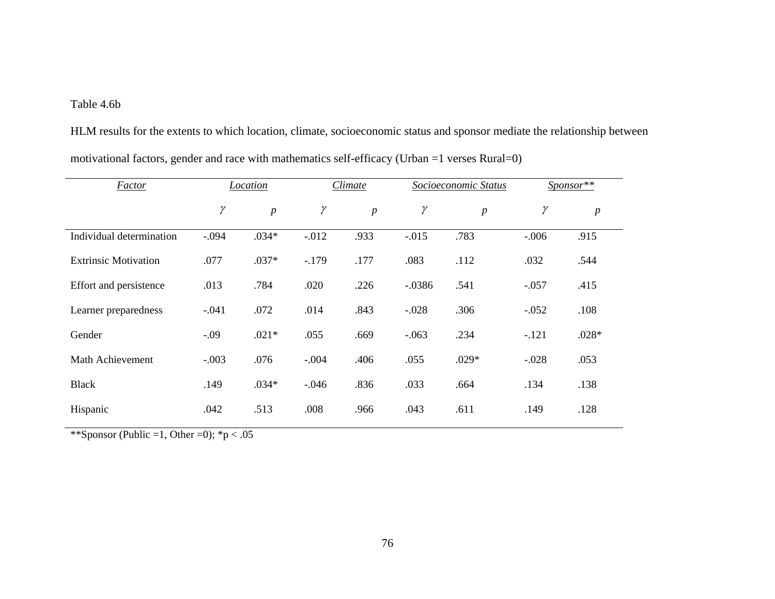# Table 4.6b

HLM results for the extents to which location, climate, socioeconomic status and sponsor mediate the relationship between motivational factors, gender and race with mathematics self-efficacy (Urban =1 verses Rural=0)

| <b>Factor</b>               | Location |                | Climate  |                | Socioeconomic Status |                  | Sponsor** |                  |
|-----------------------------|----------|----------------|----------|----------------|----------------------|------------------|-----------|------------------|
|                             | $\gamma$ | $\overline{p}$ | $\gamma$ | $\overline{p}$ | $\gamma$             | $\boldsymbol{p}$ | γ         | $\boldsymbol{p}$ |
| Individual determination    | $-.094$  | $.034*$        | $-0.012$ | .933           | $-.015$              | .783             | $-.006$   | .915             |
| <b>Extrinsic Motivation</b> | .077     | $.037*$        | $-179$   | .177           | .083                 | .112             | .032      | .544             |
| Effort and persistence      | .013     | .784           | .020     | .226           | $-0.0386$            | .541             | $-.057$   | .415             |
| Learner preparedness        | $-.041$  | .072           | .014     | .843           | $-.028$              | .306             | $-.052$   | .108             |
| Gender                      | $-.09$   | $.021*$        | .055     | .669           | $-.063$              | .234             | $-.121$   | $.028*$          |
| Math Achievement            | $-.003$  | .076           | $-.004$  | .406           | .055                 | $.029*$          | $-.028$   | .053             |
| <b>Black</b>                | .149     | $.034*$        | $-.046$  | .836           | .033                 | .664             | .134      | .138             |
| Hispanic                    | .042     | .513           | .008     | .966           | .043                 | .611             | .149      | .128             |

\*\*Sponsor (Public =1, Other =0);  ${}^*p < .05$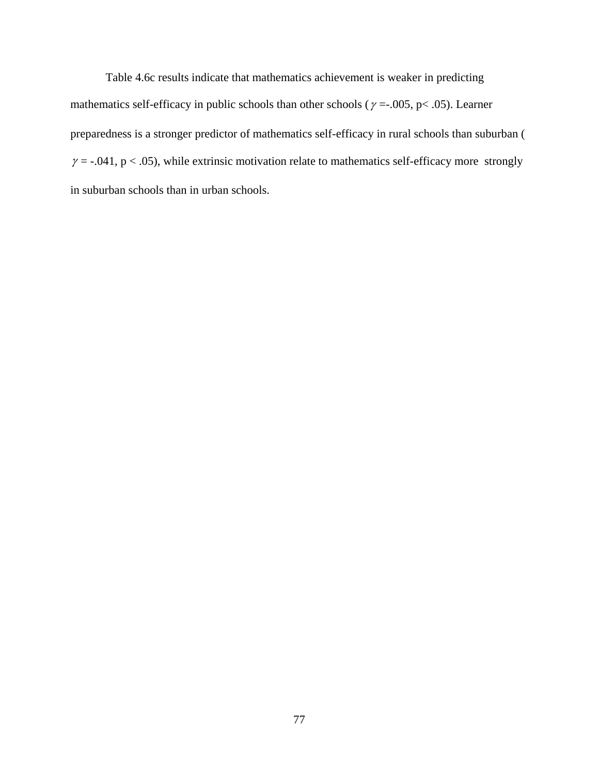Table 4.6c results indicate that mathematics achievement is weaker in predicting mathematics self-efficacy in public schools than other schools ( $\gamma = .005$ ,  $p < .05$ ). Learner preparedness is a stronger predictor of mathematics self-efficacy in rural schools than suburban (  $\gamma$  = -.041, p < .05), while extrinsic motivation relate to mathematics self-efficacy more strongly in suburban schools than in urban schools.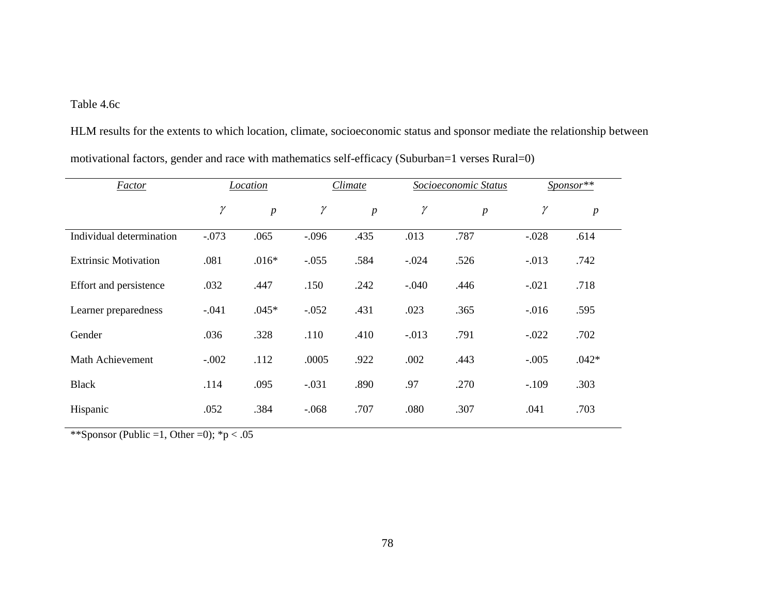# Table 4.6c

HLM results for the extents to which location, climate, socioeconomic status and sponsor mediate the relationship between motivational factors, gender and race with mathematics self-efficacy (Suburban=1 verses Rural=0)

| <b>Factor</b>               | Location |                  | Climate  |                  | Socioeconomic Status |                | Sponsor** |                  |
|-----------------------------|----------|------------------|----------|------------------|----------------------|----------------|-----------|------------------|
|                             | $\gamma$ | $\boldsymbol{p}$ | $\gamma$ | $\boldsymbol{p}$ | $\gamma$             | $\overline{p}$ | $\gamma$  | $\boldsymbol{p}$ |
| Individual determination    | $-.073$  | .065             | $-.096$  | .435             | .013                 | .787           | $-.028$   | .614             |
| <b>Extrinsic Motivation</b> | .081     | $.016*$          | $-.055$  | .584             | $-.024$              | .526           | $-0.013$  | .742             |
| Effort and persistence      | .032     | .447             | .150     | .242             | $-.040$              | .446           | $-.021$   | .718             |
| Learner preparedness        | $-.041$  | $.045*$          | $-.052$  | .431             | .023                 | .365           | $-0.016$  | .595             |
| Gender                      | .036     | .328             | .110     | .410             | $-.013$              | .791           | $-.022$   | .702             |
| Math Achievement            | $-.002$  | .112             | .0005    | .922             | .002                 | .443           | $-.005$   | $.042*$          |
| <b>Black</b>                | .114     | .095             | $-.031$  | .890             | .97                  | .270           | $-.109$   | .303             |
| Hispanic                    | .052     | .384             | $-.068$  | .707             | .080                 | .307           | .041      | .703             |

\*\*Sponsor (Public =1, Other =0);  ${}^*p < .05$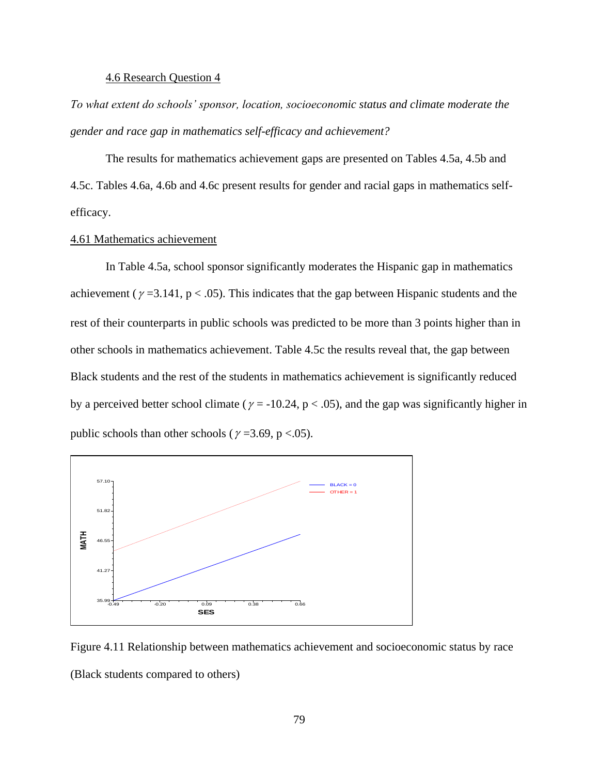## 4.6 Research Question 4

*To what extent do schools' sponsor, location, socioeconomic status and climate moderate the gender and race gap in mathematics self-efficacy and achievement?*

The results for mathematics achievement gaps are presented on Tables 4.5a, 4.5b and 4.5c. Tables 4.6a, 4.6b and 4.6c present results for gender and racial gaps in mathematics selfefficacy.

# 4.61 Mathematics achievement

In Table 4.5a, school sponsor significantly moderates the Hispanic gap in mathematics achievement ( $\gamma$  =3.141, p < .05). This indicates that the gap between Hispanic students and the rest of their counterparts in public schools was predicted to be more than 3 points higher than in other schools in mathematics achievement. Table 4.5c the results reveal that, the gap between Black students and the rest of the students in mathematics achievement is significantly reduced by a perceived better school climate ( $\gamma = -10.24$ ,  $p < .05$ ), and the gap was significantly higher in public schools than other schools ( $\gamma$  =3.69, p <.05).



Figure 4.11 Relationship between mathematics achievement and socioeconomic status by race (Black students compared to others)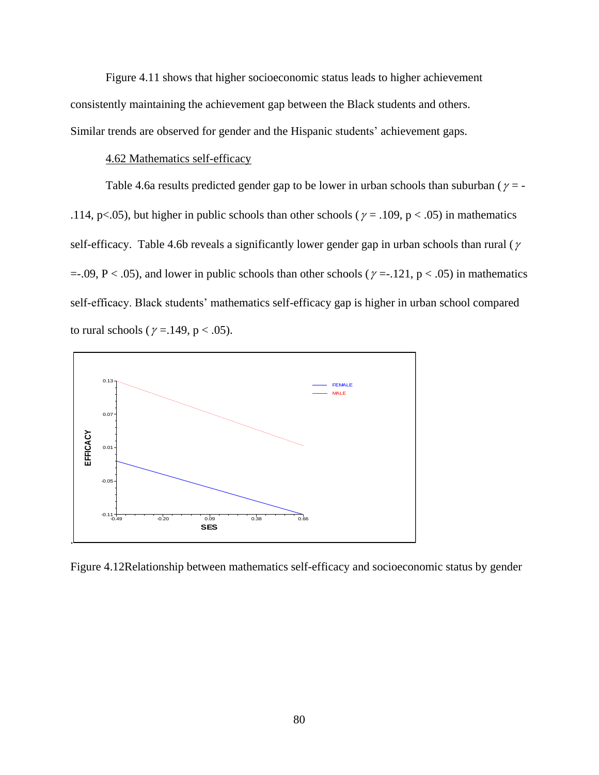Figure 4.11 shows that higher socioeconomic status leads to higher achievement consistently maintaining the achievement gap between the Black students and others. Similar trends are observed for gender and the Hispanic students' achievement gaps.

## 4.62 Mathematics self-efficacy

Table 4.6a results predicted gender gap to be lower in urban schools than suburban ( $\gamma$  = -.114, p<.05), but higher in public schools than other schools ( $\gamma$  = .109, p < .05) in mathematics self-efficacy. Table 4.6b reveals a significantly lower gender gap in urban schools than rural ( $\gamma$  $=$  -.09, P < .05), and lower in public schools than other schools ( $\gamma =$  -.121, p < .05) in mathematics self-efficacy. Black students' mathematics self-efficacy gap is higher in urban school compared to rural schools ( $\gamma = 149$ , p < .05).



Figure 4.12Relationship between mathematics self-efficacy and socioeconomic status by gender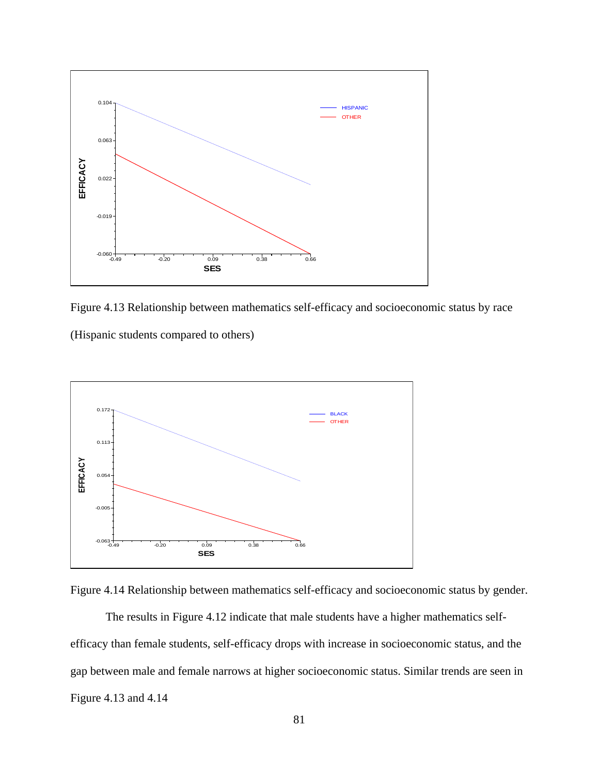

Figure 4.13 Relationship between mathematics self-efficacy and socioeconomic status by race

(Hispanic students compared to others)





The results in Figure 4.12 indicate that male students have a higher mathematics selfefficacy than female students, self-efficacy drops with increase in socioeconomic status, and the gap between male and female narrows at higher socioeconomic status. Similar trends are seen in Figure 4.13 and 4.14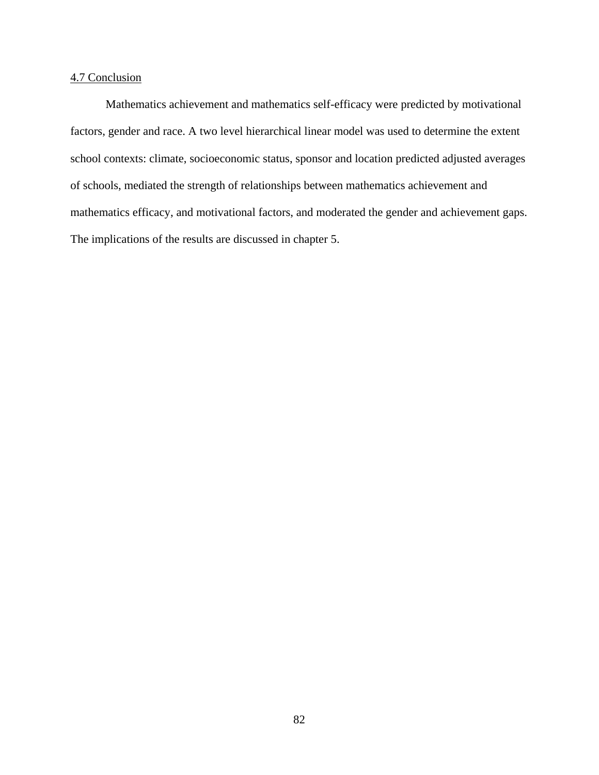# 4.7 Conclusion

Mathematics achievement and mathematics self-efficacy were predicted by motivational factors, gender and race. A two level hierarchical linear model was used to determine the extent school contexts: climate, socioeconomic status, sponsor and location predicted adjusted averages of schools, mediated the strength of relationships between mathematics achievement and mathematics efficacy, and motivational factors, and moderated the gender and achievement gaps. The implications of the results are discussed in chapter 5.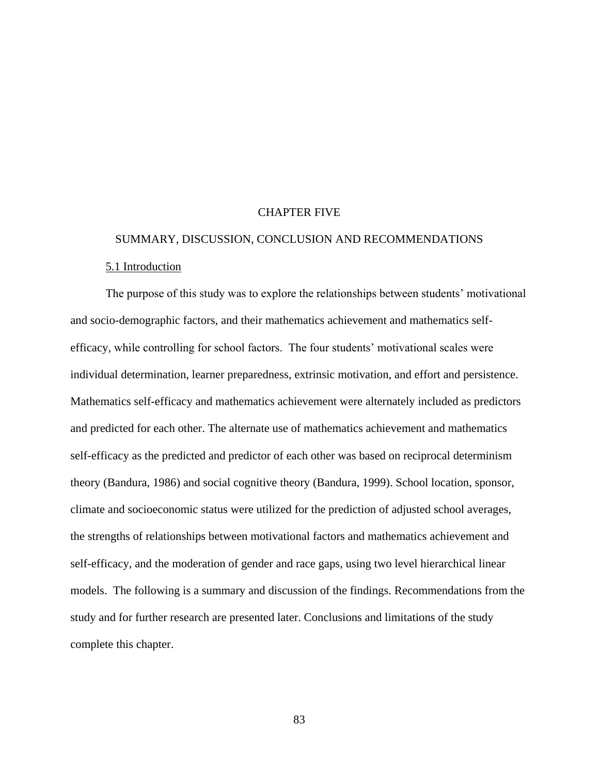## CHAPTER FIVE

# SUMMARY, DISCUSSION, CONCLUSION AND RECOMMENDATIONS 5.1 Introduction

The purpose of this study was to explore the relationships between students' motivational and socio-demographic factors, and their mathematics achievement and mathematics selfefficacy, while controlling for school factors. The four students' motivational scales were individual determination, learner preparedness, extrinsic motivation, and effort and persistence. Mathematics self-efficacy and mathematics achievement were alternately included as predictors and predicted for each other. The alternate use of mathematics achievement and mathematics self-efficacy as the predicted and predictor of each other was based on reciprocal determinism theory (Bandura, 1986) and social cognitive theory (Bandura, 1999). School location, sponsor, climate and socioeconomic status were utilized for the prediction of adjusted school averages, the strengths of relationships between motivational factors and mathematics achievement and self-efficacy, and the moderation of gender and race gaps, using two level hierarchical linear models. The following is a summary and discussion of the findings. Recommendations from the study and for further research are presented later. Conclusions and limitations of the study complete this chapter.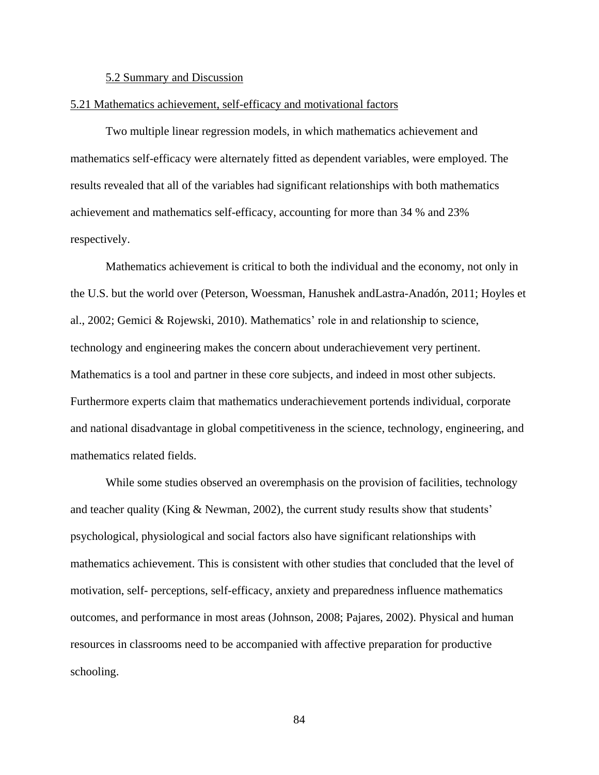#### 5.2 Summary and Discussion

#### 5.21 Mathematics achievement, self-efficacy and motivational factors

Two multiple linear regression models, in which mathematics achievement and mathematics self-efficacy were alternately fitted as dependent variables, were employed. The results revealed that all of the variables had significant relationships with both mathematics achievement and mathematics self-efficacy, accounting for more than 34 % and 23% respectively.

Mathematics achievement is critical to both the individual and the economy, not only in the U.S. but the world over (Peterson, Woessman, Hanushek andLastra-Anadón, 2011; Hoyles et al., 2002; Gemici & Rojewski, 2010). Mathematics' role in and relationship to science, technology and engineering makes the concern about underachievement very pertinent. Mathematics is a tool and partner in these core subjects, and indeed in most other subjects. Furthermore experts claim that mathematics underachievement portends individual, corporate and national disadvantage in global competitiveness in the science, technology, engineering, and mathematics related fields.

While some studies observed an overemphasis on the provision of facilities, technology and teacher quality (King  $\&$  Newman, 2002), the current study results show that students' psychological, physiological and social factors also have significant relationships with mathematics achievement. This is consistent with other studies that concluded that the level of motivation, self- perceptions, self-efficacy, anxiety and preparedness influence mathematics outcomes, and performance in most areas (Johnson, 2008; Pajares, 2002). Physical and human resources in classrooms need to be accompanied with affective preparation for productive schooling.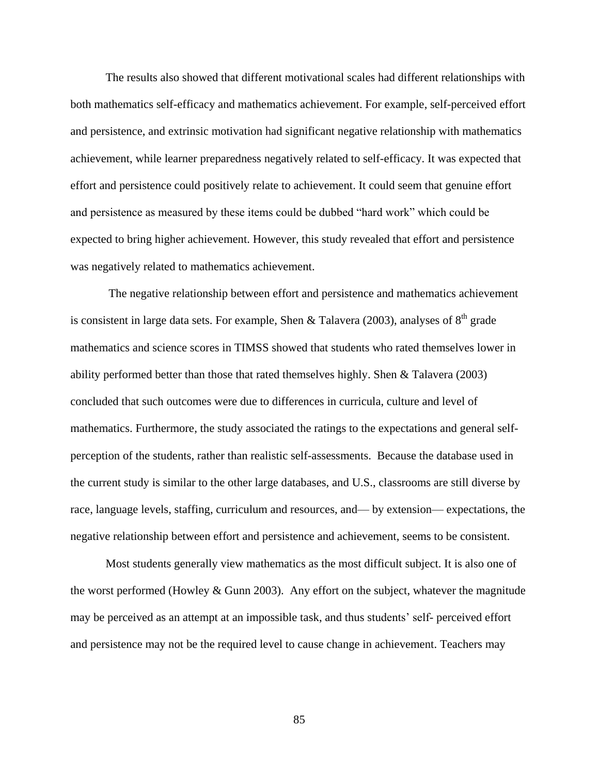The results also showed that different motivational scales had different relationships with both mathematics self-efficacy and mathematics achievement. For example, self-perceived effort and persistence, and extrinsic motivation had significant negative relationship with mathematics achievement, while learner preparedness negatively related to self-efficacy. It was expected that effort and persistence could positively relate to achievement. It could seem that genuine effort and persistence as measured by these items could be dubbed "hard work" which could be expected to bring higher achievement. However, this study revealed that effort and persistence was negatively related to mathematics achievement.

The negative relationship between effort and persistence and mathematics achievement is consistent in large data sets. For example, Shen & Talavera (2003), analyses of  $8<sup>th</sup>$  grade mathematics and science scores in TIMSS showed that students who rated themselves lower in ability performed better than those that rated themselves highly. Shen & Talavera (2003) concluded that such outcomes were due to differences in curricula, culture and level of mathematics. Furthermore, the study associated the ratings to the expectations and general selfperception of the students, rather than realistic self-assessments. Because the database used in the current study is similar to the other large databases, and U.S., classrooms are still diverse by race, language levels, staffing, curriculum and resources, and— by extension— expectations, the negative relationship between effort and persistence and achievement, seems to be consistent.

Most students generally view mathematics as the most difficult subject. It is also one of the worst performed (Howley & Gunn 2003). Any effort on the subject, whatever the magnitude may be perceived as an attempt at an impossible task, and thus students' self- perceived effort and persistence may not be the required level to cause change in achievement. Teachers may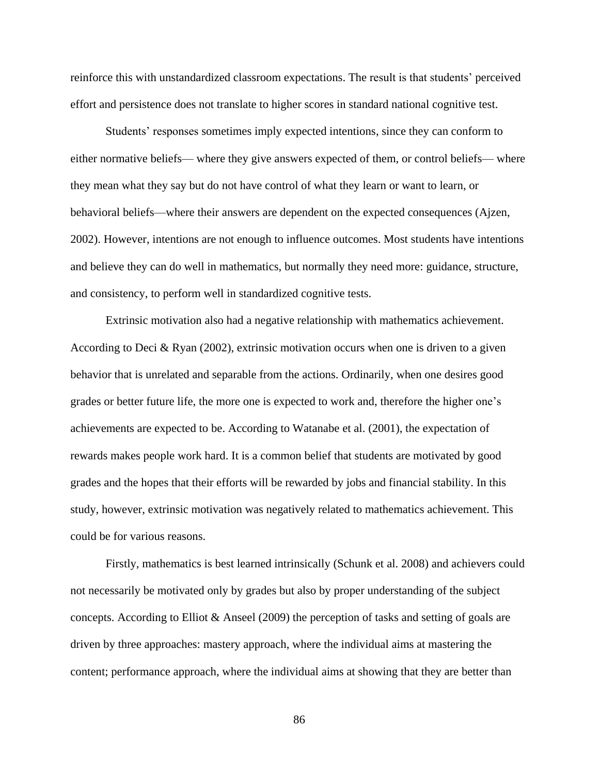reinforce this with unstandardized classroom expectations. The result is that students' perceived effort and persistence does not translate to higher scores in standard national cognitive test.

Students' responses sometimes imply expected intentions, since they can conform to either normative beliefs— where they give answers expected of them, or control beliefs— where they mean what they say but do not have control of what they learn or want to learn, or behavioral beliefs—where their answers are dependent on the expected consequences (Ajzen, 2002). However, intentions are not enough to influence outcomes. Most students have intentions and believe they can do well in mathematics, but normally they need more: guidance, structure, and consistency, to perform well in standardized cognitive tests.

Extrinsic motivation also had a negative relationship with mathematics achievement. According to Deci & Ryan (2002), extrinsic motivation occurs when one is driven to a given behavior that is unrelated and separable from the actions. Ordinarily, when one desires good grades or better future life, the more one is expected to work and, therefore the higher one's achievements are expected to be. According to Watanabe et al. (2001), the expectation of rewards makes people work hard. It is a common belief that students are motivated by good grades and the hopes that their efforts will be rewarded by jobs and financial stability. In this study, however, extrinsic motivation was negatively related to mathematics achievement. This could be for various reasons.

Firstly, mathematics is best learned intrinsically (Schunk et al. 2008) and achievers could not necessarily be motivated only by grades but also by proper understanding of the subject concepts. According to Elliot & Anseel (2009) the perception of tasks and setting of goals are driven by three approaches: mastery approach, where the individual aims at mastering the content; performance approach, where the individual aims at showing that they are better than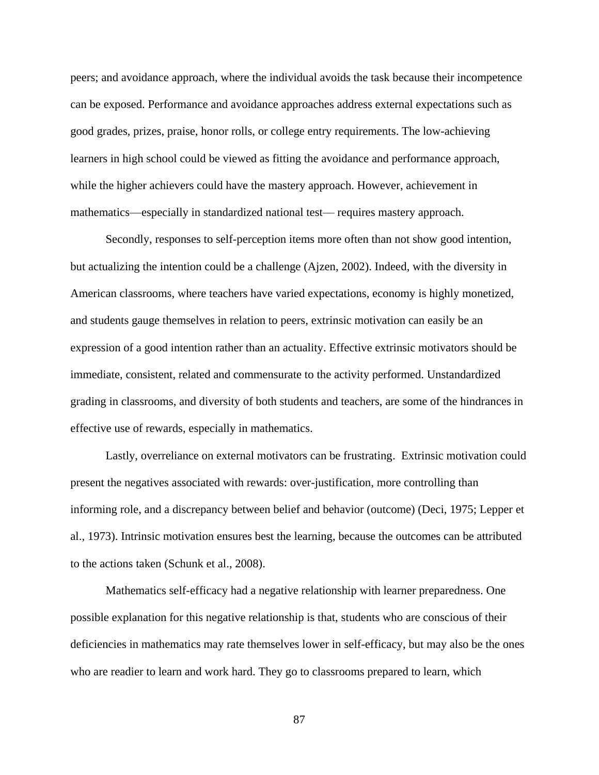peers; and avoidance approach, where the individual avoids the task because their incompetence can be exposed. Performance and avoidance approaches address external expectations such as good grades, prizes, praise, honor rolls, or college entry requirements. The low-achieving learners in high school could be viewed as fitting the avoidance and performance approach, while the higher achievers could have the mastery approach. However, achievement in mathematics—especially in standardized national test— requires mastery approach.

Secondly, responses to self-perception items more often than not show good intention, but actualizing the intention could be a challenge (Ajzen, 2002). Indeed, with the diversity in American classrooms, where teachers have varied expectations, economy is highly monetized, and students gauge themselves in relation to peers, extrinsic motivation can easily be an expression of a good intention rather than an actuality. Effective extrinsic motivators should be immediate, consistent, related and commensurate to the activity performed. Unstandardized grading in classrooms, and diversity of both students and teachers, are some of the hindrances in effective use of rewards, especially in mathematics.

Lastly, overreliance on external motivators can be frustrating. Extrinsic motivation could present the negatives associated with rewards: over-justification, more controlling than informing role, and a discrepancy between belief and behavior (outcome) (Deci, 1975; Lepper et al., 1973). Intrinsic motivation ensures best the learning, because the outcomes can be attributed to the actions taken (Schunk et al., 2008).

Mathematics self-efficacy had a negative relationship with learner preparedness. One possible explanation for this negative relationship is that, students who are conscious of their deficiencies in mathematics may rate themselves lower in self-efficacy, but may also be the ones who are readier to learn and work hard. They go to classrooms prepared to learn, which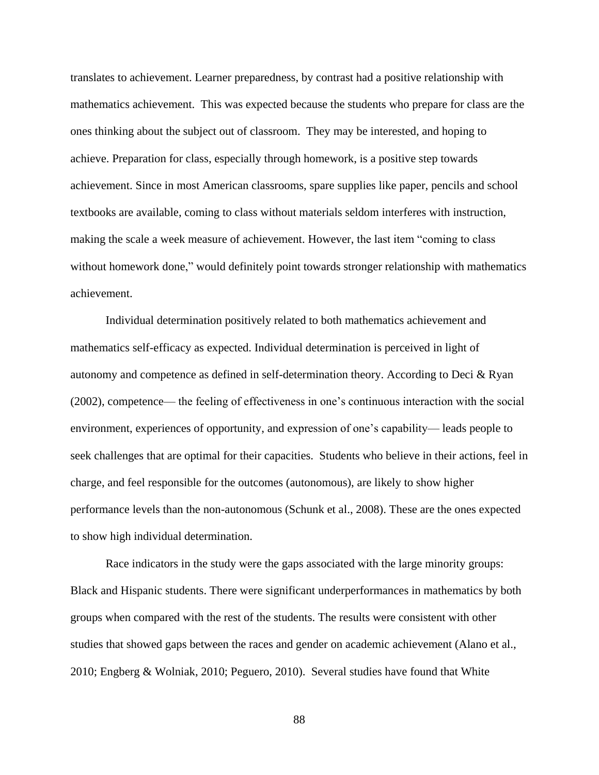translates to achievement. Learner preparedness, by contrast had a positive relationship with mathematics achievement. This was expected because the students who prepare for class are the ones thinking about the subject out of classroom. They may be interested, and hoping to achieve. Preparation for class, especially through homework, is a positive step towards achievement. Since in most American classrooms, spare supplies like paper, pencils and school textbooks are available, coming to class without materials seldom interferes with instruction, making the scale a week measure of achievement. However, the last item "coming to class without homework done," would definitely point towards stronger relationship with mathematics achievement.

Individual determination positively related to both mathematics achievement and mathematics self-efficacy as expected. Individual determination is perceived in light of autonomy and competence as defined in self-determination theory. According to Deci & Ryan (2002), competence— the feeling of effectiveness in one's continuous interaction with the social environment, experiences of opportunity, and expression of one's capability— leads people to seek challenges that are optimal for their capacities. Students who believe in their actions, feel in charge, and feel responsible for the outcomes (autonomous), are likely to show higher performance levels than the non-autonomous (Schunk et al., 2008). These are the ones expected to show high individual determination.

Race indicators in the study were the gaps associated with the large minority groups: Black and Hispanic students. There were significant underperformances in mathematics by both groups when compared with the rest of the students. The results were consistent with other studies that showed gaps between the races and gender on academic achievement (Alano et al., 2010; Engberg & Wolniak, 2010; Peguero, 2010). Several studies have found that White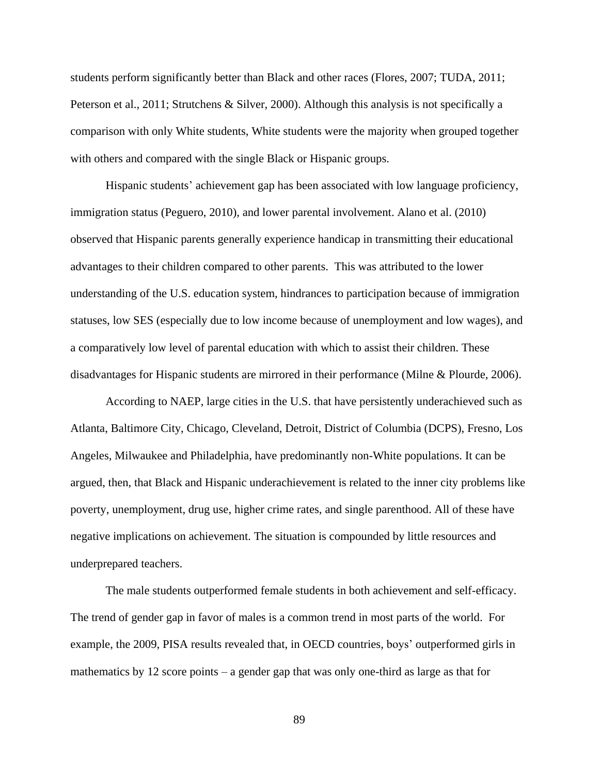students perform significantly better than Black and other races (Flores, 2007; TUDA, 2011; Peterson et al., 2011; Strutchens & Silver, 2000). Although this analysis is not specifically a comparison with only White students, White students were the majority when grouped together with others and compared with the single Black or Hispanic groups.

Hispanic students' achievement gap has been associated with low language proficiency, immigration status (Peguero, 2010), and lower parental involvement. Alano et al. (2010) observed that Hispanic parents generally experience handicap in transmitting their educational advantages to their children compared to other parents. This was attributed to the lower understanding of the U.S. education system, hindrances to participation because of immigration statuses, low SES (especially due to low income because of unemployment and low wages), and a comparatively low level of parental education with which to assist their children. These disadvantages for Hispanic students are mirrored in their performance (Milne & Plourde, 2006).

According to NAEP, large cities in the U.S. that have persistently underachieved such as Atlanta, Baltimore City, Chicago, Cleveland, Detroit, District of Columbia (DCPS), Fresno, Los Angeles, Milwaukee and Philadelphia, have predominantly non-White populations. It can be argued, then, that Black and Hispanic underachievement is related to the inner city problems like poverty, unemployment, drug use, higher crime rates, and single parenthood. All of these have negative implications on achievement. The situation is compounded by little resources and underprepared teachers.

The male students outperformed female students in both achievement and self-efficacy. The trend of gender gap in favor of males is a common trend in most parts of the world. For example, the 2009, PISA results revealed that, in OECD countries, boys' outperformed girls in mathematics by 12 score points – a gender gap that was only one-third as large as that for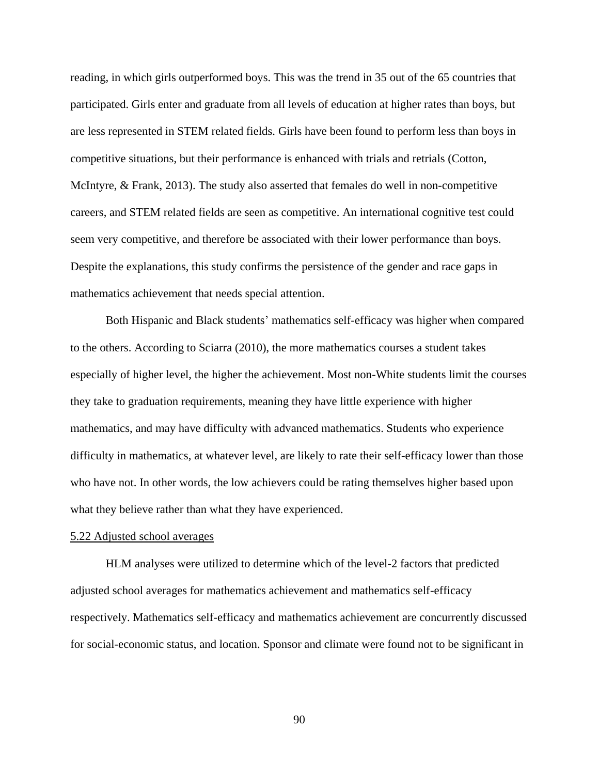reading, in which girls outperformed boys. This was the trend in 35 out of the 65 countries that participated. Girls enter and graduate from all levels of education at higher rates than boys, but are less represented in STEM related fields. Girls have been found to perform less than boys in competitive situations, but their performance is enhanced with trials and retrials (Cotton, McIntyre, & Frank, 2013). The study also asserted that females do well in non-competitive careers, and STEM related fields are seen as competitive. An international cognitive test could seem very competitive, and therefore be associated with their lower performance than boys. Despite the explanations, this study confirms the persistence of the gender and race gaps in mathematics achievement that needs special attention.

Both Hispanic and Black students' mathematics self-efficacy was higher when compared to the others. According to Sciarra (2010), the more mathematics courses a student takes especially of higher level, the higher the achievement. Most non-White students limit the courses they take to graduation requirements, meaning they have little experience with higher mathematics, and may have difficulty with advanced mathematics. Students who experience difficulty in mathematics, at whatever level, are likely to rate their self-efficacy lower than those who have not. In other words, the low achievers could be rating themselves higher based upon what they believe rather than what they have experienced.

#### 5.22 Adjusted school averages

HLM analyses were utilized to determine which of the level-2 factors that predicted adjusted school averages for mathematics achievement and mathematics self-efficacy respectively. Mathematics self-efficacy and mathematics achievement are concurrently discussed for social-economic status, and location. Sponsor and climate were found not to be significant in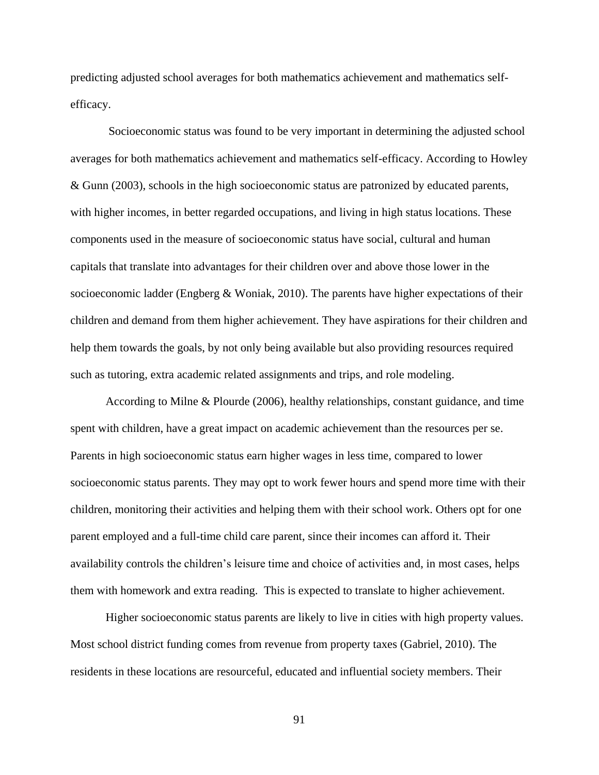predicting adjusted school averages for both mathematics achievement and mathematics selfefficacy.

Socioeconomic status was found to be very important in determining the adjusted school averages for both mathematics achievement and mathematics self-efficacy. According to Howley & Gunn (2003), schools in the high socioeconomic status are patronized by educated parents, with higher incomes, in better regarded occupations, and living in high status locations. These components used in the measure of socioeconomic status have social, cultural and human capitals that translate into advantages for their children over and above those lower in the socioeconomic ladder (Engberg & Woniak, 2010). The parents have higher expectations of their children and demand from them higher achievement. They have aspirations for their children and help them towards the goals, by not only being available but also providing resources required such as tutoring, extra academic related assignments and trips, and role modeling.

According to Milne & Plourde (2006), healthy relationships, constant guidance, and time spent with children, have a great impact on academic achievement than the resources per se. Parents in high socioeconomic status earn higher wages in less time, compared to lower socioeconomic status parents. They may opt to work fewer hours and spend more time with their children, monitoring their activities and helping them with their school work. Others opt for one parent employed and a full-time child care parent, since their incomes can afford it. Their availability controls the children's leisure time and choice of activities and, in most cases, helps them with homework and extra reading. This is expected to translate to higher achievement.

Higher socioeconomic status parents are likely to live in cities with high property values. Most school district funding comes from revenue from property taxes (Gabriel, 2010). The residents in these locations are resourceful, educated and influential society members. Their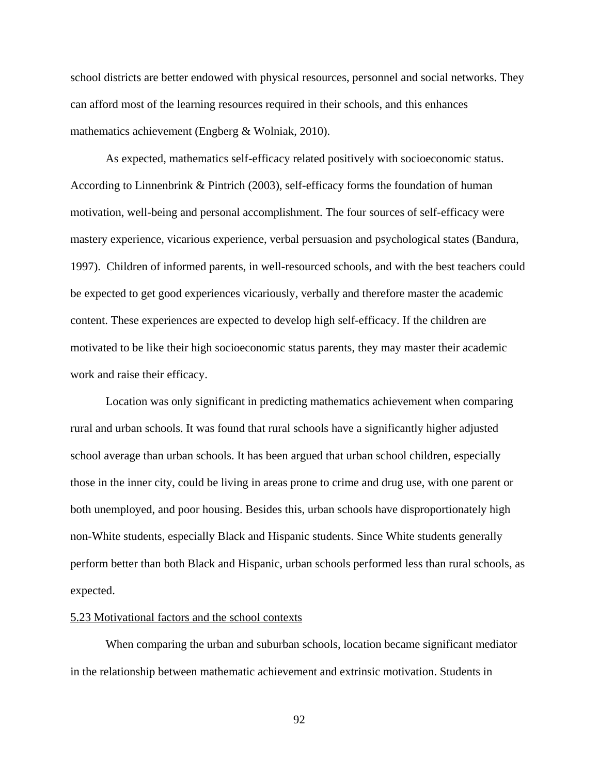school districts are better endowed with physical resources, personnel and social networks. They can afford most of the learning resources required in their schools, and this enhances mathematics achievement (Engberg & Wolniak, 2010).

As expected, mathematics self-efficacy related positively with socioeconomic status. According to Linnenbrink & Pintrich (2003), self-efficacy forms the foundation of human motivation, well-being and personal accomplishment. The four sources of self-efficacy were mastery experience, vicarious experience, verbal persuasion and psychological states (Bandura, 1997). Children of informed parents, in well-resourced schools, and with the best teachers could be expected to get good experiences vicariously, verbally and therefore master the academic content. These experiences are expected to develop high self-efficacy. If the children are motivated to be like their high socioeconomic status parents, they may master their academic work and raise their efficacy.

Location was only significant in predicting mathematics achievement when comparing rural and urban schools. It was found that rural schools have a significantly higher adjusted school average than urban schools. It has been argued that urban school children, especially those in the inner city, could be living in areas prone to crime and drug use, with one parent or both unemployed, and poor housing. Besides this, urban schools have disproportionately high non-White students, especially Black and Hispanic students. Since White students generally perform better than both Black and Hispanic, urban schools performed less than rural schools, as expected.

# 5.23 Motivational factors and the school contexts

When comparing the urban and suburban schools, location became significant mediator in the relationship between mathematic achievement and extrinsic motivation. Students in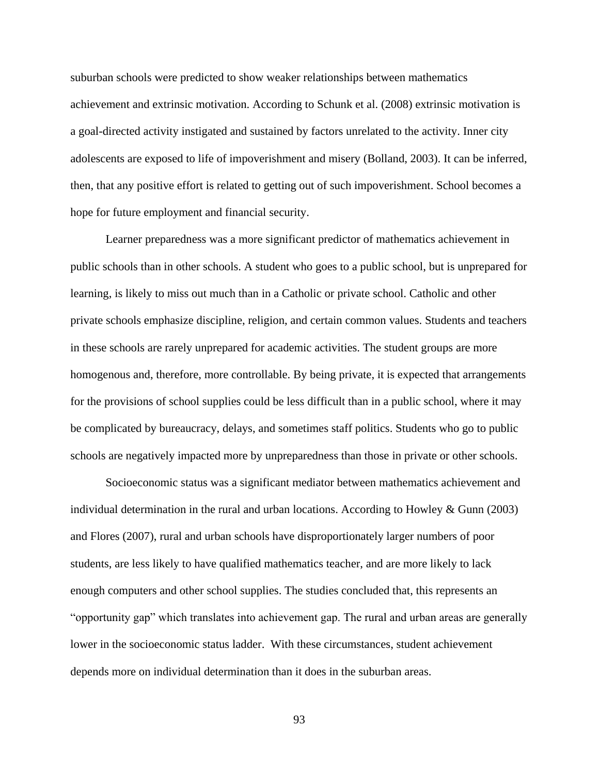suburban schools were predicted to show weaker relationships between mathematics achievement and extrinsic motivation. According to Schunk et al. (2008) extrinsic motivation is a goal-directed activity instigated and sustained by factors unrelated to the activity. Inner city adolescents are exposed to life of impoverishment and misery (Bolland, 2003). It can be inferred, then, that any positive effort is related to getting out of such impoverishment. School becomes a hope for future employment and financial security.

Learner preparedness was a more significant predictor of mathematics achievement in public schools than in other schools. A student who goes to a public school, but is unprepared for learning, is likely to miss out much than in a Catholic or private school. Catholic and other private schools emphasize discipline, religion, and certain common values. Students and teachers in these schools are rarely unprepared for academic activities. The student groups are more homogenous and, therefore, more controllable. By being private, it is expected that arrangements for the provisions of school supplies could be less difficult than in a public school, where it may be complicated by bureaucracy, delays, and sometimes staff politics. Students who go to public schools are negatively impacted more by unpreparedness than those in private or other schools.

Socioeconomic status was a significant mediator between mathematics achievement and individual determination in the rural and urban locations. According to Howley & Gunn (2003) and Flores (2007), rural and urban schools have disproportionately larger numbers of poor students, are less likely to have qualified mathematics teacher, and are more likely to lack enough computers and other school supplies. The studies concluded that, this represents an "opportunity gap" which translates into achievement gap. The rural and urban areas are generally lower in the socioeconomic status ladder. With these circumstances, student achievement depends more on individual determination than it does in the suburban areas.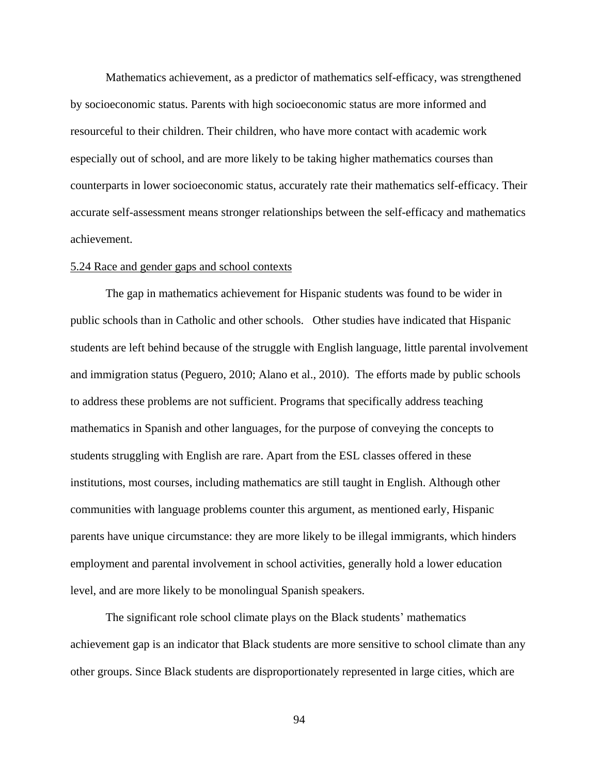Mathematics achievement, as a predictor of mathematics self-efficacy, was strengthened by socioeconomic status. Parents with high socioeconomic status are more informed and resourceful to their children. Their children, who have more contact with academic work especially out of school, and are more likely to be taking higher mathematics courses than counterparts in lower socioeconomic status, accurately rate their mathematics self-efficacy. Their accurate self-assessment means stronger relationships between the self-efficacy and mathematics achievement.

#### 5.24 Race and gender gaps and school contexts

The gap in mathematics achievement for Hispanic students was found to be wider in public schools than in Catholic and other schools. Other studies have indicated that Hispanic students are left behind because of the struggle with English language, little parental involvement and immigration status (Peguero, 2010; Alano et al., 2010). The efforts made by public schools to address these problems are not sufficient. Programs that specifically address teaching mathematics in Spanish and other languages, for the purpose of conveying the concepts to students struggling with English are rare. Apart from the ESL classes offered in these institutions, most courses, including mathematics are still taught in English. Although other communities with language problems counter this argument, as mentioned early, Hispanic parents have unique circumstance: they are more likely to be illegal immigrants, which hinders employment and parental involvement in school activities, generally hold a lower education level, and are more likely to be monolingual Spanish speakers.

The significant role school climate plays on the Black students' mathematics achievement gap is an indicator that Black students are more sensitive to school climate than any other groups. Since Black students are disproportionately represented in large cities, which are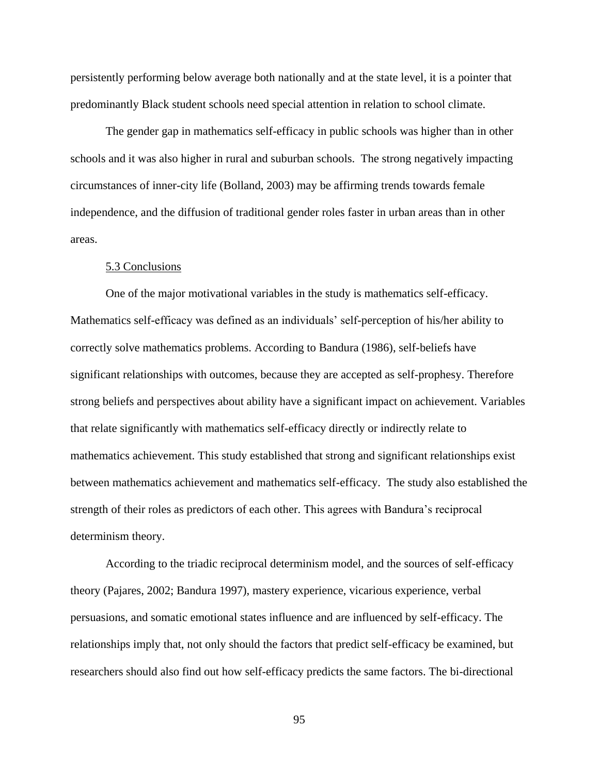persistently performing below average both nationally and at the state level, it is a pointer that predominantly Black student schools need special attention in relation to school climate.

The gender gap in mathematics self-efficacy in public schools was higher than in other schools and it was also higher in rural and suburban schools. The strong negatively impacting circumstances of inner-city life (Bolland, 2003) may be affirming trends towards female independence, and the diffusion of traditional gender roles faster in urban areas than in other areas.

#### 5.3 Conclusions

One of the major motivational variables in the study is mathematics self-efficacy. Mathematics self-efficacy was defined as an individuals' self-perception of his/her ability to correctly solve mathematics problems. According to Bandura (1986), self-beliefs have significant relationships with outcomes, because they are accepted as self-prophesy. Therefore strong beliefs and perspectives about ability have a significant impact on achievement. Variables that relate significantly with mathematics self-efficacy directly or indirectly relate to mathematics achievement. This study established that strong and significant relationships exist between mathematics achievement and mathematics self-efficacy. The study also established the strength of their roles as predictors of each other. This agrees with Bandura's reciprocal determinism theory.

According to the triadic reciprocal determinism model, and the sources of self-efficacy theory (Pajares, 2002; Bandura 1997), mastery experience, vicarious experience, verbal persuasions, and somatic emotional states influence and are influenced by self-efficacy. The relationships imply that, not only should the factors that predict self-efficacy be examined, but researchers should also find out how self-efficacy predicts the same factors. The bi-directional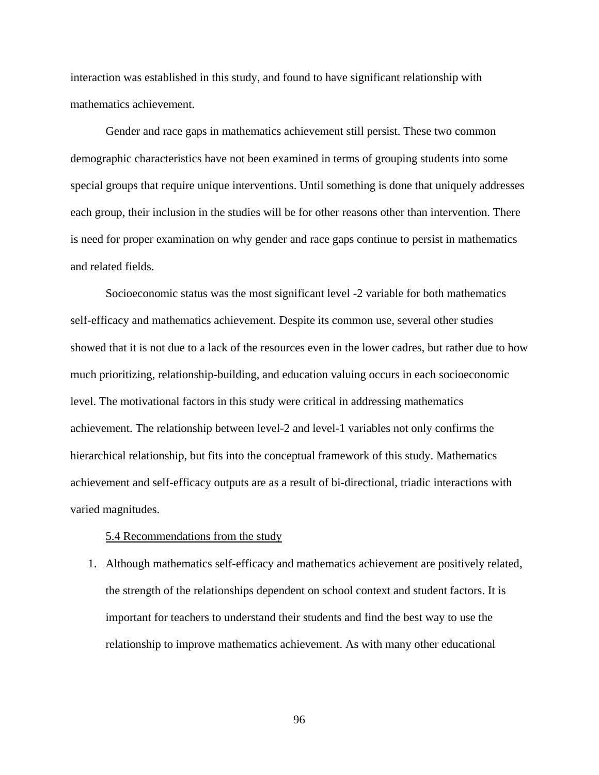interaction was established in this study, and found to have significant relationship with mathematics achievement.

Gender and race gaps in mathematics achievement still persist. These two common demographic characteristics have not been examined in terms of grouping students into some special groups that require unique interventions. Until something is done that uniquely addresses each group, their inclusion in the studies will be for other reasons other than intervention. There is need for proper examination on why gender and race gaps continue to persist in mathematics and related fields.

Socioeconomic status was the most significant level -2 variable for both mathematics self-efficacy and mathematics achievement. Despite its common use, several other studies showed that it is not due to a lack of the resources even in the lower cadres, but rather due to how much prioritizing, relationship-building, and education valuing occurs in each socioeconomic level. The motivational factors in this study were critical in addressing mathematics achievement. The relationship between level-2 and level-1 variables not only confirms the hierarchical relationship, but fits into the conceptual framework of this study. Mathematics achievement and self-efficacy outputs are as a result of bi-directional, triadic interactions with varied magnitudes.

#### 5.4 Recommendations from the study

1. Although mathematics self-efficacy and mathematics achievement are positively related, the strength of the relationships dependent on school context and student factors. It is important for teachers to understand their students and find the best way to use the relationship to improve mathematics achievement. As with many other educational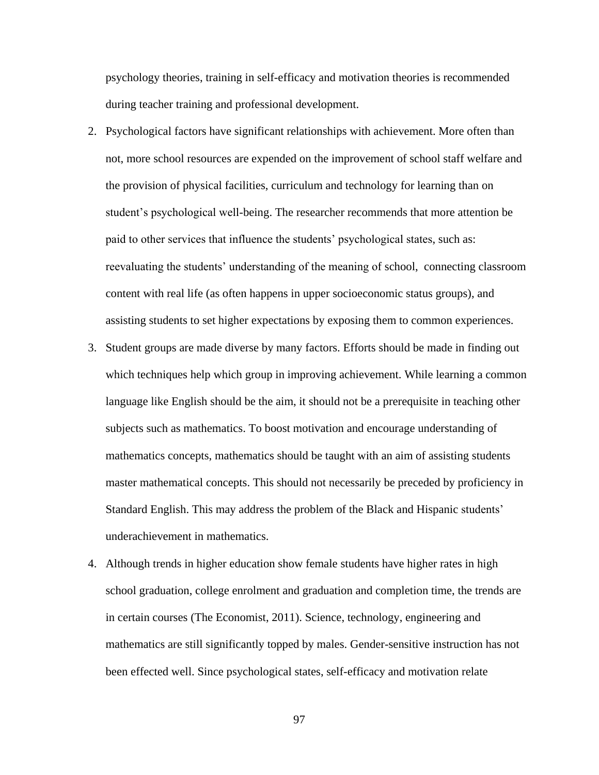psychology theories, training in self-efficacy and motivation theories is recommended during teacher training and professional development.

- 2. Psychological factors have significant relationships with achievement. More often than not, more school resources are expended on the improvement of school staff welfare and the provision of physical facilities, curriculum and technology for learning than on student's psychological well-being. The researcher recommends that more attention be paid to other services that influence the students' psychological states, such as: reevaluating the students' understanding of the meaning of school, connecting classroom content with real life (as often happens in upper socioeconomic status groups), and assisting students to set higher expectations by exposing them to common experiences.
- 3. Student groups are made diverse by many factors. Efforts should be made in finding out which techniques help which group in improving achievement. While learning a common language like English should be the aim, it should not be a prerequisite in teaching other subjects such as mathematics. To boost motivation and encourage understanding of mathematics concepts, mathematics should be taught with an aim of assisting students master mathematical concepts. This should not necessarily be preceded by proficiency in Standard English. This may address the problem of the Black and Hispanic students' underachievement in mathematics.
- 4. Although trends in higher education show female students have higher rates in high school graduation, college enrolment and graduation and completion time, the trends are in certain courses (The Economist, 2011). Science, technology, engineering and mathematics are still significantly topped by males. Gender-sensitive instruction has not been effected well. Since psychological states, self-efficacy and motivation relate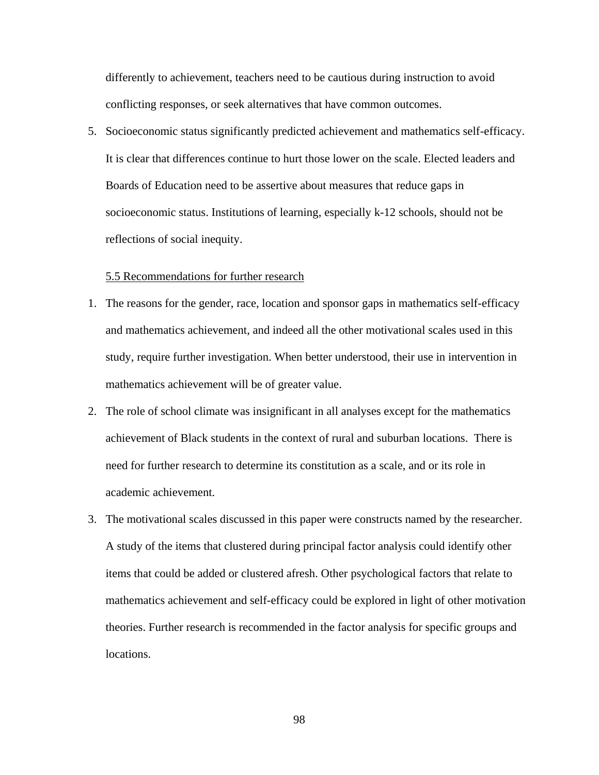differently to achievement, teachers need to be cautious during instruction to avoid conflicting responses, or seek alternatives that have common outcomes.

5. Socioeconomic status significantly predicted achievement and mathematics self-efficacy. It is clear that differences continue to hurt those lower on the scale. Elected leaders and Boards of Education need to be assertive about measures that reduce gaps in socioeconomic status. Institutions of learning, especially k-12 schools, should not be reflections of social inequity.

# 5.5 Recommendations for further research

- 1. The reasons for the gender, race, location and sponsor gaps in mathematics self-efficacy and mathematics achievement, and indeed all the other motivational scales used in this study, require further investigation. When better understood, their use in intervention in mathematics achievement will be of greater value.
- 2. The role of school climate was insignificant in all analyses except for the mathematics achievement of Black students in the context of rural and suburban locations. There is need for further research to determine its constitution as a scale, and or its role in academic achievement.
- 3. The motivational scales discussed in this paper were constructs named by the researcher. A study of the items that clustered during principal factor analysis could identify other items that could be added or clustered afresh. Other psychological factors that relate to mathematics achievement and self-efficacy could be explored in light of other motivation theories. Further research is recommended in the factor analysis for specific groups and locations.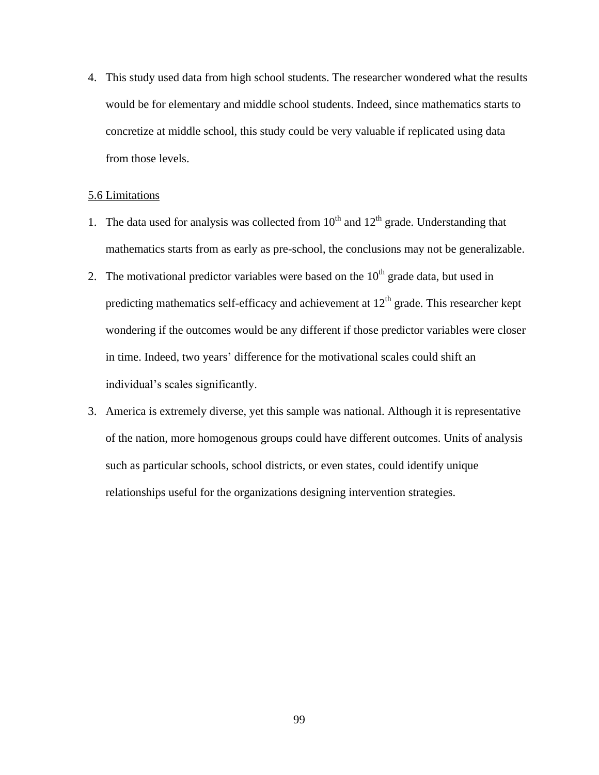4. This study used data from high school students. The researcher wondered what the results would be for elementary and middle school students. Indeed, since mathematics starts to concretize at middle school, this study could be very valuable if replicated using data from those levels.

# 5.6 Limitations

- 1. The data used for analysis was collected from  $10<sup>th</sup>$  and  $12<sup>th</sup>$  grade. Understanding that mathematics starts from as early as pre-school, the conclusions may not be generalizable.
- 2. The motivational predictor variables were based on the  $10<sup>th</sup>$  grade data, but used in predicting mathematics self-efficacy and achievement at  $12<sup>th</sup>$  grade. This researcher kept wondering if the outcomes would be any different if those predictor variables were closer in time. Indeed, two years' difference for the motivational scales could shift an individual's scales significantly.
- 3. America is extremely diverse, yet this sample was national. Although it is representative of the nation, more homogenous groups could have different outcomes. Units of analysis such as particular schools, school districts, or even states, could identify unique relationships useful for the organizations designing intervention strategies.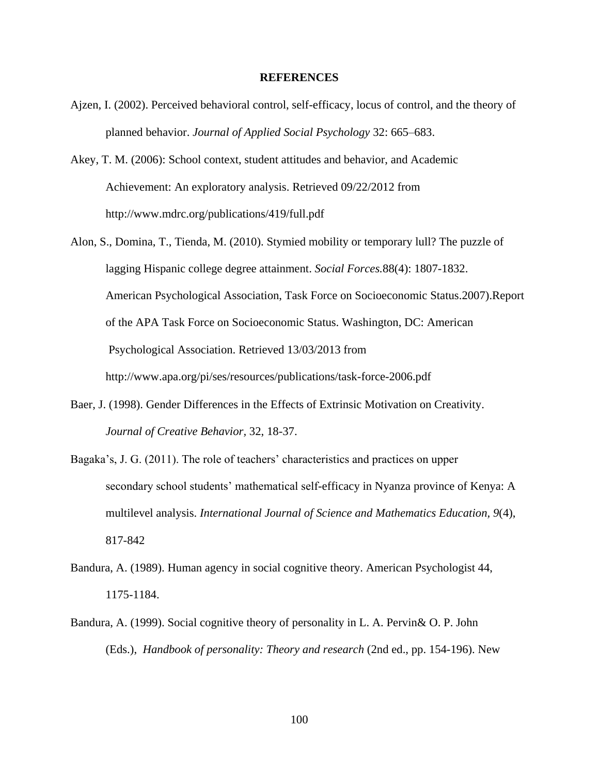#### **REFERENCES**

- Ajzen, I. (2002). Perceived behavioral control, self-efficacy, locus of control, and the theory of planned behavior. *Journal of Applied Social Psychology* 32: 665–683.
- Akey, T. M. (2006): School context, student attitudes and behavior, and Academic Achievement: An exploratory analysis. Retrieved 09/22/2012 from <http://www.mdrc.org/publications/419/full.pdf>
- Alon, S., Domina, T., Tienda, M. (2010). Stymied mobility or temporary lull? The puzzle of lagging Hispanic college degree attainment. *Social Forces.*88(4): 1807-1832. American Psychological Association, Task Force on Socioeconomic Status.2007).Report of the APA Task Force on Socioeconomic Status. Washington, DC: American Psychological Association. Retrieved 13/03/2013 from [http://www.apa.org/pi/ses/resources/publications/task-f](http://www.apa.org/pi/ses/resources/publications/task-)orce-2006.pdf
- Baer, J. (1998). Gender Differences in the Effects of Extrinsic Motivation on Creativity. *Journal of Creative Behavior,* 32, 18-37.
- Bagaka's, J. G. (2011). The role of teachers' characteristics and practices on upper secondary school students' mathematical self-efficacy in Nyanza province of Kenya: A multilevel analysis. *International Journal of Science and Mathematics Education, 9*(4), 817-842
- Bandura, A. (1989). Human agency in social cognitive theory. American Psychologist 44, 1175-1184.
- Bandura, A. (1999). Social cognitive theory of personality in L. A. Pervin& O. P. John (Eds.), *Handbook of personality: Theory and research* (2nd ed., pp. 154-196). New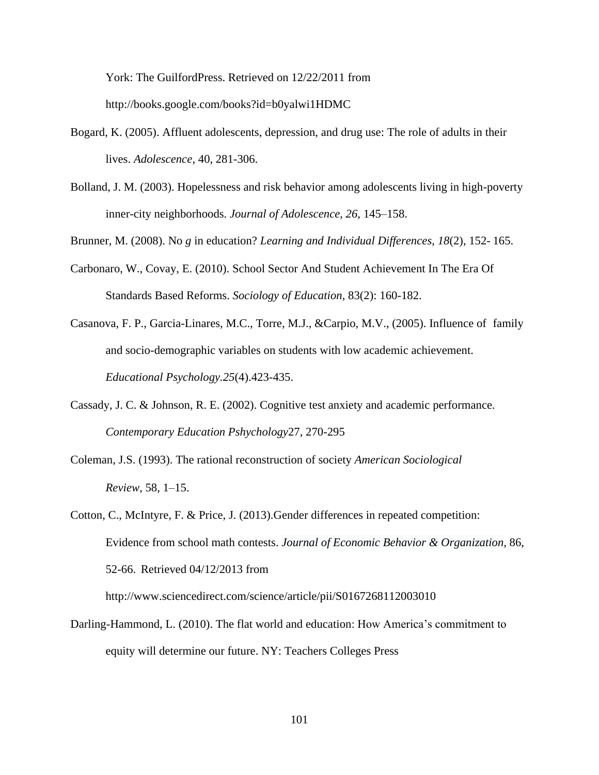York: The GuilfordPress. Retrieved on 12/22/2011 from [http://books.google.com/books?id=b0yalwi1HDMC](http://books.google.com/books?id=b0yalwi1HDMC&pg=PA169&lpg=PA169&dq=Individuals+%E2%80%9Cfunction+as+contributors+to+their+own+motivation,+behavior,+and+development+within+a+network+of+reciprocally+interacting+influences&source=bl&ots=747CQ7WtOp&sig=ndet9GMY133K9b5pjAsSus_iEOY&hl=en&ei=JcIZTKn7AYSglAfAq838Cg&sa=X&oi=book_result&ct=result&resnum=1&ved=0CBIQ6AEwAA#v=onepage&q&f=false)

- Bogard, K. (2005). Affluent adolescents, depression, and drug use: The role of adults in their lives. *Adolescence*, 40, 281-306.
- Bolland, J. M. (2003). Hopelessness and risk behavior among adolescents living in high-poverty inner-city neighborhoods. *Journal of Adolescence*, *26,* 145–158.

Brunner, M. (2008). No *g* in education? *Learning and Individual Differences, 18*(2), 152- 165.

- Carbonaro, W., Covay, E. (2010). School Sector And Student Achievement In The Era Of Standards Based Reforms. *Sociology of Education*, 83(2): 160-182.
- Casanova, F. P., Garcia-Linares, M.C., Torre, M.J., &Carpio, M.V., (2005). Influence of family and socio-demographic variables on students with low academic achievement. *Educational Psychology.25*(4).423-435.
- Cassady, J. C. & Johnson, R. E. (2002). Cognitive test anxiety and academic performance. *Contemporary Education Pshychology*27, 270-295
- Coleman, J.S. (1993). The rational reconstruction of society *American Sociological Review*, 58, 1–15.
- Cotton, C., McIntyre, F. & Price, J. (2013).Gender differences in repeated competition: Evidence from school math contests. *Journal of Economic Behavior & [Organization,](http://www.sciencedirect.com/science/journal/01672681)* 86, 52-66. Retrieved 04/12/2013 from <http://www.sciencedirect.com/science/article/pii/S0167268112003010>
- Darling-Hammond, L. (2010). The flat world and education: How America's commitment to equity will determine our future. NY: Teachers Colleges Press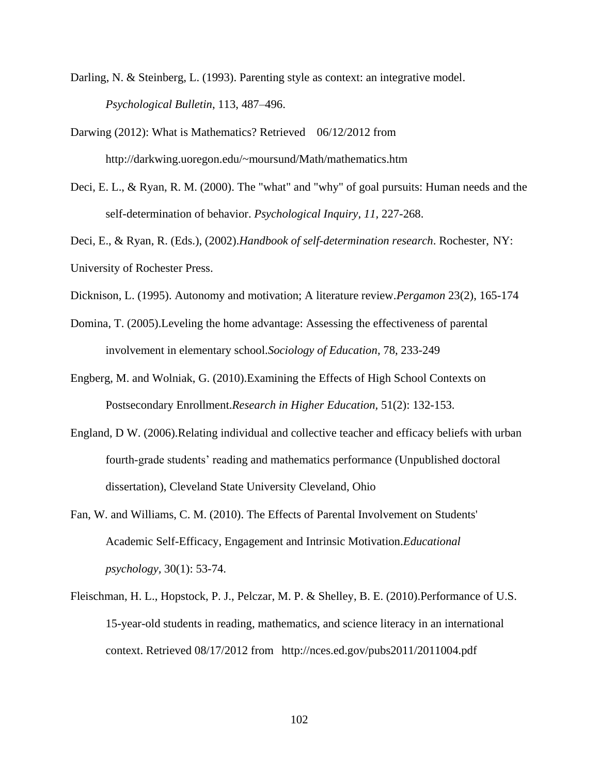- Darling, N. & Steinberg, L. (1993). Parenting style as context: an integrative model. *Psychological Bulletin*, 113, 487–496.
- Darwing (2012): What is Mathematics? Retrieved 06/12/2012 from <http://darkwing.uoregon.edu/~moursund/Math/mathematics.htm>
- Deci, E. L., & Ryan, R. M. (2000). The "what" and "why" of goal pursuits: Human needs and the self-determination of behavior. *Psychological Inquiry, 11,* 227-268.

Deci, E., & Ryan, R. (Eds.), (2002).*Handbook of self-determination research*. Rochester, NY: University of Rochester Press.

- Dicknison, L. (1995). Autonomy and motivation; A literature review.*Pergamon* 23(2), 165-174
- Domina, T. (2005).Leveling the home advantage: Assessing the effectiveness of parental involvement in elementary school.*Sociology of Education*, 78, 233-249
- Engberg, M. and Wolniak, G. (2010).Examining the Effects of High School Contexts on Postsecondary Enrollment.*Research in Higher Education,* 51(2): 132-153.
- England, D W. (2006).Relating individual and collective teacher and efficacy beliefs with urban fourth-grade students' reading and mathematics performance (Unpublished doctoral dissertation), Cleveland State University Cleveland, Ohio
- Fan, W. and Williams, C. M. (2010). The Effects of Parental Involvement on Students' Academic Self-Efficacy, Engagement and Intrinsic Motivation.*Educational psychology,* 30(1): 53-74.
- Fleischman, H. L., Hopstock, P. J., Pelczar, M. P. & Shelley, B. E. (2010).Performance of U.S. 15-year-old students in reading, mathematics, and science literacy in an international context. Retrieved 08/17/2012 from <http://nces.ed.gov/pubs2011/2011004.pdf>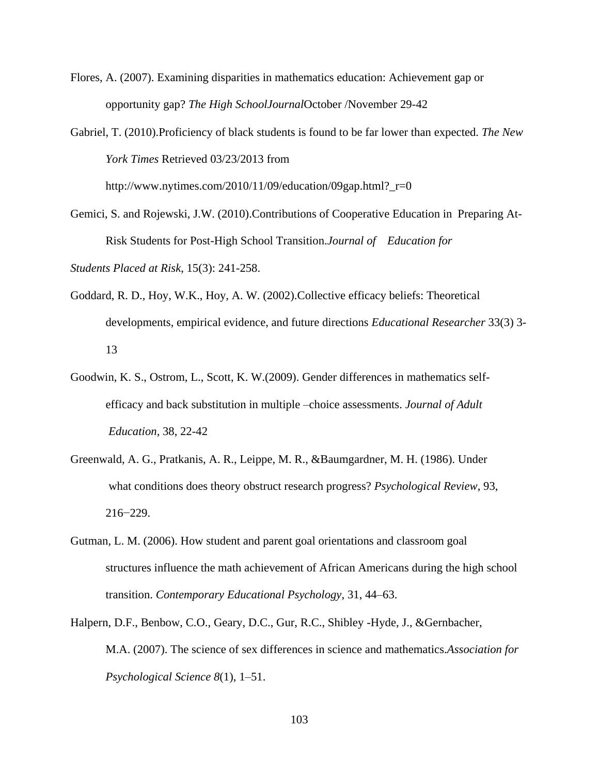Flores, A. (2007). Examining disparities in mathematics education: Achievement gap or opportunity gap? *The High SchoolJournal*October /November 29-42

Gabriel, T. (2010).Proficiency of black students is found to be far lower than expected. *The New York Times* Retrieved 03/23/2013 from http://www.nytimes.com/2010/11/09/education/09gap.html?\_r=0

Gemici, S. and Rojewski, J.W. (2010).Contributions of Cooperative Education in Preparing At-Risk Students for Post-High School Transition.*Journal of Education for Students Placed at Risk*, 15(3): 241-258.

- Goddard, R. D., Hoy, W.K., Hoy, A. W. (2002).Collective efficacy beliefs: Theoretical developments, empirical evidence, and future directions *Educational Researcher* 33(3) 3- 13
- Goodwin, K. S., Ostrom, L., Scott, K. W.(2009). Gender differences in mathematics selfefficacy and back substitution in multiple –choice assessments. *Journal of Adult Education,* 38, 22-42
- Greenwald, A. G., Pratkanis, A. R., Leippe, M. R., &Baumgardner, M. H. (1986). Under what conditions does theory obstruct research progress? *Psychological Review*, 93, 216−229.
- Gutman, L. M. (2006). How student and parent goal orientations and classroom goal structures influence the math achievement of African Americans during the high school transition. *Contemporary Educational Psychology*, 31, 44–63.
- Halpern, D.F., Benbow, C.O., Geary, D.C., Gur, R.C., Shibley -Hyde, J., &Gernbacher, M.A. (2007). The science of sex differences in science and mathematics.*Association for Psychological Science 8*(1), 1–51.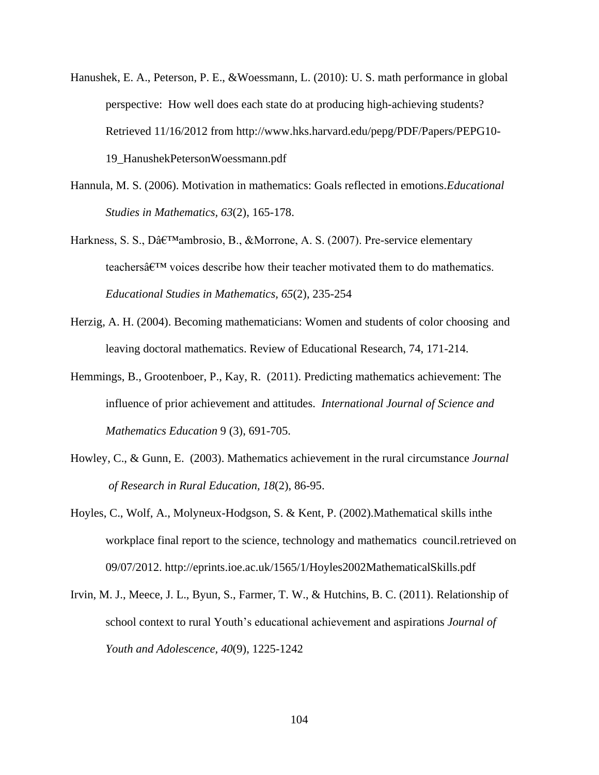- Hanushek, E. A., Peterson, P. E., &Woessmann, L. (2010): U. S. math performance in global perspective: How well does each state do at producing high-achieving students? Retrieved 11/16/2012 from [http://www.hks.harvard.edu/pepg/PDF/Papers/PEPG10-](http://www.hks.harvard.edu/pepg/PDF/Papers/PEPG10-%0919_HanushekPetersonWoessmann.pdf) [19\\_HanushekPetersonWoessmann.pdf](http://www.hks.harvard.edu/pepg/PDF/Papers/PEPG10-%0919_HanushekPetersonWoessmann.pdf)
- Hannula, M. S. (2006). Motivation in mathematics: Goals reflected in emotions.*Educational Studies in Mathematics, 63*(2), 165-178.
- Harkness, S. S., Dâ $\epsilon^{\text{TM}}$ ambrosio, B., &Morrone, A. S. (2007). Pre-service elementary teachers $\hat{\mathbf{a}} \in \mathbb{R}^N$  voices describe how their teacher motivated them to do mathematics. *Educational Studies in Mathematics, 65*(2), 235-254
- Herzig, A. H. (2004). Becoming mathematicians: Women and students of color choosing and leaving doctoral mathematics. Review of Educational Research, 74, 171-214.
- Hemmings, B., Grootenboer, P., Kay, R. (2011). Predicting mathematics achievement: The influence of prior achievement and attitudes. *International Journal of Science and Mathematics Education* 9 (3), 691-705.
- Howley, C., & Gunn, E. (2003). Mathematics achievement in the rural circumstance *Journal of Research in Rural Education, 18*(2), 86-95.
- Hoyles, C., Wolf, A., Molyneux-Hodgson, S. & Kent, P. (2002).Mathematical skills inthe workplace final report to the science, technology and mathematics council.retrieved on 09/07/2012.<http://eprints.ioe.ac.uk/1565/1/Hoyles2002MathematicalSkills.pdf>
- Irvin, M. J., Meece, J. L., Byun, S., Farmer, T. W., & Hutchins, B. C. (2011). Relationship of school context to rural Youth's educational achievement and aspirations *Journal of Youth and Adolescence, 40*(9), 1225-1242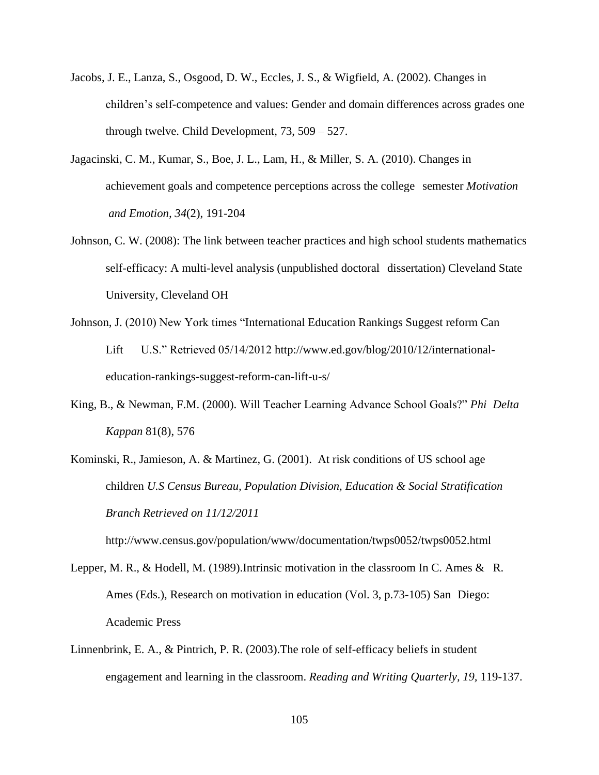- Jacobs, J. E., Lanza, S., Osgood, D. W., Eccles, J. S., & Wigfield, A. (2002). Changes in children's self-competence and values: Gender and domain differences across grades one through twelve. Child Development, 73, 509 – 527.
- Jagacinski, C. M., Kumar, S., Boe, J. L., Lam, H., & Miller, S. A. (2010). Changes in achievement goals and competence perceptions across the college semester *Motivation and Emotion, 34*(2), 191-204
- Johnson, C. W. (2008): The link between teacher practices and high school students mathematics self-efficacy: A multi-level analysis (unpublished doctoral dissertation) Cleveland State University, Cleveland OH
- Johnson, J. (2010) New York times "International Education Rankings Suggest reform Can Lift U.S." Retrieved 05/14/2012 [http://www.ed.gov/blog/2010/12/international](http://www.ed.gov/blog/2010/12/international-%09education-rankings-suggest-)[education-rankings-suggest-r](http://www.ed.gov/blog/2010/12/international-%09education-rankings-suggest-)eform-can-lift-u-s/
- King, B., & Newman, F.M. (2000). Will Teacher Learning Advance School Goals?" *Phi Delta Kappan* 81(8), 576
- Kominski, R., Jamieson, A. & Martinez, G. (2001). At risk conditions of US school age children *U.S Census Bureau, Population Division, Education & Social Stratification Branch Retrieved on 11/12/2011*

<http://www.census.gov/population/www/documentation/twps0052/twps0052.html>

- Lepper, M. R., & Hodell, M. (1989).Intrinsic motivation in the classroom In C. Ames & R. Ames (Eds.), Research on motivation in education (Vol. 3, p.73-105) San Diego: Academic Press
- Linnenbrink, E. A., & Pintrich, P. R. (2003).The role of self-efficacy beliefs in student engagement and learning in the classroom. *Reading and Writing Quarterly, 19,* 119-137.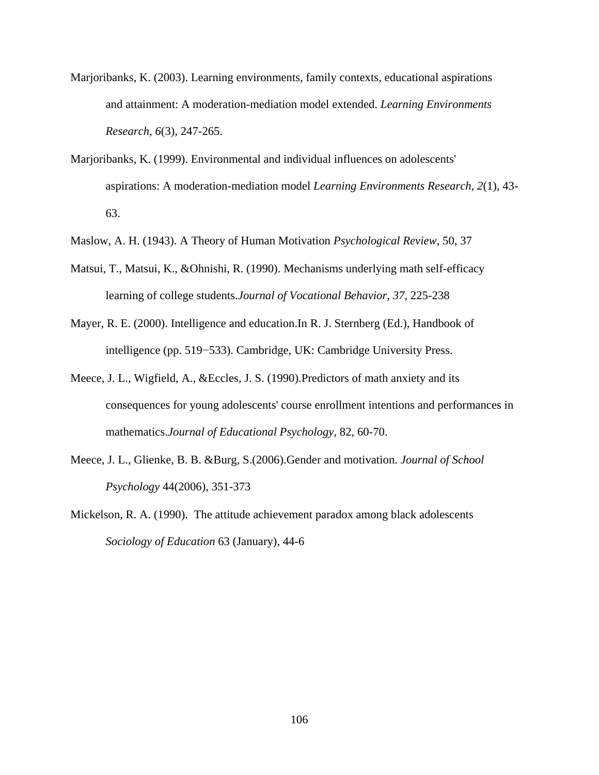- Marjoribanks, K. (2003). Learning environments, family contexts, educational aspirations and attainment: A moderation-mediation model extended. *Learning Environments Research, 6*(3), 247-265.
- Marjoribanks, K. (1999). Environmental and individual influences on adolescents' aspirations: A moderation-mediation model *Learning Environments Research, 2*(1), 43- 63.
- Maslow, A. H. (1943). A Theory of Human Motivation *Psychological Review*, 50, 37
- Matsui, T., Matsui, K., &Ohnishi, R. (1990). Mechanisms underlying math self-efficacy learning of college students.*Journal of Vocational Behavior, 37,* 225-238
- Mayer, R. E. (2000). Intelligence and education.In R. J. Sternberg (Ed.), Handbook of intelligence (pp. 519−533). Cambridge, UK: Cambridge University Press.
- Meece, J. L., Wigfield, A., &Eccles, J. S. (1990).Predictors of math anxiety and its consequences for young adolescents' course enrollment intentions and performances in mathematics.*Journal of Educational Psychology*, 82, 60-70.
- Meece, J. L., Glienke, B. B. &Burg, S.(2006).Gender and motivation. *Journal of School Psychology* 44(2006), 351-373
- Mickelson, R. A. (1990). The attitude achievement paradox among black adolescents *Sociology of Education* 63 (January), 44-6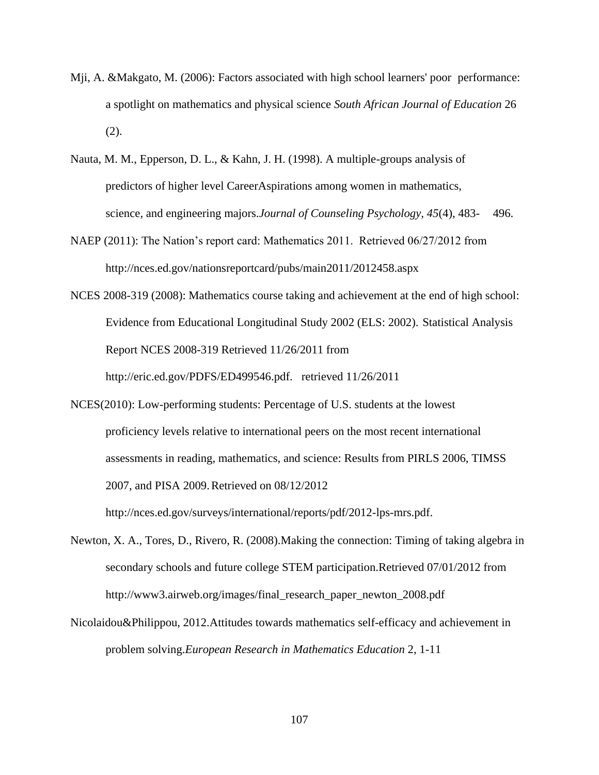- Mji, A. &Makgato, M. (2006): Factors associated with high school learners' poor performance: a spotlight on mathematics and physical science *South African Journal of Education* 26 (2).
- Nauta, M. M., Epperson, D. L., & Kahn, J. H. (1998). A multiple-groups analysis of predictors of higher level CareerAspirations among women in mathematics, science, and engineering majors.*Journal of Counseling Psychology, 45*(4), 483- 496.
- NAEP (2011): The Nation's report card: Mathematics 2011. Retrieved 06/27/2012 from http://nces.ed.gov/nationsreportcard/pubs/main2011/2012458.aspx
- NCES 2008-319 (2008): Mathematics course taking and achievement at the end of high school: Evidence from Educational Longitudinal Study 2002 (ELS: 2002). Statistical Analysis Report NCES 2008-319 Retrieved 11/26/2011 from [http://eric.ed.gov/PDFS/ED499546.pdf. retrieved 11/26/2011](http://eric.ed.gov/PDFS/ED499546.pdf.%20%20%20retrieved%2011/26/2011)
- NCES(2010): Low-performing students: Percentage of U.S. students at the lowest proficiency levels relative to international peers on the most recent international assessments in reading, mathematics, and science: Results from PIRLS 2006, TIMSS 2007, and PISA 2009.Retrieved on 08/12/2012

http://nces.ed.gov/surveys/international/reports/pdf/2012-lps-mrs.pdf.

- Newton, X. A., Tores, D., Rivero, R. (2008).Making the connection: Timing of taking algebra in secondary schools and future college STEM participation.Retrieved 07/01/2012 from [http://www3.airweb.org/images/final\\_research\\_paper\\_newton\\_2008.pdf](http://www3.airweb.org/images/final_research_paper_newton_2008.pdf)
- Nicolaidou&Philippou, 2012.Attitudes towards mathematics self-efficacy and achievement in problem solving.*European Research in Mathematics Education* 2, 1-11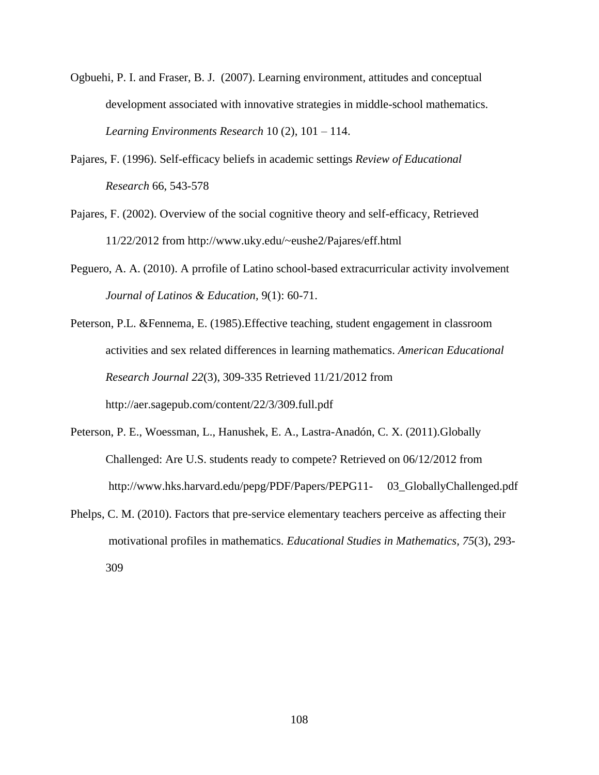- Ogbuehi, P. I. and Fraser, B. J. (2007). Learning environment, attitudes and conceptual development associated with innovative strategies in middle-school mathematics. *Learning Environments Research* 10 (2), 101 – 114.
- Pajares, F. (1996). Self-efficacy beliefs in academic settings *Review of Educational Research* 66, 543-578
- Pajares, F. (2002). Overview of the social cognitive theory and self-efficacy, Retrieved 11/22/2012 from<http://www.uky.edu/~eushe2/Pajares/eff.html>
- Peguero, A. A. (2010). A prrofile of Latino school-based extracurricular activity involvement *Journal of Latinos & Education,* 9(1): 60-71.
- Peterson, P.L. &Fennema, E. (1985).Effective teaching, student engagement in classroom activities and sex related differences in learning mathematics. *American Educational Research Journal 22*(3), 309-335 Retrieved 11/21/2012 from <http://aer.sagepub.com/content/22/3/309.full.pdf>
- Peterson, P. E., Woessman, L., Hanushek, E. A., Lastra-Anadón, C. X. (2011)[.Globally](file:///C:/Documents%20and%20Settings/cet/My%20Documents/AppData/Local/AppData/Local/My%20Documents/My%20Documents/My%20Documents/Local%20Settings/Temp/wjtewlqz.tmp/Globally%20%09Challenged:%20Are%20U.S.%20students%20ready%20to%20compete%3f)  [Challenged: Are U.S. students ready to compete?](file:///C:/Documents%20and%20Settings/cet/My%20Documents/AppData/Local/AppData/Local/My%20Documents/My%20Documents/My%20Documents/Local%20Settings/Temp/wjtewlqz.tmp/Globally%20%09Challenged:%20Are%20U.S.%20students%20ready%20to%20compete%3f) Retrieved on 06/12/2012 from [http://www.hks.harvard.edu/pepg/PDF/Papers/PEPG11-](http://www.hks.harvard.edu/pepg/PDF/Papers/PEPG11-%0903_GloballyChallenged.pdf) 03\_GloballyChallenged.pdf
- Phelps, C. M. (2010). Factors that pre-service elementary teachers perceive as affecting their motivational profiles in mathematics. *Educational Studies in Mathematics, 75*(3), 293- 309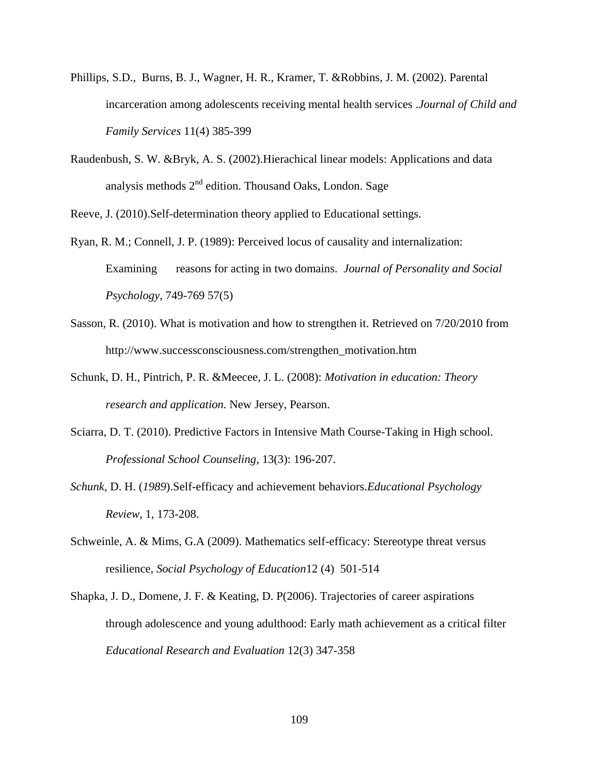- [Phillips,](http://www.springerlink.com/content/?Author=Susan+D.+Phillips) S.D., [Burns,](http://www.springerlink.com/content/?Author=Barbara+J.+Burns) B. J., [Wagner,](http://www.springerlink.com/content/?Author=H.+Ryan+Wagner) H. R., [Kramer,](http://www.springerlink.com/content/?Author=Teresa+L.+Kramer) T. [&Robbins,](http://www.springerlink.com/content/?Author=James+M.+Robbins) J. M. (2002). [Parental](http://www.springerlink.com/content/j70773133670v411/) [incarceration](http://www.springerlink.com/content/j70773133670v411/) among adolescents receiving mental health services .*Journal of Child and Family Services* 11(4) 385-399
- Raudenbush, S. W. &Bryk, A. S. (2002).Hierachical linear models: Applications and data analysis methods  $2<sup>nd</sup>$  edition. Thousand Oaks, London. Sage

Reeve, J. (2010).Self-determination theory applied to Educational settings.

- Ryan, R. M.; Connell, J. P. (1989): Perceived locus of causality and internalization: Examining reasons for acting in two domains. *Journal of Personality and Social Psychology*, 749-769 57(5)
- Sasson, R. (2010). What is motivation and how to strengthen it. Retrieved on 7/20/2010 from [http://www.successconsciousness.com/strengthen\\_motivation.htm](http://www.successconsciousness.com/strengthen_motivation.htm)
- Schunk, D. H., Pintrich, P. R. &Meecee, J. L. (2008): *Motivation in education: Theory research and application.* New Jersey, Pearson.
- Sciarra, D. T. (2010). Predictive Factors in Intensive Math Course-Taking in High school. *Professional School Counseling,* 13(3): 196-207.
- *Schunk*, D. H. (*1989*).Self-efficacy and achievement behaviors.*Educational Psychology Review*, 1, 173-208.
- Schweinle, A. & Mims, G.A (2009). Mathematics self-efficacy: Stereotype threat versus resilience, *Social Psychology of Education*12 (4) 501-514
- [Shapka,](http://www.tandfonline.com/action/doSearch?action=runSearch&type=advanced&result=true&prevSearch=%2Bauthorsfield%3A(Shapka%2C+Jennifer+D.)) J. D., [Domene,](http://www.tandfonline.com/action/doSearch?action=runSearch&type=advanced&result=true&prevSearch=%2Bauthorsfield%3A(Domene%2C+Jos%C3%A9+F.)) J. F. & [Keating,](http://www.tandfonline.com/action/doSearch?action=runSearch&type=advanced&result=true&prevSearch=%2Bauthorsfield%3A(Keating%2C+Daniel+P.)) D. P(2006). Trajectories of career aspirations through adolescence and young adulthood: Early math achievement as a critical filter *Educational Research and Evaluation* 12(3) 347-358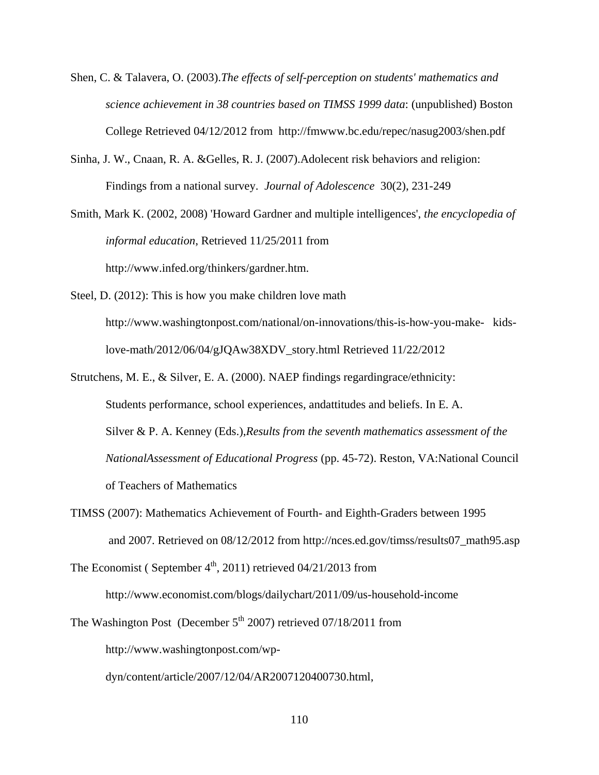- Shen, C. & Talavera, O. (2003).*The effects of self-perception on students' mathematics and science achievement in 38 countries based on TIMSS 1999 data*: (unpublished) Boston College Retrieved 04/12/2012 from <http://fmwww.bc.edu/repec/nasug2003/shen.pdf>
- Sinha, J. W., Cnaan, R. A. &Gelles, R. J. (2007).Adolecent risk behaviors and religion: Findings from a national survey. *Journal of Adolescence*30(2), 231-249

Smith, Mark K. (2002, 2008) 'Howard Gardner and multiple intelligences', *the encyclopedia of informal education*, Retrieved 11/25/2011 from [http://www.infed.org/thinkers/gardner.htm.](http://www.infed.org/thinkers/gardner.htm.%20%09Retrieved%2011/25/2011) 

- Steel, D. (2012): This is how you make children love math [http://www.washingtonpost.com/national/on-innovations/this-is-how-you-make-](http://www.washingtonpost.com/national/on-innovations/this-is-how-you-make-%09kids-%09love-math/2012/06/04/gJQAw38XDV_story.html) kids[love-math/2012/06/04/gJQAw38XDV\\_story.html](http://www.washingtonpost.com/national/on-innovations/this-is-how-you-make-%09kids-%09love-math/2012/06/04/gJQAw38XDV_story.html) Retrieved 11/22/2012
- Strutchens, M. E., & Silver, E. A. (2000). NAEP findings regardingrace/ethnicity: Students performance, school experiences, andattitudes and beliefs. In E. A. Silver & P. A. Kenney (Eds.),*Results from the seventh mathematics assessment of the NationalAssessment of Educational Progress* (pp. 45-72). Reston, VA:National Council of Teachers of Mathematics
- TIMSS (2007): Mathematics Achievement of Fourth- and Eighth-Graders between 1995 and 2007. Retrieved on 08/12/2012 from [http://nces.ed.gov/timss/results07\\_math95.asp](http://nces.ed.gov/timss/results07_math95.asp)

The Economist (September  $4<sup>th</sup>$ , 2011) retrieved 04/21/2013 from

http://www.economist.com/blogs/dailychart/2011/09/us-household-income

The Washington Post (December  $5<sup>th</sup> 2007$ ) retrieved 07/18/2011 from [http://www.washingtonpost.com/wp](http://www.washingtonpost.com/wp-%20%09dyn/content/article/2007/12/04/AR2007120400730.html)[dyn/content/article/2007/12/04/AR2007120400730.html,](http://www.washingtonpost.com/wp-%20%09dyn/content/article/2007/12/04/AR2007120400730.html)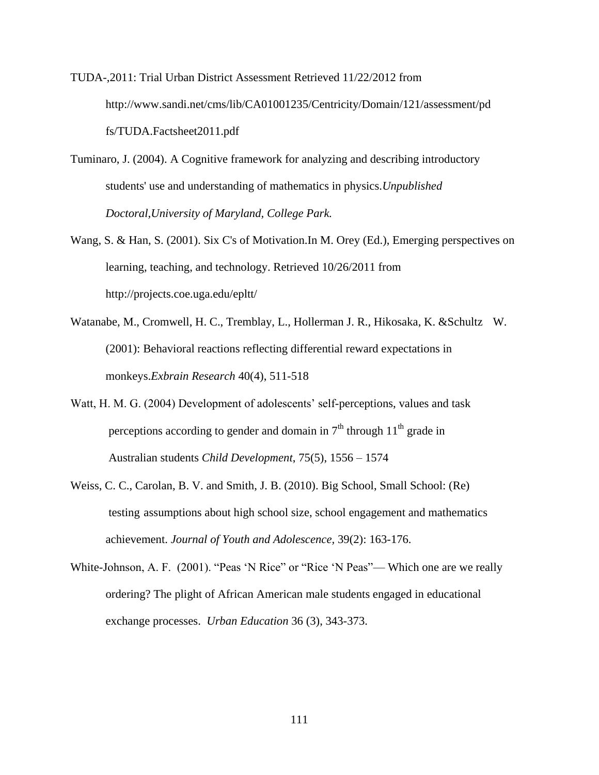TUDA-,2011: Trial Urban District Assessment Retrieved 11/22/2012 from [http://www.sandi.net/cms/lib/CA01001235/Centricity/Domain/121/assessment/pd](http://www.sandi.net/cms/lib/CA01001235/Centricity/Domain/121/assessment/pd%09fs/TUDA.Factsheet2011.pdf) [fs/TUDA.Factsheet2011.pdf](http://www.sandi.net/cms/lib/CA01001235/Centricity/Domain/121/assessment/pd%09fs/TUDA.Factsheet2011.pdf)

- Tuminaro, J. (2004). A Cognitive framework for analyzing and describing introductory students' use and understanding of mathematics in physics.*Unpublished Doctoral,University of Maryland, College Park.*
- Wang, S. & Han, S. (2001). Six C's of Motivation.In M. Orey (Ed.), Emerging perspectives on learning, teaching, and technology. Retrieved 10/26/2011 from <http://projects.coe.uga.edu/epltt/>
- [Watanabe,](http://www.ncbi.nlm.nih.gov/pubmed?term=Watanabe%20M%5BAuthor%5D&cauthor=true&cauthor_uid=11685405) M., [Cromwell,](http://www.ncbi.nlm.nih.gov/pubmed?term=Cromwell%20HC%5BAuthor%5D&cauthor=true&cauthor_uid=11685405) H. C., [Tremblay,](http://www.ncbi.nlm.nih.gov/pubmed?term=Tremblay%20L%5BAuthor%5D&cauthor=true&cauthor_uid=11685405) L., [Hollerman](http://www.ncbi.nlm.nih.gov/pubmed?term=Hollerman%20JR%5BAuthor%5D&cauthor=true&cauthor_uid=11685405) J. R., [Hikosaka,](http://www.ncbi.nlm.nih.gov/pubmed?term=Hikosaka%20K%5BAuthor%5D&cauthor=true&cauthor_uid=11685405) K. [&Schultz](http://www.ncbi.nlm.nih.gov/pubmed?term=Schultz%20W%5BAuthor%5D&cauthor=true&cauthor_uid=11685405) W. (2001): Behavioral reactions reflecting differential reward expectations in monkeys.*Exbrain Research* 40(4), 511-518
- Watt, H. M. G. (2004) Development of adolescents' self-perceptions, values and task perceptions according to gender and domain in  $7<sup>th</sup>$  through  $11<sup>th</sup>$  grade in Australian students *Child Development*, 75(5), 1556 – 1574
- Weiss, C. C., Carolan, B. V. and Smith, J. B. (2010). Big School, Small School: (Re) testing assumptions about high school size, school engagement and mathematics achievement. *Journal of Youth and Adolescence,* 39(2): 163-176.
- White-Johnson, A. F. (2001). "Peas 'N Rice" or "Rice 'N Peas"— Which one are we really ordering? The plight of African American male students engaged in educational exchange processes. *Urban Education* 36 (3), 343-373.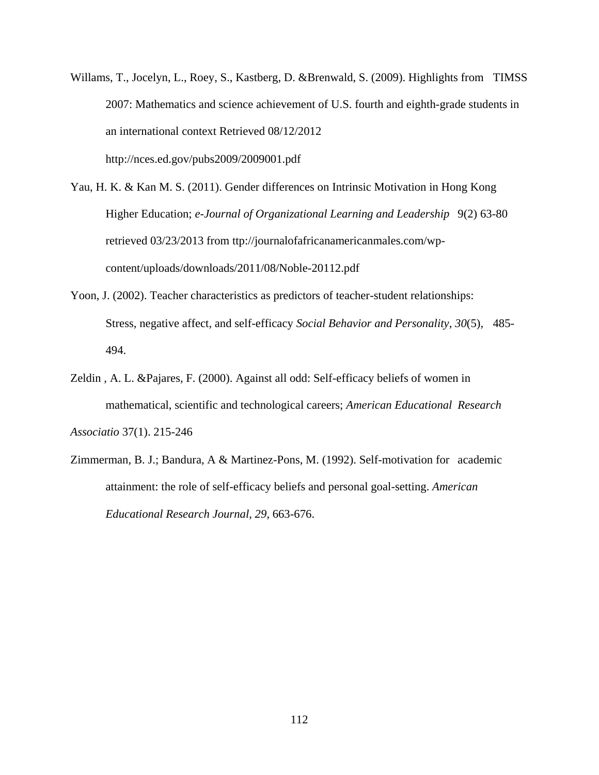- Willams, T., Jocelyn, L., Roey, S., Kastberg, D. &Brenwald, S. (2009). Highlights from TIMSS 2007: Mathematics and science achievement of U.S. fourth and eighth-grade students in an international context Retrieved 08/12/2012 <http://nces.ed.gov/pubs2009/2009001.pdf>
- Yau, H. K. & Kan M. S. (2011). Gender differences on Intrinsic Motivation in Hong Kong Higher Education; *e-Journal of Organizational Learning and Leadership* 9(2) 63-80 retrieved 03/23/2013 from ttp://journalofafricanamericanmales.com/wpcontent/uploads/downloads/2011/08/Noble-20112.pdf
- Yoon, J. (2002). Teacher characteristics as predictors of teacher-student relationships: Stress, negative affect, and self-efficacy *Social Behavior and Personality*, *30*(5), 485- 494.
- Zeldin , A. L. &Pajares, F. (2000). Against all odd: Self-efficacy beliefs of women in mathematical, scientific and technological careers; *American Educational Research Associatio* 37(1). 215-246
- Zimmerman, B. J.; Bandura, A & Martinez-Pons, M. (1992). Self-motivation for academic attainment: the role of self-efficacy beliefs and personal goal-setting. *American Educational Research Journal, 29*, 663-676.